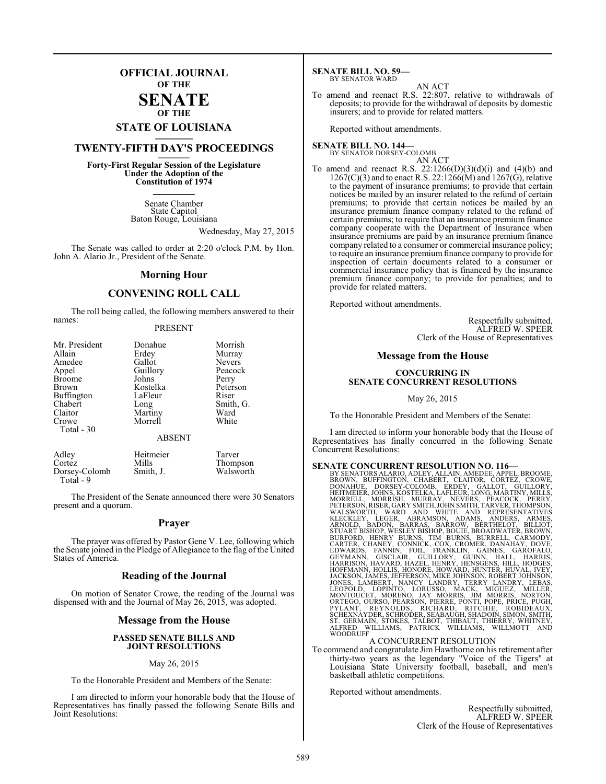### **OFFICIAL JOURNAL OF THE**

### **SENATE OF THE**

# **STATE OF LOUISIANA \_\_\_\_\_\_\_**

### **TWENTY-FIFTH DAY'S PROCEEDINGS \_\_\_\_\_\_\_**

**Forty-First Regular Session of the Legislature Under the Adoption of the Constitution of 1974 \_\_\_\_\_\_\_**

> Senate Chamber State Capitol Baton Rouge, Louisiana

> > Wednesday, May 27, 2015

The Senate was called to order at 2:20 o'clock P.M. by Hon. John A. Alario Jr., President of the Senate.

### **Morning Hour**

### **CONVENING ROLL CALL**

The roll being called, the following members answered to their names:

### PRESENT

| Mr. President<br>Allain | Donahue<br>Erdey | Morrish<br>Murray |
|-------------------------|------------------|-------------------|
| Amedee                  | Gallot           | <b>Nevers</b>     |
| Appel                   | Guillory         | Peacock           |
| <b>Broome</b>           | Johns            | Perry             |
| Brown                   | Kostelka         | Peterson          |
| <b>Buffington</b>       | LaFleur          | Riser             |
| Chabert                 | Long             | Smith, G.         |
| Claitor                 | Martiny          | Ward              |
| Crowe                   | Morrell          | White             |
| Total - 30              |                  |                   |
|                         | <b>ABSENT</b>    |                   |

| Adley         | Heitmeier | Tarver    |
|---------------|-----------|-----------|
| Cortez        | Mills     | Thompson  |
| Dorsey-Colomb | Smith, J. | Walsworth |
| Total - 9     |           |           |

The President of the Senate announced there were 30 Senators present and a quorum.

### **Prayer**

The prayer was offered by Pastor Gene V. Lee, following which the Senate joined in the Pledge of Allegiance to the flag of the United States of America.

### **Reading of the Journal**

On motion of Senator Crowe, the reading of the Journal was dispensed with and the Journal of May 26, 2015, was adopted.

### **Message from the House**

### **PASSED SENATE BILLS AND JOINT RESOLUTIONS**

### May 26, 2015

To the Honorable President and Members of the Senate:

I am directed to inform your honorable body that the House of Representatives has finally passed the following Senate Bills and Joint Resolutions:

#### **SENATE BILL NO. 59—** BY SENATOR WARD

### AN ACT

To amend and reenact R.S. 22:807, relative to withdrawals of deposits; to provide for the withdrawal of deposits by domestic insurers; and to provide for related matters.

Reported without amendments.

### **SENATE BILL NO. 144—** BY SENATOR DORSEY-COLOMB

AN ACT

To amend and reenact R.S.  $22:1266(D)(3)(d)(i)$  and  $(4)(b)$  and  $1267(C)(3)$  and to enact R.S. 22:1266(M) and 1267(G), relative to the payment of insurance premiums; to provide that certain notices be mailed by an insurer related to the refund of certain premiums; to provide that certain notices be mailed by an insurance premium finance company related to the refund of certain premiums; to require that an insurance premium finance company cooperate with the Department of Insurance when insurance premiums are paid by an insurance premium finance company related to a consumer or commercial insurance policy; to require an insurance premiumfinance company to provide for inspection of certain documents related to a consumer or commercial insurance policy that is financed by the insurance premium finance company; to provide for penalties; and to provide for related matters.

Reported without amendments.

Respectfully submitted, ALFRED W. SPEER Clerk of the House of Representatives

### **Message from the House**

### **CONCURRING IN SENATE CONCURRENT RESOLUTIONS**

May 26, 2015

To the Honorable President and Members of the Senate:

I am directed to inform your honorable body that the House of Representatives has finally concurred in the following Senate Concurrent Resolutions:

**SENATE CONCURRENT RESOLUTION NO. 116—**<br>BY SENATORS ALARIO, ADLEY, ALLAIN, AMEDEE, APPEL, BROWNE, BROWN, BUFFINGTON, CHABERT, CLAITOR, CORTEZ, CROWE,<br>DONAHUE, DORSEY-COLOMB, ERDEY, GALIOT, GUILLORY, THEITMEIER, JOHNS, KOST

### A CONCURRENT RESOLUTION

To commend and congratulate Jim Hawthorne on his retirement after thirty-two years as the legendary "Voice of the Tigers" at Louisiana State University football, baseball, and men's basketball athletic competitions.

Reported without amendments.

Respectfully submitted, ALFRED W. SPEER Clerk of the House of Representatives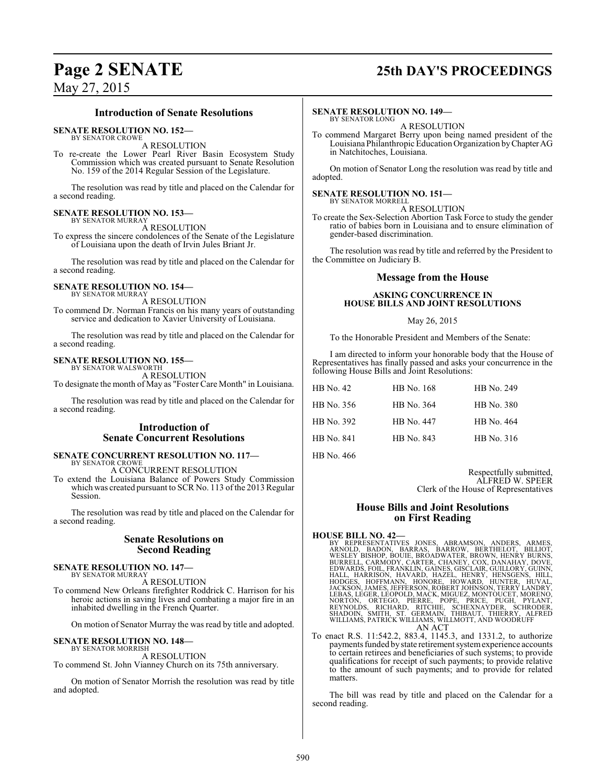## **Page 2 SENATE 25th DAY'S PROCEEDINGS**

### **Introduction of Senate Resolutions**

**SENATE RESOLUTION NO. 152—**

BY SENATOR CROWE A RESOLUTION

To re-create the Lower Pearl River Basin Ecosystem Study Commission which was created pursuant to Senate Resolution No. 159 of the 2014 Regular Session of the Legislature.

The resolution was read by title and placed on the Calendar for a second reading.

#### **SENATE RESOLUTION NO. 153—** BY SENATOR MURRAY

A RESOLUTION

To express the sincere condolences of the Senate of the Legislature of Louisiana upon the death of Irvin Jules Briant Jr.

The resolution was read by title and placed on the Calendar for a second reading.

### **SENATE RESOLUTION NO. 154—** BY SENATOR MURRAY

A RESOLUTION

To commend Dr. Norman Francis on his many years of outstanding service and dedication to Xavier University of Louisiana.

The resolution was read by title and placed on the Calendar for a second reading.

### **SENATE RESOLUTION NO. 155—**

BY SENATOR WALSWORTH A RESOLUTION

To designate the month of May as "Foster Care Month" in Louisiana.

The resolution was read by title and placed on the Calendar for a second reading.

### **Introduction of Senate Concurrent Resolutions**

### **SENATE CONCURRENT RESOLUTION NO. 117—** BY SENATOR CROWE

A CONCURRENT RESOLUTION

To extend the Louisiana Balance of Powers Study Commission which was created pursuant to SCR No. 113 of the 2013 Regular Session.

The resolution was read by title and placed on the Calendar for a second reading.

### **Senate Resolutions on Second Reading**

#### **SENATE RESOLUTION NO. 147—** BY SENATOR MURRAY

A RESOLUTION

To commend New Orleans firefighter Roddrick C. Harrison for his heroic actions in saving lives and combating a major fire in an inhabited dwelling in the French Quarter.

On motion of Senator Murray the was read by title and adopted.

#### **SENATE RESOLUTION NO. 148—** BY SENATOR MORRISH

A RESOLUTION

To commend St. John Vianney Church on its 75th anniversary.

On motion of Senator Morrish the resolution was read by title and adopted.

### **SENATE RESOLUTION NO. 149—**

BY SENATOR LONG A RESOLUTION

To commend Margaret Berry upon being named president of the Louisiana Philanthropic Education Organization byChapterAG in Natchitoches, Louisiana.

On motion of Senator Long the resolution was read by title and adopted.

#### **SENATE RESOLUTION NO. 151—** BY SENATOR MORRELL

A RESOLUTION

To create the Sex-Selection Abortion Task Force to study the gender ratio of babies born in Louisiana and to ensure elimination of gender-based discrimination.

The resolution was read by title and referred by the President to the Committee on Judiciary B.

### **Message from the House**

### **ASKING CONCURRENCE IN HOUSE BILLS AND JOINT RESOLUTIONS**

### May 26, 2015

To the Honorable President and Members of the Senate:

I am directed to inform your honorable body that the House of Representatives has finally passed and asks your concurrence in the following House Bills and Joint Resolutions:

| HB No. 42  | HB No. 168 | HB No. 249 |
|------------|------------|------------|
| HB No. 356 | HB No. 364 | HB No. 380 |
| HB No. 392 | HB No. 447 | HB No. 464 |
| HB No. 841 | HB No. 843 | HB No. 316 |
| TID M. 466 |            |            |

HB No. 466

Respectfully submitted, ALFRED W. SPEER Clerk of the House of Representatives

### **House Bills and Joint Resolutions on First Reading**

- HOUSE BILL NO. 42—<br>BY REPRESENTATIVES JONES, ABRAMSON, ANDERS, ARMES, ARNOLD, BADON, BARRAS, BARROW, BERTHELOT, BILLIOT, WESLEY BISHOP, BOUIE, BROADWATER, EROWN, HENRY BURNS,<br>BURRELL, CARMODY, CARTER, CHANEY, COX, DANAHAY, AN ACT
- To enact R.S. 11:542.2, 883.4, 1145.3, and 1331.2, to authorize payments funded by state retirement system experience accounts to certain retirees and beneficiaries of such systems; to provide qualifications for receipt of such payments; to provide relative to the amount of such payments; and to provide for related matters.

The bill was read by title and placed on the Calendar for a second reading.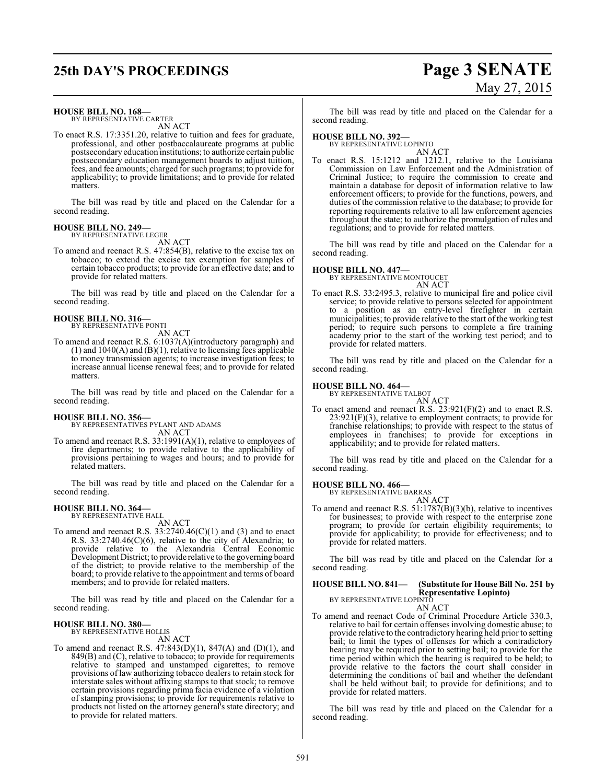# **25th DAY'S PROCEEDINGS Page 3 SENATE**

# May 27, 2015

**HOUSE BILL NO. 168—**

BY REPRESENTATIVE CARTER AN ACT

To enact R.S. 17:3351.20, relative to tuition and fees for graduate, professional, and other postbaccalaureate programs at public postsecondary education institutions; to authorize certain public postsecondary education management boards to adjust tuition, fees, and fee amounts; charged forsuch programs; to provide for applicability; to provide limitations; and to provide for related matters.

The bill was read by title and placed on the Calendar for a second reading.

#### **HOUSE BILL NO. 249—** BY REPRESENTATIVE LEGER

AN ACT

To amend and reenact R.S. 47:854(B), relative to the excise tax on tobacco; to extend the excise tax exemption for samples of certain tobacco products; to provide for an effective date; and to provide for related matters.

The bill was read by title and placed on the Calendar for a second reading.

**HOUSE BILL NO. 316—** BY REPRESENTATIVE PONTI

AN ACT

To amend and reenact R.S. 6:1037(A)(introductory paragraph) and (1) and  $1040(A)$  and  $(B)(1)$ , relative to licensing fees applicable to money transmission agents; to increase investigation fees; to increase annual license renewal fees; and to provide for related matters.

The bill was read by title and placed on the Calendar for a second reading.

### **HOUSE BILL NO. 356—**

BY REPRESENTATIVES PYLANT AND ADAMS AN ACT

To amend and reenact R.S. 33:1991(A)(1), relative to employees of fire departments; to provide relative to the applicability of provisions pertaining to wages and hours; and to provide for related matters.

The bill was read by title and placed on the Calendar for a second reading.

### **HOUSE BILL NO. 364—**

BY REPRESENTATIVE HALL

- AN ACT
- To amend and reenact R.S.  $33:2740.46(C)(1)$  and (3) and to enact R.S. 33:2740.46(C)(6), relative to the city of Alexandria; to provide relative to the Alexandria Central Economic Development District; to provide relative to the governing board of the district; to provide relative to the membership of the board; to provide relative to the appointment and terms of board members; and to provide for related matters.

The bill was read by title and placed on the Calendar for a second reading.

### **HOUSE BILL NO. 380—** BY REPRESENTATIVE HOLLIS

AN ACT

To amend and reenact R.S. 47:843(D)(1), 847(A) and (D)(1), and 849(B) and (C), relative to tobacco; to provide for requirements relative to stamped and unstamped cigarettes; to remove provisions of law authorizing tobacco dealers to retain stock for interstate sales without affixing stamps to that stock; to remove certain provisions regarding prima facia evidence of a violation of stamping provisions; to provide for requirements relative to products not listed on the attorney general's state directory; and to provide for related matters.

The bill was read by title and placed on the Calendar for a second reading.

### **HOUSE BILL NO. 392—**

BY REPRESENTATIVE LOPINTO AN ACT

To enact R.S. 15:1212 and 1212.1, relative to the Louisiana Commission on Law Enforcement and the Administration of Criminal Justice; to require the commission to create and maintain a database for deposit of information relative to law enforcement officers; to provide for the functions, powers, and duties of the commission relative to the database; to provide for reporting requirements relative to all law enforcement agencies throughout the state; to authorize the promulgation of rules and regulations; and to provide for related matters.

The bill was read by title and placed on the Calendar for a second reading.

**HOUSE BILL NO. 447—** BY REPRESENTATIVE MONTOUCET AN ACT

To enact R.S. 33:2495.3, relative to municipal fire and police civil service; to provide relative to persons selected for appointment to a position as an entry-level firefighter in certain municipalities; to provide relative to the start of the working test period; to require such persons to complete a fire training academy prior to the start of the working test period; and to provide for related matters.

The bill was read by title and placed on the Calendar for a second reading.

### **HOUSE BILL NO. 464—** BY REPRESENTATIVE TALBOT

AN ACT To enact amend and reenact R.S. 23:921(F)(2) and to enact R.S.  $23:921(F)(3)$ , relative to employment contracts; to provide for franchise relationships; to provide with respect to the status of employees in franchises; to provide for exceptions in applicability; and to provide for related matters.

The bill was read by title and placed on the Calendar for a second reading.

### **HOUSE BILL NO. 466—**

BY REPRESENTATIVE BARRAS AN ACT

To amend and reenact R.S. 51:1787(B)(3)(b), relative to incentives for businesses; to provide with respect to the enterprise zone program; to provide for certain eligibility requirements; to provide for applicability; to provide for effectiveness; and to provide for related matters.

The bill was read by title and placed on the Calendar for a second reading.

### **HOUSE BILL NO. 841— (Substitute for House Bill No. 251 by Representative Lopinto)**

BY REPRESENTATIVE LOPINTO AN ACT

To amend and reenact Code of Criminal Procedure Article 330.3, relative to bail for certain offenses involving domestic abuse; to provide relative to the contradictory hearing held prior to setting bail; to limit the types of offenses for which a contradictory hearing may be required prior to setting bail; to provide for the time period within which the hearing is required to be held; to provide relative to the factors the court shall consider in determining the conditions of bail and whether the defendant shall be held without bail; to provide for definitions; and to provide for related matters.

The bill was read by title and placed on the Calendar for a second reading.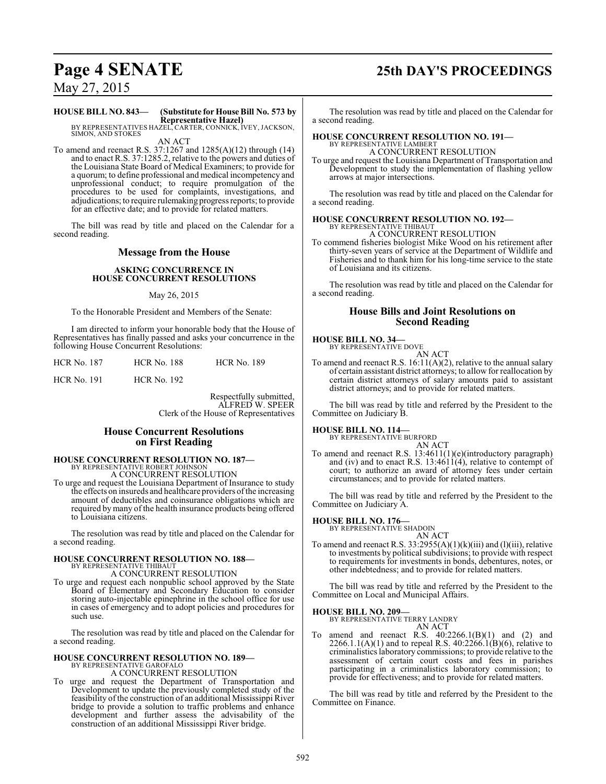# **Page 4 SENATE 25th DAY'S PROCEEDINGS**

May 27, 2015

### **HOUSE BILL NO. 843— (Substitute for House Bill No. 573 by Representative Hazel)** BY REPRESENTATIVES HAZEL, CARTER, CONNICK, IVEY, JACKSON,

SIMON, AND STOKES AN ACT

To amend and reenact R.S. 37:1267 and 1285(A)(12) through (14) and to enact R.S. 37:1285.2, relative to the powers and duties of the Louisiana State Board of Medical Examiners; to provide for a quorum; to define professional and medical incompetency and unprofessional conduct; to require promulgation of the procedures to be used for complaints, investigations, and adjudications; to require rulemaking progress reports; to provide for an effective date; and to provide for related matters.

The bill was read by title and placed on the Calendar for a second reading.

### **Message from the House**

### **ASKING CONCURRENCE IN HOUSE CONCURRENT RESOLUTIONS**

May 26, 2015

To the Honorable President and Members of the Senate:

I am directed to inform your honorable body that the House of Representatives has finally passed and asks your concurrence in the following House Concurrent Resolutions:

| <b>HCR No. 187</b> | <b>HCR No. 188</b> | <b>HCR No. 189</b> |
|--------------------|--------------------|--------------------|
| <b>HCR No. 191</b> | <b>HCR No. 192</b> |                    |

Respectfully submitted, ALFRED W. SPEER Clerk of the House of Representatives

### **House Concurrent Resolutions on First Reading**

### **HOUSE CONCURRENT RESOLUTION NO. 187—** BY REPRESENTATIVE ROBERT JOHNSON

A CONCURRENT RESOLUTION

To urge and request the Louisiana Department of Insurance to study the effects on insureds and healthcare providers ofthe increasing amount of deductibles and coinsurance obligations which are required by many of the health insurance products being offered to Louisiana citizens.

The resolution was read by title and placed on the Calendar for a second reading.

### **HOUSE CONCURRENT RESOLUTION NO. 188—** BY REPRESENTATIVE THIBAUT

A CONCURRENT RESOLUTION

To urge and request each nonpublic school approved by the State Board of Elementary and Secondary Education to consider storing auto-injectable epinephrine in the school office for use in cases of emergency and to adopt policies and procedures for such use.

The resolution was read by title and placed on the Calendar for a second reading.

### **HOUSE CONCURRENT RESOLUTION NO. 189—** BY REPRESENTATIVE GAROFALO A CONCURRENT RESOLUTION

To urge and request the Department of Transportation and Development to update the previously completed study of the feasibility of the construction of an additional Mississippi River bridge to provide a solution to traffic problems and enhance development and further assess the advisability of the construction of an additional Mississippi River bridge.

The resolution was read by title and placed on the Calendar for a second reading.

#### **HOUSE CONCURRENT RESOLUTION NO. 191—** BY REPRESENTATIVE LAMBERT

A CONCURRENT RESOLUTION

To urge and request the Louisiana Department of Transportation and Development to study the implementation of flashing yellow arrows at major intersections.

The resolution was read by title and placed on the Calendar for a second reading.

### **HOUSE CONCURRENT RESOLUTION NO. 192—** BY REPRESENTATIVE THIBAUT A CONCURRENT RESOLUTION

To commend fisheries biologist Mike Wood on his retirement after thirty-seven years of service at the Department of Wildlife and Fisheries and to thank him for his long-time service to the state of Louisiana and its citizens.

The resolution was read by title and placed on the Calendar for a second reading.

### **House Bills and Joint Resolutions on Second Reading**

## **HOUSE BILL NO. 34—** BY REPRESENTATIVE DOVE

AN ACT

To amend and reenact R.S. 16:11(A)(2), relative to the annual salary of certain assistant district attorneys; to allow for reallocation by certain district attorneys of salary amounts paid to assistant district attorneys; and to provide for related matters.

The bill was read by title and referred by the President to the Committee on Judiciary B.

### **HOUSE BILL NO. 114—**

BY REPRESENTATIVE BURFORD

AN ACT To amend and reenact R.S. 13:4611(1)(e)(introductory paragraph) and (iv) and to enact R.S.  $13:4611(4)$ , relative to contempt of court; to authorize an award of attorney fees under certain circumstances; and to provide for related matters.

The bill was read by title and referred by the President to the Committee on Judiciary A.

# **HOUSE BILL NO. 176—** BY REPRESENTATIVE SHADOIN

AN ACT

To amend and reenact R.S.  $33:2955(A)(1)(k)(iii)$  and (1)(iii), relative to investments by political subdivisions; to provide with respect to requirements for investments in bonds, debentures, notes, or other indebtedness; and to provide for related matters.

The bill was read by title and referred by the President to the Committee on Local and Municipal Affairs.

### **HOUSE BILL NO. 209—**

BY REPRESENTATIVE TERRY LANDRY

- AN ACT amend and reenact R.S.  $40:2266.1(B)(1)$  and  $(2)$  and
- 2266.1.1(A)(1) and to repeal R.S.  $40:2266.1(B)(6)$ , relative to criminalistics laboratory commissions; to provide relative to the assessment of certain court costs and fees in parishes participating in a criminalistics laboratory commission; to provide for effectiveness; and to provide for related matters.

The bill was read by title and referred by the President to the Committee on Finance.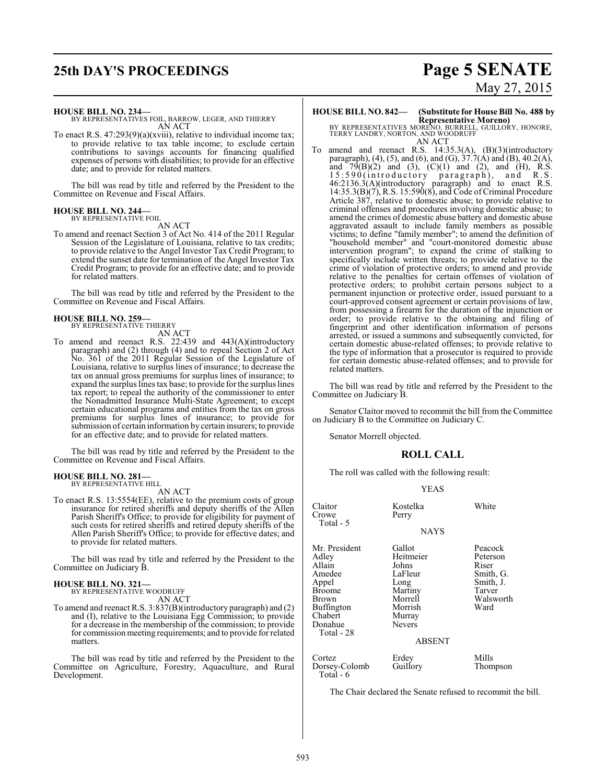# **25th DAY'S PROCEEDINGS Page 5 SENATE**

#### **HOUSE BILL NO. 234—**

BY REPRESENTATIVES FOIL, BARROW, LEGER, AND THIERRY AN ACT

To enact R.S. 47:293(9)(a)(xviii), relative to individual income tax; to provide relative to tax table income; to exclude certain contributions to savings accounts for financing qualified expenses of persons with disabilities; to provide for an effective date; and to provide for related matters.

The bill was read by title and referred by the President to the Committee on Revenue and Fiscal Affairs.

### **HOUSE BILL NO. 244—** BY REPRESENTATIVE FOIL

AN ACT

To amend and reenact Section 3 of Act No. 414 of the 2011 Regular Session of the Legislature of Louisiana, relative to tax credits; to provide relative to the Angel Investor Tax Credit Program; to extend the sunset date for termination of the Angel Investor Tax Credit Program; to provide for an effective date; and to provide for related matters.

The bill was read by title and referred by the President to the Committee on Revenue and Fiscal Affairs.

## **HOUSE BILL NO. 259—** BY REPRESENTATIVE THIERRY

AN ACT

To amend and reenact R.S. 22:439 and 443(A)(introductory paragraph) and (2) through (4) and to repeal Section 2 of Act No. 361 of the 2011 Regular Session of the Legislature of Louisiana, relative to surplus lines of insurance; to decrease the tax on annual gross premiums for surplus lines of insurance; to expand the surplus lines tax base; to provide for the surplus lines tax report; to repeal the authority of the commissioner to enter the Nonadmitted Insurance Multi-State Agreement; to except certain educational programs and entities from the tax on gross premiums for surplus lines of insurance; to provide for submission of certain information by certain insurers; to provide for an effective date; and to provide for related matters.

The bill was read by title and referred by the President to the Committee on Revenue and Fiscal Affairs.

### **HOUSE BILL NO. 281—** BY REPRESENTATIVE HILL

AN ACT

To enact R.S. 13:5554(EE), relative to the premium costs of group insurance for retired sheriffs and deputy sheriffs of the Allen Parish Sheriff's Office; to provide for eligibility for payment of such costs for retired sheriffs and retired deputy sheriffs of the Allen Parish Sheriff's Office; to provide for effective dates; and to provide for related matters.

The bill was read by title and referred by the President to the Committee on Judiciary B.

### **HOUSE BILL NO. 321—** BY REPRESENTATIVE WOODRUFF

AN ACT

To amend and reenact R.S. 3:837(B)(introductory paragraph) and (2) and (I), relative to the Louisiana Egg Commission; to provide for a decrease in the membership of the commission; to provide for commission meeting requirements; and to provide for related matters.

The bill was read by title and referred by the President to the Committee on Agriculture, Forestry, Aquaculture, and Rural Development.

# May 27, 2015

### **HOUSE BILL NO. 842— (Substitute for House Bill No. 488 by**

**Representative Moreno)**<br>BY REPRESENTATIVES MORENO, BURRELL, GUILLORY, HONORE,<br>TERRY LANDRY, NORTON, AND WOODRUFF AN ACT

To amend and reenact R.S. 14:35.3(A), (B)(3)(introductory paragraph), (4), (5), and (6), and (G),  $37.7(A)$  and (B), 40.2(A), and  $79(B)(2)$  and  $(3)$ ,  $(C)(1)$  and  $(2)$ , and  $(H)$ , R.S. 15:590(introductory paragraph), and R.S. 46:2136.3(A)(introductory paragraph) and to enact R.S. 14:35.3(B)(7), R.S. 15:590(8), and Code of Criminal Procedure Article 387, relative to domestic abuse; to provide relative to criminal offenses and procedures involving domestic abuse; to amend the crimes of domestic abuse battery and domestic abuse aggravated assault to include family members as possible victims; to define "family member"; to amend the definition of "household member" and "court-monitored domestic abuse intervention program"; to expand the crime of stalking to specifically include written threats; to provide relative to the crime of violation of protective orders; to amend and provide relative to the penalties for certain offenses of violation of protective orders; to prohibit certain persons subject to a permanent injunction or protective order, issued pursuant to a court-approved consent agreement or certain provisions of law, from possessing a firearm for the duration of the injunction or order; to provide relative to the obtaining and filing of fingerprint and other identification information of persons arrested, or issued a summons and subsequently convicted, for certain domestic abuse-related offenses; to provide relative to the type of information that a prosecutor is required to provide for certain domestic abuse-related offenses; and to provide for related matters.

The bill was read by title and referred by the President to the Committee on Judiciary B.

Senator Claitor moved to recommit the bill from the Committee on Judiciary B to the Committee on Judiciary C.

Senator Morrell objected.

### **ROLL CALL**

The roll was called with the following result:

### YEAS

| Claitor<br>Crowe<br>Total - 5                                                                                            | Kostelka<br>Perry                                                                                                            | White                                                                                 |
|--------------------------------------------------------------------------------------------------------------------------|------------------------------------------------------------------------------------------------------------------------------|---------------------------------------------------------------------------------------|
|                                                                                                                          | <b>NAYS</b>                                                                                                                  |                                                                                       |
| Mr. President<br>Adlev<br>Allain<br>Amedee<br>Appel<br>Broome<br>Brown<br>Buffington<br>Chabert<br>Donahue<br>Total - 28 | Gallot<br>Heitmeier<br>Johns<br>LaFleur<br>Long<br>Martiny<br>Morrell<br>Morrish<br>Murray<br><b>Nevers</b><br><b>ABSENT</b> | Peacock<br>Peterson<br>Riser<br>Smith, G.<br>Smith, J.<br>Tarver<br>Walsworth<br>Ward |
| Cortez<br>Dorsey-Colomb<br>Total - 6                                                                                     | Erdey<br>Guillory                                                                                                            | Mills<br>Thompson                                                                     |

The Chair declared the Senate refused to recommit the bill.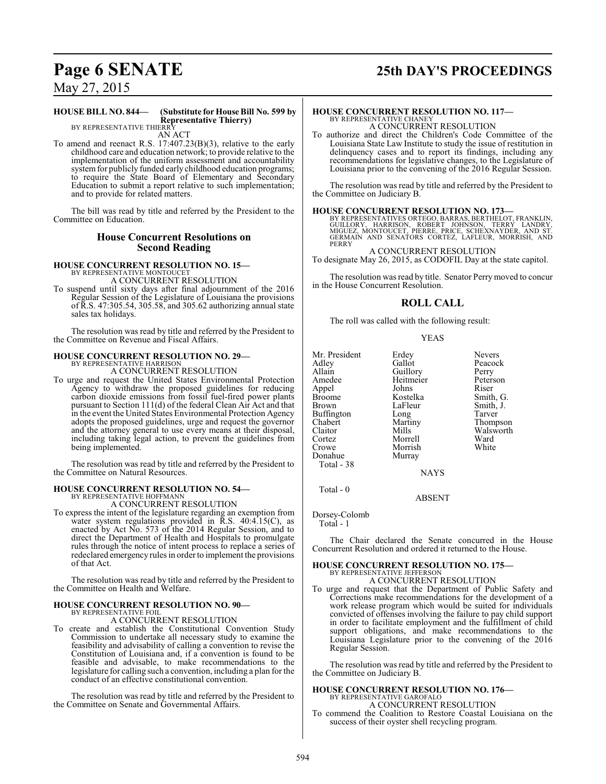# **Page 6 SENATE 25th DAY'S PROCEEDINGS**

May 27, 2015

#### **HOUSE BILL NO. 844— (Substitute for House Bill No. 599 by Representative Thierry)** BY REPRESENTATIVE THIERRY

AN ACT

To amend and reenact R.S. 17:407.23(B)(3), relative to the early childhood care and education network; to provide relative to the implementation of the uniform assessment and accountability system for publicly funded early childhood education programs; to require the State Board of Elementary and Secondary Education to submit a report relative to such implementation; and to provide for related matters.

The bill was read by title and referred by the President to the Committee on Education.

### **House Concurrent Resolutions on Second Reading**

### **HOUSE CONCURRENT RESOLUTION NO. 15—** BY REPRESENTATIVE MONTOUCET A CONCURRENT RESOLUTION

To suspend until sixty days after final adjournment of the 2016 Regular Session of the Legislature of Louisiana the provisions of R.S. 47:305.54, 305.58, and 305.62 authorizing annual state sales tax holidays.

The resolution was read by title and referred by the President to the Committee on Revenue and Fiscal Affairs.

# **HOUSE CONCURRENT RESOLUTION NO. 29—** BY REPRESENTATIVE HARRISON

A CONCURRENT RESOLUTION

To urge and request the United States Environmental Protection Agency to withdraw the proposed guidelines for reducing carbon dioxide emissions from fossil fuel-fired power plants pursuant to Section 111(d) of the federal Clean Air Act and that in the event the United States Environmental Protection Agency adopts the proposed guidelines, urge and request the governor and the attorney general to use every means at their disposal, including taking legal action, to prevent the guidelines from being implemented.

The resolution was read by title and referred by the President to the Committee on Natural Resources.

### **HOUSE CONCURRENT RESOLUTION NO. 54—** BY REPRESENTATIVE HOFFMANN

A CONCURRENT RESOLUTION

To express the intent of the legislature regarding an exemption from water system regulations provided in R.S. 40:4.15(C), as enacted by Act No. 573 of the 2014 Regular Session, and to direct the Department of Health and Hospitals to promulgate rules through the notice of intent process to replace a series of redeclared emergency rules in order to implement the provisions of that Act.

The resolution was read by title and referred by the President to the Committee on Health and Welfare.

#### **HOUSE CONCURRENT RESOLUTION NO. 90—** BY REPRESENTATIVE FOIL

A CONCURRENT RESOLUTION

To create and establish the Constitutional Convention Study Commission to undertake all necessary study to examine the feasibility and advisability of calling a convention to revise the Constitution of Louisiana and, if a convention is found to be feasible and advisable, to make recommendations to the legislature for calling such a convention, including a plan for the conduct of an effective constitutional convention.

The resolution was read by title and referred by the President to the Committee on Senate and Governmental Affairs.

### **HOUSE CONCURRENT RESOLUTION NO. 117—** BY REPRESENTATIVE CHANEY A CONCURRENT RESOLUTION

To authorize and direct the Children's Code Committee of the Louisiana State Law Institute to study the issue of restitution in delinquency cases and to report its findings, including any recommendations for legislative changes, to the Legislature of Louisiana prior to the convening of the 2016 Regular Session.

The resolution was read by title and referred by the President to the Committee on Judiciary B.

**HOUSE CONCURRENT RESOLUTION NO. 173**<br>BY REPRESENTATIVES ORTEGO, BARRAS, BERTHELOT, FRANKLIN, GUILLORY, HARRISON, ROBERT JOHNSON, TERRY LANDRY,<br>MIGUEZ, MONTOUCET, PIERRE, PRICE, SCHEXNAYDER, AND ST.<br>GERMAIN AND SENATORS CO PERRY

A CONCURRENT RESOLUTION To designate May 26, 2015, as CODOFIL Day at the state capitol.

The resolution was read by title. Senator Perrymoved to concur in the House Concurrent Resolution.

### **ROLL CALL**

The roll was called with the following result:

### YEAS

Mr. President Erdey Nevers<br>
Adley Gallot Peacoc Adley Gallot Peacock Allain Guillory<br>Amedee Heitmeier Appel Johns<br>Broome Kostelka Broome Kostelka Smith, G.<br>Brown LaFleur Smith, J. Buffington Long<br>Chabert Martiny Chabert Martiny Thompson Claitor Mills Walsworth<br>
Cortez Morrell Ward Cortez Morrell Ward Donahue Total - 38

Heitmeier Peterson<br>Johns Riser

LaFleur Smith, J.<br>Long Tarver

**NAYS** 

ABSENT

Dorsey-Colomb

Total - 1

Total - 0

The Chair declared the Senate concurred in the House Concurrent Resolution and ordered it returned to the House.

# **HOUSE CONCURRENT RESOLUTION NO. 175—** BY REPRESENTATIVE JEFFERSON

A CONCURRENT RESOLUTION

Morrish<br>Murray

To urge and request that the Department of Public Safety and Corrections make recommendations for the development of a work release program which would be suited for individuals convicted of offenses involving the failure to pay child support in order to facilitate employment and the fulfillment of child support obligations, and make recommendations to the Louisiana Legislature prior to the convening of the 2016 Regular Session.

The resolution was read by title and referred by the President to the Committee on Judiciary B.

### **HOUSE CONCURRENT RESOLUTION NO. 176—** BY REPRESENTATIVE GAROFALO A CONCURRENT RESOLUTION

To commend the Coalition to Restore Coastal Louisiana on the success of their oyster shell recycling program.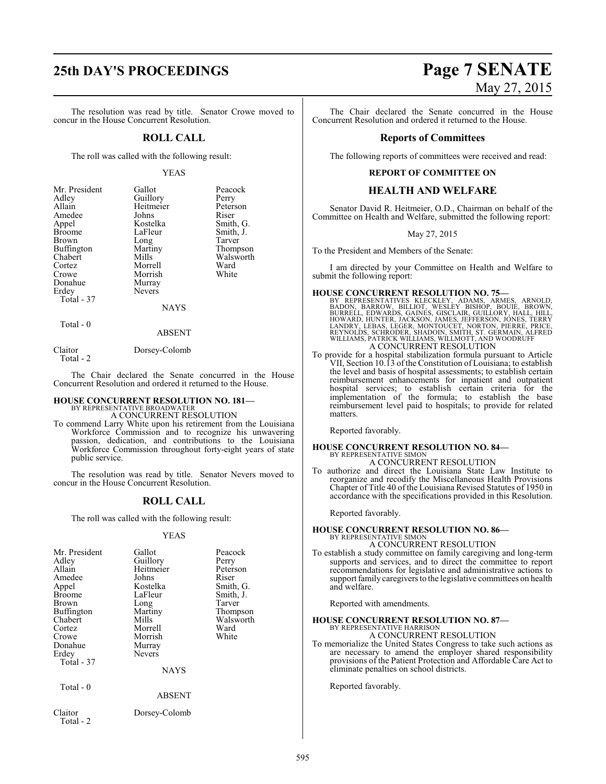# **25th DAY'S PROCEEDINGS Page 7 SENATE**

The resolution was read by title. Senator Crowe moved to concur in the House Concurrent Resolution.

### **ROLL CALL**

The roll was called with the following result:

### YEAS

| Mr. President     | Gallot        | Peacock   |
|-------------------|---------------|-----------|
| Adley             | Guillory      | Perry     |
| Allain            | Heitmeier     | Peterson  |
| Amedee            | Johns         | Riser     |
| Appel             | Kostelka      | Smith, G. |
| <b>Broome</b>     | LaFleur       | Smith, J. |
| Brown             | Long          | Tarver    |
| <b>Buffington</b> | Martiny       | Thompson  |
| Chabert           | Mills         | Walsworth |
| Cortez            | Morrell       | Ward      |
| Crowe             | Morrish       | White     |
| Donahue           | Murray        |           |
| Erdey             | <b>Nevers</b> |           |
| Total - 37        |               |           |
|                   | NAYS          |           |
| Total - 0         |               |           |

### ABSENT

Claitor Dorsey-Colomb Total - 2

The Chair declared the Senate concurred in the House Concurrent Resolution and ordered it returned to the House.

### **HOUSE CONCURRENT RESOLUTION NO. 181—** BY REPRESENTATIVE BROADWATER

A CONCURRENT RESOLUTION

To commend Larry White upon his retirement from the Louisiana Workforce Commission and to recognize his unwavering passion, dedication, and contributions to the Louisiana Workforce Commission throughout forty-eight years of state public service.

The resolution was read by title. Senator Nevers moved to concur in the House Concurrent Resolution.

### **ROLL CALL**

The roll was called with the following result:

### YEAS

| Mr. President<br>Adley<br>Allain<br>Amedee<br>Appel<br><b>Broome</b><br>Brown<br>Buffington<br>Chabert<br>Cortez<br>Crowe<br>Donahue<br>Erdey<br>Total - 37 | Gallot<br>Guillory<br>Heitmeier<br>Johns<br>Kostelka<br>LaFleur<br>Long<br>Martiny<br>Mills<br>Morrell<br>Morrish<br>Murray<br><b>Nevers</b><br><b>NAYS</b> | Peacock<br>Perry<br>Peterson<br>Riser<br>Smith, G.<br>Smith, J.<br>Tarver<br>Thompson<br>Walsworth<br>Ward<br>White |
|-------------------------------------------------------------------------------------------------------------------------------------------------------------|-------------------------------------------------------------------------------------------------------------------------------------------------------------|---------------------------------------------------------------------------------------------------------------------|
| Total - 0                                                                                                                                                   | ABSENT                                                                                                                                                      |                                                                                                                     |
| Claitor<br>Total - 2                                                                                                                                        | Dorsey-Colomb                                                                                                                                               |                                                                                                                     |

# May 27, 2015

The Chair declared the Senate concurred in the House Concurrent Resolution and ordered it returned to the House.

### **Reports of Committees**

The following reports of committees were received and read:

### **REPORT OF COMMITTEE ON**

### **HEALTH AND WELFARE**

Senator David R. Heitmeier, O.D., Chairman on behalf of the Committee on Health and Welfare, submitted the following report:

May 27, 2015

To the President and Members of the Senate:

I am directed by your Committee on Health and Welfare to submit the following report:

### **HOUSE CONCURRENT RESOLUTION NO. 75—**

BY REPRESENTATIVES KLECKLEY, ADAMS, ARMES, ARNOLD,<br>BODON, BARROW, BILLIOT, WESLEY BISHOP, BOUIE, BROWN,<br>BURRELL, EDWARDS, GAINES, GISCLAIR, GUILLORY, HALL, HILL,<br>HOWARD, HUNTER, JACKSON, JAMES, JEFFERSON, JONES, TERRY<br>LAND

To provide for a hospital stabilization formula pursuant to Article VII, Section 10.13 ofthe Constitution of Louisiana; to establish the level and basis of hospital assessments; to establish certain reimbursement enhancements for inpatient and outpatient hospital services; to establish certain criteria for the implementation of the formula; to establish the base reimbursement level paid to hospitals; to provide for related matters.

Reported favorably.

### **HOUSE CONCURRENT RESOLUTION NO. 84—** BY REPRESENTATIVE SIMON A CONCURRENT RESOLUTION

To authorize and direct the Louisiana State Law Institute to reorganize and recodify the Miscellaneous Health Provisions Chapter of Title 40 of the Louisiana Revised Statutes of 1950 in accordance with the specifications provided in this Resolution.

Reported favorably.

### **HOUSE CONCURRENT RESOLUTION NO. 86—** BY REPRESENTATIVE SIMON A CONCURRENT RESOLUTION

To establish a study committee on family caregiving and long-term supports and services, and to direct the committee to report recommendations for legislative and administrative actions to support family caregivers to the legislative committees on health and welfare.

Reported with amendments.

# **HOUSE CONCURRENT RESOLUTION NO. 87—** BY REPRESENTATIVE HARRISON

A CONCURRENT RESOLUTION

To memorialize the United States Congress to take such actions as are necessary to amend the employer shared responsibility provisions of the Patient Protection and Affordable Care Act to eliminate penalties on school districts.

Reported favorably.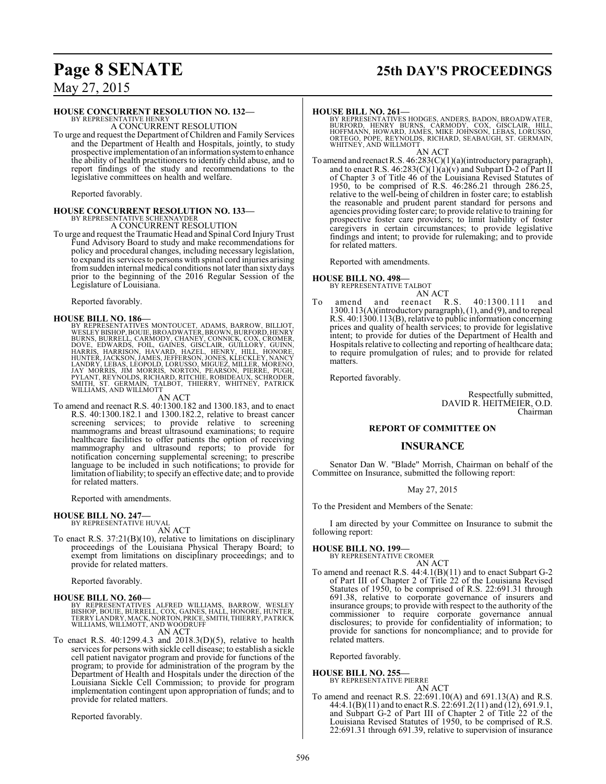# **Page 8 SENATE 25th DAY'S PROCEEDINGS**

May 27, 2015

### **HOUSE CONCURRENT RESOLUTION NO. 132—**

BY REPRESENTATIVE HENRY A CONCURRENT RESOLUTION

To urge and request the Department of Children and Family Services and the Department of Health and Hospitals, jointly, to study prospective implementation of an information systemto enhance the ability of health practitioners to identify child abuse, and to report findings of the study and recommendations to the legislative committees on health and welfare.

Reported favorably.

# **HOUSE CONCURRENT RESOLUTION NO. 133—** BY REPRESENTATIVE SCHEXNAYDER A CONCURRENT RESOLUTION

To urge and request the Traumatic Head and Spinal Cord Injury Trust Fund Advisory Board to study and make recommendations for policy and procedural changes, including necessary legislation, to expand its services to persons with spinal cord injuries arising fromsudden internal medical conditions not later than sixty days prior to the beginning of the 2016 Regular Session of the Legislature of Louisiana.

Reported favorably.

HOUSE BILL NO. 186—<br>BY REPRESENTATIVES MONTOUCET, ADAMS, BARROW, BILLIOT, WESLEY BISHOP, BOUIE, BROADWATER, BROWN, BURFORD, HENRY<br>BURNS, BURRELL, CARMODY, CHANEY, CONNICK, COX, CROMER,<br>DOVE, EDWARDS, FOIL, GAINES, GISCLAIR

### AN ACT

To amend and reenact R.S. 40:1300.182 and 1300.183, and to enact R.S. 40:1300.182.1 and 1300.182.2, relative to breast cancer screening services; to provide relative to screening mammograms and breast ultrasound examinations; to require healthcare facilities to offer patients the option of receiving mammography and ultrasound reports; to provide for notification concerning supplemental screening; to prescribe language to be included in such notifications; to provide for limitation ofliability; to specify an effective date; and to provide for related matters.

Reported with amendments.

### **HOUSE BILL NO. 247—**

BY REPRESENTATIVE HUVAL AN ACT

To enact R.S. 37:21(B)(10), relative to limitations on disciplinary proceedings of the Louisiana Physical Therapy Board; to exempt from limitations on disciplinary proceedings; and to provide for related matters.

Reported favorably.

### **HOUSE BILL NO. 260—**

BY REPRESENTATIVES ALFRED WILLIAMS, BARROW, WESLEY<br>BISHOP, BOUIE, BURRELL, COX, GAINES, HALL, HONORE, HUNTER,<br>TERRY LANDRY,MACK,NORTON,PRICE,SMITH,THIERRY,PATRICK<br>WILLIAMS,WILLMOTT, AND WOODRUFF

AN ACT

To enact R.S. 40:1299.4.3 and 2018.3(D)(5), relative to health services for persons with sickle cell disease; to establish a sickle cell patient navigator program and provide for functions of the program; to provide for administration of the program by the Department of Health and Hospitals under the direction of the Louisiana Sickle Cell Commission; to provide for program implementation contingent upon appropriation of funds; and to provide for related matters.

Reported favorably.

### **HOUSE BILL NO. 261—**

BY REPRESENTATIVES HODGES, ANDERS, BADON, BROADWATER,<br>BURFORD, HENRY BURNS, CARMODY, COX, GISCLAIR, HILL,<br>HOFFMANN, HOWARD, JAMES, MIKE JOHNSON, LEBAS, LORUSSO,<br>ORTEGO, POPE, REYNOLDS, RICHARD, SEABAUGH, ST. GERMAIN,<br>WHITN

AN ACT To amend and reenact R.S. 46:283(C)(1)(a)(introductory paragraph), and to enact R.S.  $46:283(C)(1)(a)(v)$  and Subpart D-2 of Part II of Chapter 3 of Title 46 of the Louisiana Revised Statutes of 1950, to be comprised of R.S. 46:286.21 through 286.25, relative to the well-being of children in foster care; to establish the reasonable and prudent parent standard for persons and agencies providing foster care; to provide relative to training for prospective foster care providers; to limit liability of foster caregivers in certain circumstances; to provide legislative findings and intent; to provide for rulemaking; and to provide for related matters.

Reported with amendments.

### **HOUSE BILL NO. 498—**

BY REPRESENTATIVE TALBOT

AN ACT<br>reenact R.S. To amend and reenact R.S. 40:1300.111 and 1300.113(A)(introductory paragraph), (1), and (9), and to repeal R.S. 40:1300.113(B), relative to public information concerning prices and quality of health services; to provide for legislative intent; to provide for duties of the Department of Health and Hospitals relative to collecting and reporting of healthcare data; to require promulgation of rules; and to provide for related matters.

Reported favorably.

Respectfully submitted, DAVID R. HEITMEIER, O.D. Chairman

### **REPORT OF COMMITTEE ON**

### **INSURANCE**

Senator Dan W. "Blade" Morrish, Chairman on behalf of the Committee on Insurance, submitted the following report:

### May 27, 2015

To the President and Members of the Senate:

I am directed by your Committee on Insurance to submit the following report:

### **HOUSE BILL NO. 199—**

BY REPRESENTATIVE CROMER AN ACT

To amend and reenact R.S. 44:4.1(B)(11) and to enact Subpart G-2 of Part III of Chapter 2 of Title 22 of the Louisiana Revised Statutes of 1950, to be comprised of R.S. 22:691.31 through 691.38, relative to corporate governance of insurers and insurance groups; to provide with respect to the authority of the commissioner to require corporate governance annual disclosures; to provide for confidentiality of information; to provide for sanctions for noncompliance; and to provide for related matters.

Reported favorably.

### **HOUSE BILL NO. 255—** BY REPRESENTATIVE PIERRE

AN ACT

To amend and reenact R.S. 22:691.10(A) and 691.13(A) and R.S. 44:4.1(B)(11) and to enact R.S. 22:691.2(11) and (12), 691.9.1, and Subpart G-2 of Part III of Chapter 2 of Title 22 of the Louisiana Revised Statutes of 1950, to be comprised of R.S. 22:691.31 through 691.39, relative to supervision of insurance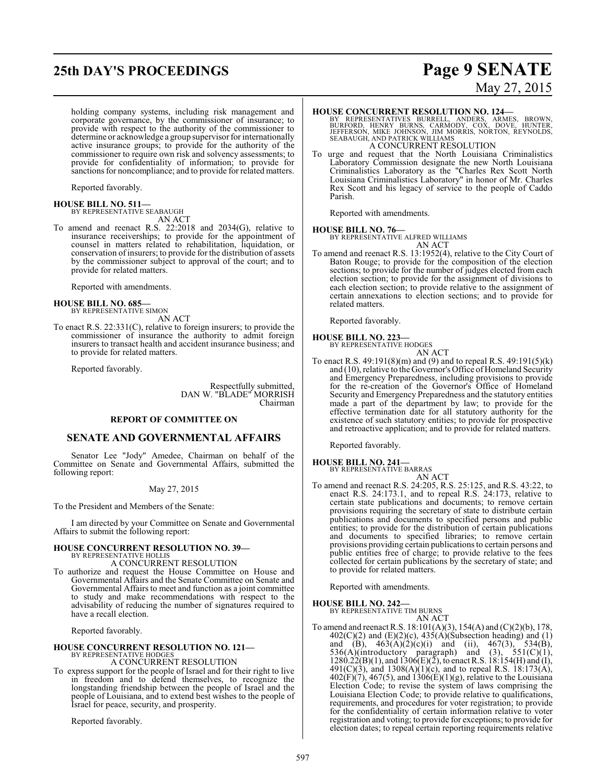# **25th DAY'S PROCEEDINGS Page 9 SENATE**

holding company systems, including risk management and corporate governance, by the commissioner of insurance; to provide with respect to the authority of the commissioner to determine or acknowledge a group supervisor for internationally active insurance groups; to provide for the authority of the commissioner to require own risk and solvency assessments; to provide for confidentiality of information; to provide for sanctions for noncompliance; and to provide for related matters.

Reported favorably.

# **HOUSE BILL NO. 511—** BY REPRESENTATIVE SEABAUGH

AN ACT

To amend and reenact R.S. 22:2018 and 2034(G), relative to insurance receiverships; to provide for the appointment of counsel in matters related to rehabilitation, liquidation, or conservation of insurers; to provide for the distribution of assets by the commissioner subject to approval of the court; and to provide for related matters.

Reported with amendments.

#### **HOUSE BILL NO. 685—** BY REPRESENTATIVE SIMON

AN ACT

To enact R.S. 22:331(C), relative to foreign insurers; to provide the commissioner of insurance the authority to admit foreign insurers to transact health and accident insurance business; and to provide for related matters.

Reported favorably.

Respectfully submitted, DAN W. "BLADE" MORRISH Chairman

### **REPORT OF COMMITTEE ON**

### **SENATE AND GOVERNMENTAL AFFAIRS**

Senator Lee "Jody" Amedee, Chairman on behalf of the Committee on Senate and Governmental Affairs, submitted the following report:

### May 27, 2015

To the President and Members of the Senate:

I am directed by your Committee on Senate and Governmental Affairs to submit the following report:

### **HOUSE CONCURRENT RESOLUTION NO. 39—** BY REPRESENTATIVE HOLLIS

A CONCURRENT RESOLUTION

To authorize and request the House Committee on House and Governmental Affairs and the Senate Committee on Senate and Governmental Affairs to meet and function as a joint committee to study and make recommendations with respect to the advisability of reducing the number of signatures required to have a recall election.

Reported favorably.

### **HOUSE CONCURRENT RESOLUTION NO. 121—**

BY REPRESENTATIVE HODGES A CONCURRENT RESOLUTION

To express support for the people of Israel and for their right to live in freedom and to defend themselves, to recognize the longstanding friendship between the people of Israel and the people of Louisiana, and to extend best wishes to the people of Israel for peace, security, and prosperity.

Reported favorably.

# May 27, 2015

### **HOUSE CONCURRENT RESOLUTION NO. 124—**

BY REPRESENTATIVES BURRELL, ANDERS, ARMES, BROWN,<br>BURFORD, HENRY BURNS, CARMODY, COX, DOVE, HUNTER,<br>JEFFERSON, MIKE JOHNSON, JIM MORRIS, NORTON, REYNOLDS,<br>SEABAUGH, AND PATRICK WILLIAMS A CONCURRENT RESOLUTION

To urge and request that the North Louisiana Criminalistics Laboratory Commission designate the new North Louisiana Criminalistics Laboratory as the "Charles Rex Scott North Louisiana Criminalistics Laboratory" in honor of Mr. Charles Rex Scott and his legacy of service to the people of Caddo Parish.

Reported with amendments.

### **HOUSE BILL NO. 76—**

BY REPRESENTATIVE ALFRED WILLIAMS

AN ACT To amend and reenact R.S. 13:1952(4), relative to the City Court of Baton Rouge; to provide for the composition of the election sections; to provide for the number of judges elected from each election section; to provide for the assignment of divisions to each election section; to provide relative to the assignment of certain annexations to election sections; and to provide for related matters.

Reported favorably.

### **HOUSE BILL NO. 223—**

BY REPRESENTATIVE HODGES AN ACT

To enact R.S. 49:191(8)(m) and (9) and to repeal R.S. 49:191(5)(k) and (10), relative to the Governor's Office of Homeland Security and Emergency Preparedness, including provisions to provide for the re-creation of the Governor's Office of Homeland Security and Emergency Preparedness and the statutory entities made a part of the department by law; to provide for the effective termination date for all statutory authority for the existence of such statutory entities; to provide for prospective and retroactive application; and to provide for related matters.

Reported favorably.

### **HOUSE BILL NO. 241—**

BY REPRESENTATIVE BARRAS

AN ACT To amend and reenact R.S. 24:205, R.S. 25:125, and R.S. 43:22, to enact R.S. 24:173.1, and to repeal R.S. 24:173, relative to certain state publications and documents; to remove certain provisions requiring the secretary of state to distribute certain publications and documents to specified persons and public entities; to provide for the distribution of certain publications and documents to specified libraries; to remove certain provisions providing certain publications to certain persons and public entities free of charge; to provide relative to the fees collected for certain publications by the secretary of state; and to provide for related matters.

Reported with amendments.

**HOUSE BILL NO. 242—**

BY REPRESENTATIVE TIM BURNS AN ACT

To amend and reenact R.S. 18:101(A)(3), 154(A) and (C)(2)(b), 178, 402(C)(2) and (E)(2)(c),  $43\overline{S(A)}$ (Subsection heading) and (1) and (B),  $463(A)(2)(c)(i)$  and (ii),  $467(3)$ ,  $534(B)$ , 536(A)(introductory paragraph) and (3),  $551(C)(1)$ ,  $1280.22(B)(1)$ , and  $1306(E)(2)$ , to enact R.S.  $18:154(H)$  and (I), 491(C)(3), and 1308(A)(1)(c), and to repeal R.S. 18:173(A),  $402(F)(7)$ ,  $467(5)$ , and  $1306(E)(1)(g)$ , relative to the Louisiana Election Code; to revise the system of laws comprising the Louisiana Election Code; to provide relative to qualifications, requirements, and procedures for voter registration; to provide for the confidentiality of certain information relative to voter registration and voting; to provide for exceptions; to provide for election dates; to repeal certain reporting requirements relative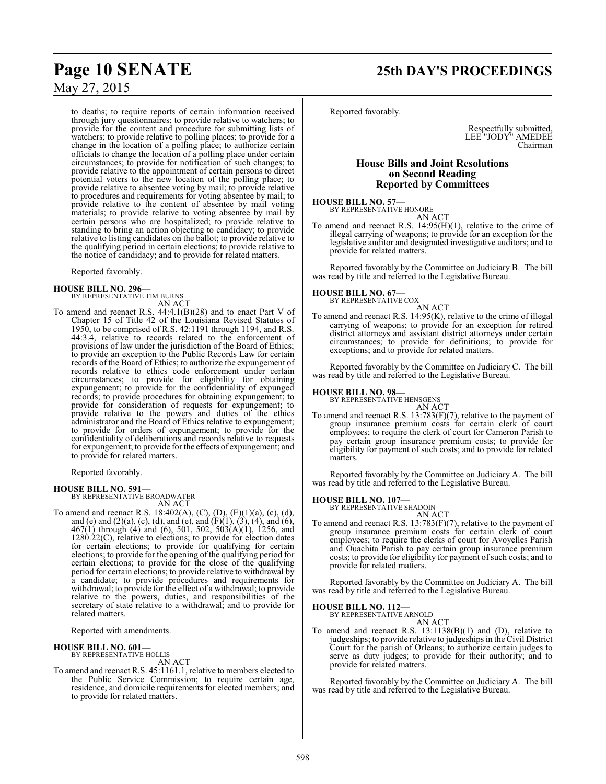## **Page 10 SENATE 25th DAY'S PROCEEDINGS**

May 27, 2015

to deaths; to require reports of certain information received through jury questionnaires; to provide relative to watchers; to provide for the content and procedure for submitting lists of watchers; to provide relative to polling places; to provide for a change in the location of a polling place; to authorize certain officials to change the location of a polling place under certain circumstances; to provide for notification of such changes; to provide relative to the appointment of certain persons to direct potential voters to the new location of the polling place; to provide relative to absentee voting by mail; to provide relative to procedures and requirements for voting absentee by mail; to provide relative to the content of absentee by mail voting materials; to provide relative to voting absentee by mail by certain persons who are hospitalized; to provide relative to standing to bring an action objecting to candidacy; to provide relative to listing candidates on the ballot; to provide relative to the qualifying period in certain elections; to provide relative to the notice of candidacy; and to provide for related matters.

Reported favorably.

# **HOUSE BILL NO. 296—** BY REPRESENTATIVE TIM BURNS

AN ACT

To amend and reenact R.S. 44:4.1(B)(28) and to enact Part V of Chapter 15 of Title 42 of the Louisiana Revised Statutes of 1950, to be comprised of R.S. 42:1191 through 1194, and R.S. 44:3.4, relative to records related to the enforcement of provisions of law under the jurisdiction of the Board of Ethics; to provide an exception to the Public Records Law for certain records of the Board of Ethics; to authorize the expungement of records relative to ethics code enforcement under certain circumstances; to provide for eligibility for obtaining expungement; to provide for the confidentiality of expunged records; to provide procedures for obtaining expungement; to provide for consideration of requests for expungement; to provide relative to the powers and duties of the ethics administrator and the Board of Ethics relative to expungement; to provide for orders of expungement; to provide for the confidentiality of deliberations and records relative to requests for expungement; to provide for the effects of expungement; and to provide for related matters.

Reported favorably.

**HOUSE BILL NO. 591—** BY REPRESENTATIVE BROADWATER

AN ACT

To amend and reenact R.S. 18:402(A), (C), (D), (E)(1)(a), (c), (d), and (e) and  $(2)(a)$ , (c), (d), and (e), and (F)(1), (3), (4), and (6), 467(1) through (4) and (6), 501, 502, 503(A)(1), 1256, and  $1280.22(C)$ , relative to elections; to provide for election dates for certain elections; to provide for qualifying for certain elections; to provide for the opening of the qualifying period for certain elections; to provide for the close of the qualifying period for certain elections; to provide relative to withdrawal by a candidate; to provide procedures and requirements for withdrawal; to provide for the effect of a withdrawal; to provide relative to the powers, duties, and responsibilities of the secretary of state relative to a withdrawal; and to provide for related matters.

Reported with amendments.

### **HOUSE BILL NO. 601—**

BY REPRESENTATIVE HOLLIS

AN ACT To amend and reenact R.S. 45:1161.1, relative to members elected to the Public Service Commission; to require certain age, residence, and domicile requirements for elected members; and to provide for related matters.

Reported favorably.

Respectfully submitted, LEE "JODY" AMEDEE Chairman

### **House Bills and Joint Resolutions on Second Reading Reported by Committees**

**HOUSE BILL NO. 57—**

BY REPRESENTATIVE HONORE AN ACT

To amend and reenact R.S. 14:95(H)(1), relative to the crime of illegal carrying of weapons; to provide for an exception for the legislative auditor and designated investigative auditors; and to provide for related matters.

Reported favorably by the Committee on Judiciary B. The bill was read by title and referred to the Legislative Bureau.

### **HOUSE BILL NO. 67—**

BY REPRESENTATIVE COX

AN ACT To amend and reenact R.S. 14:95(K), relative to the crime of illegal carrying of weapons; to provide for an exception for retired district attorneys and assistant district attorneys under certain circumstances; to provide for definitions; to provide for exceptions; and to provide for related matters.

Reported favorably by the Committee on Judiciary C. The bill was read by title and referred to the Legislative Bureau.

**HOUSE BILL NO. 98—** BY REPRESENTATIVE HENSGENS AN ACT

To amend and reenact R.S. 13:783(F)(7), relative to the payment of group insurance premium costs for certain clerk of court employees; to require the clerk of court for Cameron Parish to pay certain group insurance premium costs; to provide for eligibility for payment of such costs; and to provide for related matters.

Reported favorably by the Committee on Judiciary A. The bill was read by title and referred to the Legislative Bureau.

### **HOUSE BILL NO. 107—**

BY REPRESENTATIVE SHADOIN

AN ACT To amend and reenact R.S. 13:783(F)(7), relative to the payment of group insurance premium costs for certain clerk of court employees; to require the clerks of court for Avoyelles Parish and Ouachita Parish to pay certain group insurance premium costs; to provide for eligibility for payment of such costs; and to provide for related matters.

Reported favorably by the Committee on Judiciary A. The bill was read by title and referred to the Legislative Bureau.

**HOUSE BILL NO. 112—** BY REPRESENTATIVE ARNOLD

- AN ACT
- To amend and reenact R.S. 13:1138(B)(1) and (D), relative to judgeships; to provide relative to judgeships in the Civil District Court for the parish of Orleans; to authorize certain judges to serve as duty judges; to provide for their authority; and to provide for related matters.

Reported favorably by the Committee on Judiciary A. The bill was read by title and referred to the Legislative Bureau.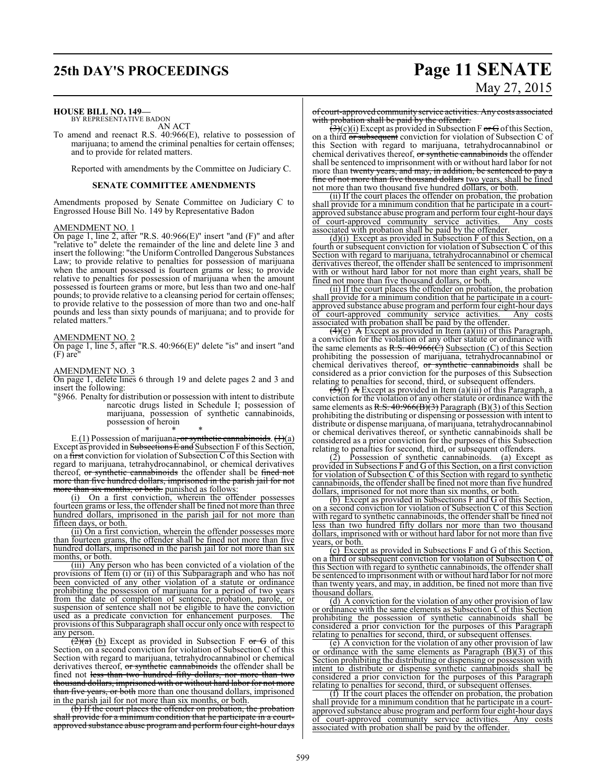### **HOUSE BILL NO. 149—**

BY REPRESENTATIVE BADON AN ACT

To amend and reenact R.S. 40:966(E), relative to possession of marijuana; to amend the criminal penalties for certain offenses; and to provide for related matters.

Reported with amendments by the Committee on Judiciary C.

### **SENATE COMMITTEE AMENDMENTS**

Amendments proposed by Senate Committee on Judiciary C to Engrossed House Bill No. 149 by Representative Badon

### AMENDMENT NO. 1

On page 1, line 2, after "R.S. 40:966(E)" insert "and (F)" and after "relative to" delete the remainder of the line and delete line 3 and insert the following: "the Uniform Controlled Dangerous Substances Law; to provide relative to penalties for possession of marijuana when the amount possessed is fourteen grams or less; to provide relative to penalties for possession of marijuana when the amount possessed is fourteen grams or more, but less than two and one-half pounds; to provide relative to a cleansing period for certain offenses; to provide relative to the possession of more than two and one-half pounds and less than sixty pounds of marijuana; and to provide for related matters."

### AMENDMENT NO. 2

On page 1, line 5, after "R.S. 40:966(E)" delete "is" and insert "and  $(F)$  are

### AMENDMENT NO. 3

On page 1, delete lines 6 through 19 and delete pages 2 and 3 and insert the following:

"§966. Penalty for distribution or possession with intent to distribute narcotic drugs listed in Schedule I; possession of marijuana, possession of synthetic cannabinoids, possession of heroin \* \* \*

E.<u>(1)</u> Possession of marijuana<del>, or synthetic cannabinoids</del>. <del>(1)</del>(a) Except as provided in Subsections E and Subsection F of this Section, on a first conviction for violation of Subsection  $\overline{C}$  of this Section with regard to marijuana, tetrahydrocannabinol, or chemical derivatives thereof, or synthetic cannabinoids the offender shall be fined not more than five hundred dollars, imprisoned in the parish jail for not more than six months, or both. punished as follows:

(i) On a first conviction, wherein the offender possesses fourteen grams or less, the offender shall be fined not more than three hundred dollars, imprisoned in the parish jail for not more than fifteen days, or both.

(ii) On a first conviction, wherein the offender possesses more than fourteen grams, the offender shall be fined not more than five hundred dollars, imprisoned in the parish jail for not more than six months, or both.

(iii) Any person who has been convicted of a violation of the provisions of Item (i) or (ii) of this Subparagraph and who has not been convicted of any other violation of a statute or ordinance prohibiting the possession of marijuana for a period of two years from the date of completion of sentence, probation, parole, or suspension of sentence shall not be eligible to have the conviction<br>used as a predicate conviction for enhancement purposes. The used as a predicate conviction for enhancement purposes. provisions of this Subparagraph shall occur only once with respect to any person.

 $\overline{(2)(a)}$  (b) Except as provided in Subsection F or G of this Section, on a second conviction for violation of Subsection C of this Section with regard to marijuana, tetrahydrocannabinol or chemical derivatives thereof, or synthetic cannabinoids the offender shall be fined not less than two hundred fifty dollars, nor more than two thousand dollars, imprisoned with or without hard labor for not more than five years, or both more than one thousand dollars, imprisoned in the parish jail for not more than six months, or both.

(b) If the court places the offender on probation, the probation shall provide for a minimum condition that he participate in a courtapproved substance abuse program and perform four eight-hour days

# **25th DAY'S PROCEEDINGS Page 11 SENATE** May 27, 2015

of court-approved community service activities. Any costs associated with probation shall be paid by the offender.

 $(3)(c)(i)$  Except as provided in Subsection F or G of this Section, on a third or subsequent conviction for violation of Subsection C of this Section with regard to marijuana, tetrahydrocannabinol or chemical derivatives thereof, or synthetic cannabinoids the offender shall be sentenced to imprisonment with or without hard labor for not more than twenty years, and may, in addition, be sentenced to pay fine of not more than five thousand dollars two years, shall be fined not more than two thousand five hundred dollars, or both.

(ii) If the court places the offender on probation, the probation shall provide for a minimum condition that he participate in a courtapproved substance abuse program and perform four eight-hour days<br>of court-approved community service activities. Any costs of court-approved community service activities. associated with probation shall be paid by the offender.

(d)(i) Except as provided in Subsection F of this Section, on a fourth or subsequent conviction for violation of Subsection C of this Section with regard to marijuana, tetrahydrocannabinol or chemical derivatives thereof, the offender shall be sentenced to imprisonment with or without hard labor for not more than eight years, shall be fined not more than five thousand dollars, or both.

(ii) If the court places the offender on probation, the probation shall provide for a minimum condition that he participate in a courtapproved substance abuse programand performfour eight-hour days of court-approved community service activities. Any costs associated with probation shall be paid by the offender.

 $\overline{(4)}$ (e) A Except as provided in Item (a)(iii) of this Paragraph, a conviction for the violation of any other statute or ordinance with the same elements as R.S.  $40:966(\hat{C})$  Subsection (C) of this Section prohibiting the possession of marijuana, tetrahydrocannabinol or chemical derivatives thereof, or synthetic cannabinoids shall be considered as a prior conviction for the purposes of this Subsection relating to penalties for second, third, or subsequent offenders.

 $\left(\frac{5}{5}\right)(f)$  A Except as provided in Item (a)(iii) of this Paragraph, a conviction for the violation of any other statute or ordinance with the same elements as R.S.  $40:966(B)(3)$  Paragraph (B)(3) of this Section prohibiting the distributing or dispensing or possession with intent to distribute or dispense marijuana, of marijuana, tetrahydrocannabinol or chemical derivatives thereof, or synthetic cannabinoids shall be considered as a prior conviction for the purposes of this Subsection relating to penalties for second, third, or subsequent offenders.<br>(2) Possession of synthetic cannabinoids. (a) Exception

Possession of synthetic cannabinoids. (a) Except as provided in Subsections F and G of this Section, on a first conviction for violation of Subsection C of this Section with regard to synthetic cannabinoids, the offender shall be fined not more than five hundred dollars, imprisoned for not more than six months, or both.

(b) Except as provided in Subsections F and G of this Section, on a second conviction for violation of Subsection C of this Section with regard to synthetic cannabinoids, the offender shall be fined not less than two hundred fifty dollars nor more than two thousand dollars, imprisoned with or without hard labor for not more than five years, or both.

(c) Except as provided in Subsections F and G of this Section, on a third or subsequent conviction for violation of Subsection C of this Section with regard to synthetic cannabinoids, the offender shall be sentenced to imprisonment with or without hard labor for not more than twenty years, and may, in addition, be fined not more than five thousand dollars.

(d) A conviction for the violation of any other provision of law or ordinance with the same elements as Subsection C of this Section prohibiting the possession of synthetic cannabinoids shall be considered a prior conviction for the purposes of this Paragraph relating to penalties for second, third, or subsequent offenses.

(e) A conviction for the violation of any other provision of law or ordinance with the same elements as Paragraph  $(B)(3)$  of this Section prohibiting the distributing or dispensing or possession with intent to distribute or dispense synthetic cannabinoids shall be considered a prior conviction for the purposes of this Paragraph relating to penalties for second, third, or subsequent offenses.

(f) If the court places the offender on probation, the probation shall provide for a minimum condition that he participate in a courtapproved substance abuse program and perform four eight-hour days of court-approved community service activities. Any costs associated with probation shall be paid by the offender.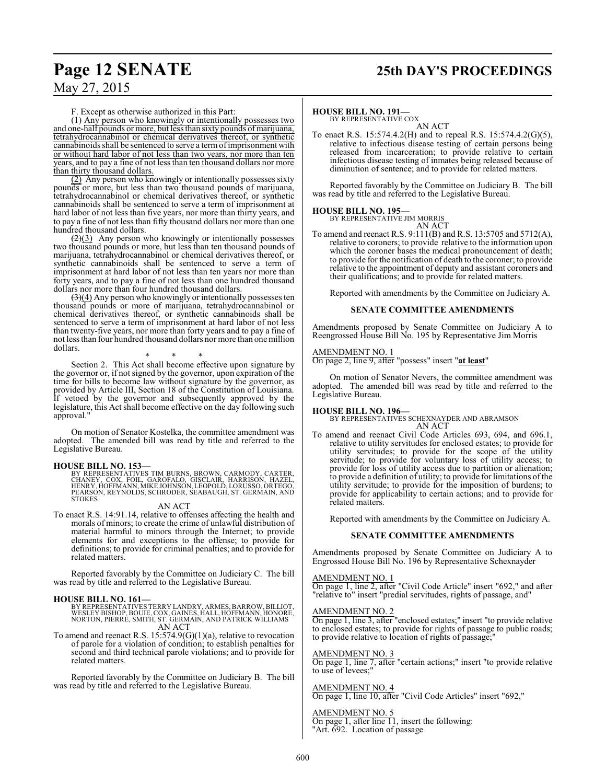## **Page 12 SENATE 25th DAY'S PROCEEDINGS**

F. Except as otherwise authorized in this Part:

(1) Any person who knowingly or intentionally possesses two and one-half pounds or more, but less than sixty pounds of marijuana, tetrahydrocannabinol or chemical derivatives thereof, or synthetic cannabinoids shall be sentenced to serve a termofimprisonment with or without hard labor of not less than two years, nor more than ten years, and to pay a fine of not less than ten thousand dollars nor more than thirty thousand dollars.

(2) Any person who knowingly or intentionally possesses sixty pounds or more, but less than two thousand pounds of marijuana, tetrahydrocannabinol or chemical derivatives thereof, or synthetic cannabinoids shall be sentenced to serve a term of imprisonment at hard labor of not less than five years, nor more than thirty years, and to pay a fine of not less than fifty thousand dollars nor more than one hundred thousand dollars.

 $\left( \frac{2}{3} \right)$  Any person who knowingly or intentionally possesses two thousand pounds or more, but less than ten thousand pounds of marijuana, tetrahydrocannabinol or chemical derivatives thereof, or synthetic cannabinoids shall be sentenced to serve a term of imprisonment at hard labor of not less than ten years nor more than forty years, and to pay a fine of not less than one hundred thousand dollars nor more than four hundred thousand dollars.

 $(3)(4)$  Any person who knowingly or intentionally possesses ten thousand pounds or more of marijuana, tetrahydrocannabinol or chemical derivatives thereof, or synthetic cannabinoids shall be sentenced to serve a term of imprisonment at hard labor of not less than twenty-five years, nor more than forty years and to pay a fine of not less than four hundred thousand dollars nor more than one million dollars.

\* \* \*

Section 2. This Act shall become effective upon signature by the governor or, if not signed by the governor, upon expiration of the time for bills to become law without signature by the governor, as provided by Article III, Section 18 of the Constitution of Louisiana. If vetoed by the governor and subsequently approved by the legislature, this Act shall become effective on the day following such approval."

On motion of Senator Kostelka, the committee amendment was adopted. The amended bill was read by title and referred to the Legislative Bureau.

**HOUSE BILL NO. 153—** BY REPRESENTATIVES TIM BURNS, BROWN, CARMODY, CARTER, CHANEY, COX, FOIL, GAROFALO, GISCLAIR, HARRISON, HAZEL, HENRY, HOFFMANN, MIKE JOHNSON, LEOPOLD, LORUSSO, ORTEGO, PEARSON, REYNOLDS, SCHRODER, SEABAUGH, ST. GERMAIN, AND STOKES

AN ACT

To enact R.S. 14:91.14, relative to offenses affecting the health and morals of minors; to create the crime of unlawful distribution of material harmful to minors through the Internet; to provide elements for and exceptions to the offense; to provide for definitions; to provide for criminal penalties; and to provide for related matters.

Reported favorably by the Committee on Judiciary C. The bill was read by title and referred to the Legislative Bureau.

**HOUSE BILL NO. 161—** BY REPRESENTATIVES TERRY LANDRY, ARMES, BARROW, BILLIOT, WESLEY BISHOP, BOUIE, COX, GAINES, HALL, HOFFMANN, HONORE, NORTON, PIERRE, SMITH, ST. GERMAIN, AND PATRICK WILLIAMS AN ACT

To amend and reenact R.S. 15:574.9(G)(1)(a), relative to revocation of parole for a violation of condition; to establish penalties for second and third technical parole violations; and to provide for related matters.

Reported favorably by the Committee on Judiciary B. The bill was read by title and referred to the Legislative Bureau.

### **HOUSE BILL NO. 191—**

BY REPRESENTATIVE COX AN ACT

To enact R.S. 15:574.4.2(H) and to repeal R.S. 15:574.4.2(G)(5), relative to infectious disease testing of certain persons being released from incarceration; to provide relative to certain infectious disease testing of inmates being released because of diminution of sentence; and to provide for related matters.

Reported favorably by the Committee on Judiciary B. The bill was read by title and referred to the Legislative Bureau.

### **HOUSE BILL NO. 195—**

BY REPRESENTATIVE JIM MORRIS AN ACT

To amend and reenact R.S. 9:111(B) and R.S. 13:5705 and 5712(A), relative to coroners; to provide relative to the information upon which the coroner bases the medical pronouncement of death; to provide for the notification of death to the coroner; to provide relative to the appointment of deputy and assistant coroners and their qualifications; and to provide for related matters.

Reported with amendments by the Committee on Judiciary A.

### **SENATE COMMITTEE AMENDMENTS**

Amendments proposed by Senate Committee on Judiciary A to Reengrossed House Bill No. 195 by Representative Jim Morris

### AMENDMENT NO. 1

On page 2, line 9, after "possess" insert "**at least**"

On motion of Senator Nevers, the committee amendment was adopted. The amended bill was read by title and referred to the Legislative Bureau.

**HOUSE BILL NO. 196—** BY REPRESENTATIVES SCHEXNAYDER AND ABRAMSON AN ACT

To amend and reenact Civil Code Articles 693, 694, and 696.1, relative to utility servitudes for enclosed estates; to provide for utility servitudes; to provide for the scope of the utility servitude; to provide for voluntary loss of utility access; to provide for loss of utility access due to partition or alienation; to provide a definition of utility; to provide for limitations ofthe utility servitude; to provide for the imposition of burdens; to provide for applicability to certain actions; and to provide for related matters.

Reported with amendments by the Committee on Judiciary A.

### **SENATE COMMITTEE AMENDMENTS**

Amendments proposed by Senate Committee on Judiciary A to Engrossed House Bill No. 196 by Representative Schexnayder

### AMENDMENT NO. 1

On page 1, line 2, after "Civil Code Article" insert "692," and after "relative to" insert "predial servitudes, rights of passage, and"

### AMENDMENT NO. 2

On page 1, line 3, after "enclosed estates;" insert "to provide relative to enclosed estates; to provide for rights of passage to public roads; to provide relative to location of rights of passage;

### AMENDMENT NO. 3

On page 1, line 7, after "certain actions;" insert "to provide relative to use of levees;"

### AMENDMENT NO. 4

On page 1, line 10, after "Civil Code Articles" insert "692,"

### AMENDMENT NO. 5

On page 1, after line  $\overline{11}$ , insert the following:

"Art. 692. Location of passage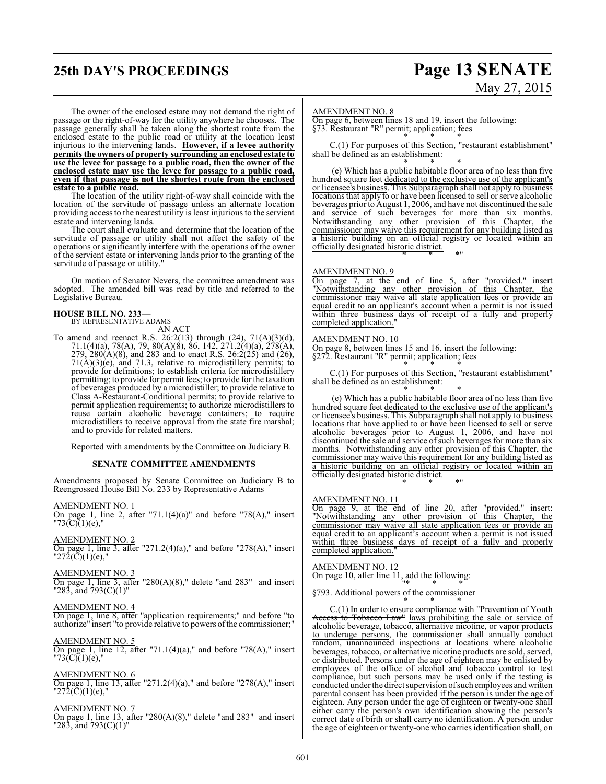## **25th DAY'S PROCEEDINGS Page 13 SENATE**

# May 27, 2015

The owner of the enclosed estate may not demand the right of passage or the right-of-way for the utility anywhere he chooses. The passage generally shall be taken along the shortest route from the enclosed estate to the public road or utility at the location least injurious to the intervening lands. **However, if a levee authority permits the owners of property surrounding an enclosed estate to use the levee for passage to a public road, then the owner of the enclosed estate may use the levee for passage to a public road, even if that passage is not the shortest route from the enclosed estate to a public road.**

The location of the utility right-of-way shall coincide with the location of the servitude of passage unless an alternate location providing access to the nearest utility is least injuriousto the servient estate and intervening lands.

The court shall evaluate and determine that the location of the servitude of passage or utility shall not affect the safety of the operations or significantly interfere with the operations of the owner of the servient estate or intervening lands prior to the granting of the servitude of passage or utility."

On motion of Senator Nevers, the committee amendment was adopted. The amended bill was read by title and referred to the Legislative Bureau.

### **HOUSE BILL NO. 233—**

BY REPRESENTATIVE ADAMS

AN ACT To amend and reenact R.S. 26:2(13) through  $(24)$ , 71(A)(3)(d), 71.1(4)(a), 78(A), 79, 80(A)(8), 86, 142, 271.2(4)(a), 278(A), 279,  $280(A)(8)$ , and  $283$  and to enact R.S.  $26:2(25)$  and  $(26)$ ,  $71(A)(3)(e)$ , and  $71.3$ , relative to microdistillery permits; to provide for definitions; to establish criteria for microdistillery permitting; to provide for permit fees; to provide for the taxation of beverages produced by a microdistiller; to provide relative to Class A-Restaurant-Conditional permits; to provide relative to permit application requirements; to authorize microdistillers to

reuse certain alcoholic beverage containers; to require microdistillers to receive approval from the state fire marshal; and to provide for related matters.

Reported with amendments by the Committee on Judiciary B.

### **SENATE COMMITTEE AMENDMENTS**

Amendments proposed by Senate Committee on Judiciary B to Reengrossed House Bill No. 233 by Representative Adams

AMENDMENT NO. 1 On page 1, line 2, after "71.1(4)(a)" and before "78(A)," insert  $"73(\overline{C})(1)(e),"$ 

AMENDMENT NO. 2 On page 1, line 3, after "271.2(4)(a)," and before "278(A)," insert  $\overline{272}(\overline{C})(1)(e)$ ,"

### AMENDMENT NO. 3

On page 1, line 3, after "280(A)(8)," delete "and 283" and insert "283, and 793(C)(1)"

### AMENDMENT NO. 4

On page 1, line 8, after "application requirements;" and before "to authorize" insert "to provide relative to powers ofthe commissioner;"

### AMENDMENT NO. 5

On page 1, line 12, after "71.1(4)(a)," and before "78(A)," insert  $"73(C)(1)(e),"$ 

### AMENDMENT NO. 6

On page 1, line 13, after "271.2(4)(a)," and before "278(A)," insert  $"272(\overline{C})(1)(e),"$ 

### AMENDMENT NO. 7

On page 1, line 13, after "280(A)(8)," delete "and 283" and insert "283, and 793(C)(1)"

#### AMENDMENT NO. 8

On page 6, between lines 18 and 19, insert the following: §73. Restaurant "R" permit; application; fees \* \* \*

C.(1) For purposes of this Section, "restaurant establishment" shall be defined as an establishment:

\* \* \* (e) Which has a public habitable floor area of no less than five hundred square feet dedicated to the exclusive use of the applicant's or licensee's business. This Subparagraph shall not apply to business locations that apply to or have been licensed to sell or serve alcoholic beverages priorto August 1, 2006, and have not discontinued the sale and service of such beverages for more than six months. Notwithstanding any other provision of this Chapter, the commissioner may waive this requirement for any building listed as a historic building on an official registry or located within an officially designated historic district. \* \* \*"

### AMENDMENT NO. 9

On page 7, at the end of line 5, after "provided." insert "Notwithstanding any other provision of this Chapter, the commissioner may waive all state application fees or provide an equal credit to an applicant's account when a permit is not issued within three business days of receipt of a fully and properly completed application.

#### AMENDMENT NO. 10

On page 8, between lines 15 and 16, insert the following: §272. Restaurant "R" permit; application; fees \* \* \*

C.(1) For purposes of this Section, "restaurant establishment" shall be defined as an establishment:

\* \* \* (e) Which has a public habitable floor area of no less than five hundred square feet dedicated to the exclusive use of the applicant's or licensee's business. This Subparagraph shall not apply to business locations that have applied to or have been licensed to sell or serve alcoholic beverages prior to August 1, 2006, and have not discontinued the sale and service of such beverages for more than six months. Notwithstanding any other provision of this Chapter, the commissioner may waive this requirement for any building listed as a historic building on an official registry or located within an officially designated historic district. \* \* \*"

### AMENDMENT NO. 11

On page 9, at the end of line 20, after "provided." insert: "Notwithstanding any other provision of this Chapter, the commissioner may waive all state application fees or provide an equal credit to an applicant's account when a permit is not issued within three business days of receipt of a fully and properly completed application.

### AMENDMENT NO. 12

On page 10, after line 11, add the following: "\* \* \*

§793. Additional powers of the commissioner \* \* \*

C.(1) In order to ensure compliance with "Prevention of Youth Access to Tobacco Law" laws prohibiting the sale or service of alcoholic beverage, tobacco, alternative nicotine, or vapor products to underage persons, the commissioner shall annually conduct random, unannounced inspections at locations where alcoholic beverages, tobacco, or alternative nicotine products are sold, served, or distributed. Persons under the age of eighteen may be enlisted by employees of the office of alcohol and tobacco control to test compliance, but such persons may be used only if the testing is conducted under the direct supervision ofsuch employees and written parental consent has been provided if the person is under the age of eighteen. Any person under the age of eighteen or twenty-one shall either carry the person's own identification showing the person's correct date of birth or shall carry no identification. A person under the age of eighteen or twenty-one who carries identification shall, on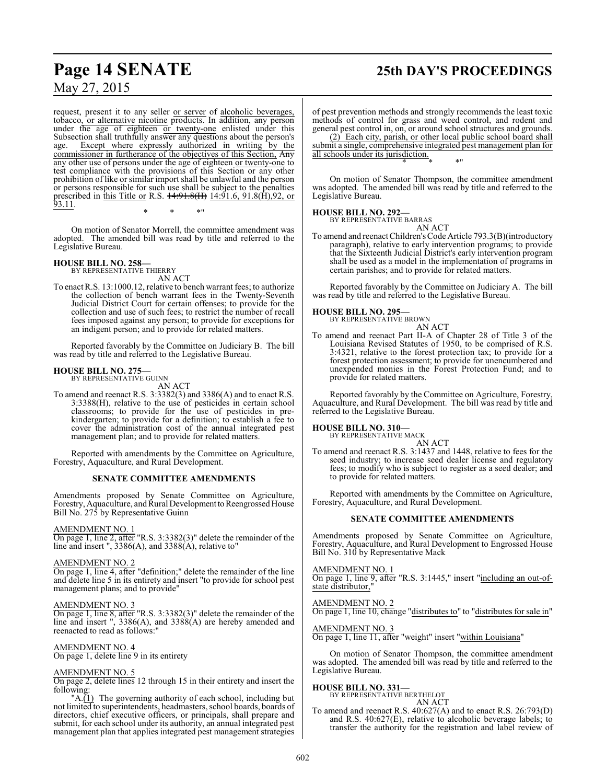## **Page 14 SENATE 25th DAY'S PROCEEDINGS**

May 27, 2015

request, present it to any seller or server of alcoholic beverages, tobacco, or alternative nicotine products. In addition, any person under the age of eighteen or twenty-one enlisted under this Subsection shall truthfully answer any questions about the person's age. Except where expressly authorized in writing by the Except where expressly authorized in writing by the commissioner in furtherance of the objectives of this Section, Any any other use of persons under the age of eighteen or twenty-one to test compliance with the provisions of this Section or any other prohibition of like or similar import shall be unlawful and the person or persons responsible for such use shall be subject to the penalties prescribed in this Title or R.S. <del>14:91.8(II)</del> 14:91.6, 91.8(H),92, or <u>93.11</u>.

\* \* \*"

On motion of Senator Morrell, the committee amendment was adopted. The amended bill was read by title and referred to the Legislative Bureau.

### **HOUSE BILL NO. 258—**

BY REPRESENTATIVE THIERRY AN ACT

To enact R.S. 13:1000.12, relative to bench warrant fees; to authorize the collection of bench warrant fees in the Twenty-Seventh Judicial District Court for certain offenses; to provide for the collection and use of such fees; to restrict the number of recall fees imposed against any person; to provide for exceptions for an indigent person; and to provide for related matters.

Reported favorably by the Committee on Judiciary B. The bill was read by title and referred to the Legislative Bureau.

#### **HOUSE BILL NO. 275—** BY REPRESENTATIVE GUINN

AN ACT

To amend and reenact R.S. 3:3382(3) and 3386(A) and to enact R.S. 3:3388(H), relative to the use of pesticides in certain school classrooms; to provide for the use of pesticides in prekindergarten; to provide for a definition; to establish a fee to cover the administration cost of the annual integrated pest management plan; and to provide for related matters.

Reported with amendments by the Committee on Agriculture, Forestry, Aquaculture, and Rural Development.

### **SENATE COMMITTEE AMENDMENTS**

Amendments proposed by Senate Committee on Agriculture, Forestry, Aquaculture, and Rural Development to Reengrossed House Bill No. 275 by Representative Guinn

### AMENDMENT NO. 1

On page 1, line 2, after "R.S. 3:3382(3)" delete the remainder of the line and insert ",  $3386(A)$ , and  $3388(A)$ , relative to"

### AMENDMENT NO. 2

On page 1, line 4, after "definition;" delete the remainder of the line and delete line 5 in its entirety and insert "to provide for school pest management plans; and to provide"

### AMENDMENT NO. 3

On page 1, line 8, after "R.S. 3:3382(3)" delete the remainder of the line and insert ", 3386(A), and 3388(A) are hereby amended and reenacted to read as follows:"

### AMENDMENT NO. 4

On page 1, delete line 9 in its entirety

### AMENDMENT NO. 5

On page 2, delete lines 12 through 15 in their entirety and insert the following:

"A.(1) The governing authority of each school, including but not limited to superintendents, headmasters, school boards, boards of directors, chief executive officers, or principals, shall prepare and submit, for each school under its authority, an annual integrated pest management plan that applies integrated pest management strategies of pest prevention methods and strongly recommends the least toxic methods of control for grass and weed control, and rodent and general pest control in, on, or around school structures and grounds. (2) Each city, parish, or other local public school board shall

submit a single, comprehensive integrated pest management plan for all schools under its jurisdiction. \* \* \*"

On motion of Senator Thompson, the committee amendment was adopted. The amended bill was read by title and referred to the Legislative Bureau.

### **HOUSE BILL NO. 292—** BY REPRESENTATIVE BARRAS

AN ACT

To amend and reenact Children's Code Article 793.3(B)(introductory paragraph), relative to early intervention programs; to provide that the Sixteenth Judicial District's early intervention program shall be used as a model in the implementation of programs in certain parishes; and to provide for related matters.

Reported favorably by the Committee on Judiciary A. The bill was read by title and referred to the Legislative Bureau.

### **HOUSE BILL NO. 295—**

BY REPRESENTATIVE BROWN AN ACT

To amend and reenact Part II-A of Chapter 28 of Title 3 of the Louisiana Revised Statutes of 1950, to be comprised of R.S. 3:4321, relative to the forest protection tax; to provide for a forest protection assessment; to provide for unencumbered and unexpended monies in the Forest Protection Fund; and to provide for related matters.

Reported favorably by the Committee on Agriculture, Forestry, Aquaculture, and Rural Development. The bill was read by title and referred to the Legislative Bureau.

### **HOUSE BILL NO. 310—**

BY REPRESENTATIVE MACK

AN ACT To amend and reenact R.S. 3:1437 and 1448, relative to fees for the seed industry; to increase seed dealer license and regulatory fees; to modify who is subject to register as a seed dealer; and to provide for related matters.

Reported with amendments by the Committee on Agriculture, Forestry, Aquaculture, and Rural Development.

### **SENATE COMMITTEE AMENDMENTS**

Amendments proposed by Senate Committee on Agriculture, Forestry, Aquaculture, and Rural Development to Engrossed House Bill No. 310 by Representative Mack

AMENDMENT NO. 1

 $\overline{On}$  page 1, line 9, after "R.S. 3:1445," insert "including an out-ofstate distributor,"

AMENDMENT NO. 2

On page 1, line 10, change "distributes to" to "distributes for sale in"

AMENDMENT NO. 3 On page 1, line 11, after "weight" insert "within Louisiana"

On motion of Senator Thompson, the committee amendment was adopted. The amended bill was read by title and referred to the Legislative Bureau.

### **HOUSE BILL NO. 331—**

BY REPRESENTATIVE BERTHELOT AN ACT

To amend and reenact R.S. 40:627(A) and to enact R.S. 26:793(D) and R.S. 40:627(E), relative to alcoholic beverage labels; to transfer the authority for the registration and label review of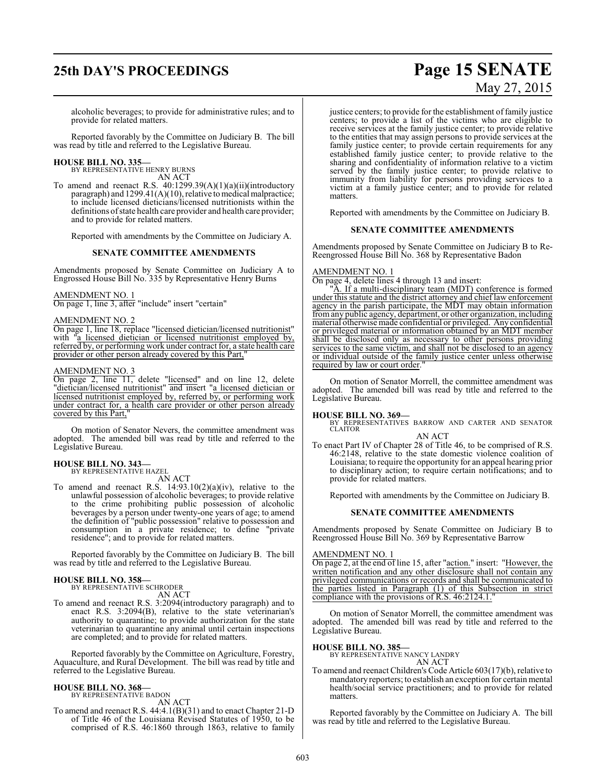# **25th DAY'S PROCEEDINGS Page 15 SENATE** May 27, 2015

alcoholic beverages; to provide for administrative rules; and to provide for related matters.

Reported favorably by the Committee on Judiciary B. The bill was read by title and referred to the Legislative Bureau.

# **HOUSE BILL NO. 335—** BY REPRESENTATIVE HENRY BURNS

AN ACT

To amend and reenact R.S.  $40:1299.39(A)(1)(a)(ii)(introductory)$ paragraph) and 1299.41(A)(10), relative to medical malpractice; to include licensed dieticians/licensed nutritionists within the definitions of state health care provider and health care provider; and to provide for related matters.

Reported with amendments by the Committee on Judiciary A.

### **SENATE COMMITTEE AMENDMENTS**

Amendments proposed by Senate Committee on Judiciary A to Engrossed House Bill No. 335 by Representative Henry Burns

### AMENDMENT NO. 1

On page 1, line 3, after "include" insert "certain"

### AMENDMENT NO. 2

On page 1, line 18, replace "licensed dietician/licensed nutritionist" with "a licensed dietician or licensed nutritionist employed by, referred by, or performing work under contract for, a state health care provider or other person already covered by this Part,

### AMENDMENT NO. 3

On page 2, line 11, delete "licensed" and on line 12, delete "dietician/licensed nutritionist" and insert "a licensed dietician or licensed nutritionist employed by, referred by, or performing work under contract for, a health care provider or other person already covered by this Part,"

On motion of Senator Nevers, the committee amendment was adopted. The amended bill was read by title and referred to the Legislative Bureau.

### **HOUSE BILL NO. 343—** BY REPRESENTATIVE HAZEL

AN ACT

To amend and reenact R.S.  $14:93.10(2)(a)(iv)$ , relative to the unlawful possession of alcoholic beverages; to provide relative to the crime prohibiting public possession of alcoholic beverages by a person under twenty-one years of age; to amend the definition of "public possession" relative to possession and consumption in a private residence; to define "private residence"; and to provide for related matters.

Reported favorably by the Committee on Judiciary B. The bill was read by title and referred to the Legislative Bureau.

# **HOUSE BILL NO. 358—** BY REPRESENTATIVE SCHRODER

AN ACT

To amend and reenact R.S. 3:2094(introductory paragraph) and to enact R.S. 3:2094(B), relative to the state veterinarian's authority to quarantine; to provide authorization for the state veterinarian to quarantine any animal until certain inspections are completed; and to provide for related matters.

Reported favorably by the Committee on Agriculture, Forestry, Aquaculture, and Rural Development. The bill was read by title and referred to the Legislative Bureau.

### **HOUSE BILL NO. 368—**

BY REPRESENTATIVE BADON AN ACT

To amend and reenact R.S. 44:4.1(B)(31) and to enact Chapter 21-D of Title 46 of the Louisiana Revised Statutes of 1950, to be comprised of R.S. 46:1860 through 1863, relative to family justice centers; to provide for the establishment of family justice centers; to provide a list of the victims who are eligible to receive services at the family justice center; to provide relative to the entities that may assign persons to provide services at the family justice center; to provide certain requirements for any established family justice center; to provide relative to the sharing and confidentiality of information relative to a victim served by the family justice center; to provide relative to immunity from liability for persons providing services to a victim at a family justice center; and to provide for related matters.

Reported with amendments by the Committee on Judiciary B.

### **SENATE COMMITTEE AMENDMENTS**

Amendments proposed by Senate Committee on Judiciary B to Re-Reengrossed House Bill No. 368 by Representative Badon

### AMENDMENT NO. 1

On page 4, delete lines 4 through 13 and insert:

A. If a multi-disciplinary team (MDT) conference is formed under this statute and the district attorney and chief law enforcement agency in the parish participate, the MDT may obtain information fromany public agency, department, or other organization, including material otherwise made confidential or privileged. Any confidential or privileged material or information obtained by an MDT member shall be disclosed only as necessary to other persons providing services to the same victim, and shall not be disclosed to an agency or individual outside of the family justice center unless otherwise required by law or court order.

On motion of Senator Morrell, the committee amendment was adopted. The amended bill was read by title and referred to the Legislative Bureau.

### **HOUSE BILL NO. 369—**

BY REPRESENTATIVES BARROW AND CARTER AND SENATOR CLAITOR

### AN ACT

To enact Part IV of Chapter 28 of Title 46, to be comprised of R.S. 46:2148, relative to the state domestic violence coalition of Louisiana; to require the opportunity for an appeal hearing prior to disciplinary action; to require certain notifications; and to provide for related matters.

Reported with amendments by the Committee on Judiciary B.

### **SENATE COMMITTEE AMENDMENTS**

Amendments proposed by Senate Committee on Judiciary B to Reengrossed House Bill No. 369 by Representative Barrow

AMENDMENT NO. 1

On page 2, at the end of line 15, after "action." insert: "However, the written notification and any other disclosure shall not contain any privileged communications or records and shall be communicated to the parties listed in Paragraph (1) of this Subsection in strict compliance with the provisions of R.S. 46:2124.1.

On motion of Senator Morrell, the committee amendment was adopted. The amended bill was read by title and referred to the Legislative Bureau.

### **HOUSE BILL NO. 385—**

BY REPRESENTATIVE NANCY LANDRY AN ACT

To amend and reenact Children's Code Article 603(17)(b), relative to mandatory reporters; to establish an exception for certain mental health/social service practitioners; and to provide for related matters.

Reported favorably by the Committee on Judiciary A. The bill was read by title and referred to the Legislative Bureau.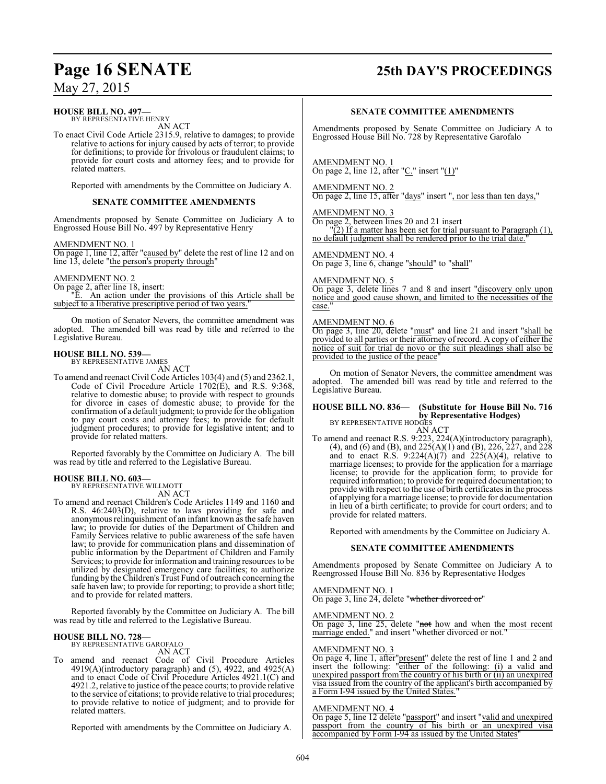### **Page 16 SENATE 25th DAY'S PROCEEDINGS**

May 27, 2015

### **HOUSE BILL NO. 497—**

BY REPRESENTATIVE HENRY AN ACT

To enact Civil Code Article 2315.9, relative to damages; to provide relative to actions for injury caused by acts of terror; to provide for definitions; to provide for frivolous or fraudulent claims; to provide for court costs and attorney fees; and to provide for related matters.

Reported with amendments by the Committee on Judiciary A.

### **SENATE COMMITTEE AMENDMENTS**

Amendments proposed by Senate Committee on Judiciary A to Engrossed House Bill No. 497 by Representative Henry

AMENDMENT NO. 1

On page 1, line 12, after "caused by" delete the rest of line 12 and on line 13, delete "the person's property through"

### AMENDMENT NO. 2

On page 2, after line 18, insert: "E. An action under the provisions of this Article shall be subject to a liberative prescriptive period of two years.

On motion of Senator Nevers, the committee amendment was adopted. The amended bill was read by title and referred to the Legislative Bureau.

## **HOUSE BILL NO. 539—** BY REPRESENTATIVE JAMES

AN ACT

To amend and reenact Civil Code Articles 103(4) and (5) and 2362.1, Code of Civil Procedure Article 1702(E), and R.S. 9:368, relative to domestic abuse; to provide with respect to grounds for divorce in cases of domestic abuse; to provide for the confirmation of a default judgment; to provide for the obligation to pay court costs and attorney fees; to provide for default judgment procedures; to provide for legislative intent; and to provide for related matters.

Reported favorably by the Committee on Judiciary A. The bill was read by title and referred to the Legislative Bureau.

### **HOUSE BILL NO. 603—**

BY REPRESENTATIVE WILLMOTT AN ACT

To amend and reenact Children's Code Articles 1149 and 1160 and R.S. 46:2403(D), relative to laws providing for safe and anonymous relinquishment of an infant known as the safe haven law; to provide for duties of the Department of Children and Family Services relative to public awareness of the safe haven law; to provide for communication plans and dissemination of public information by the Department of Children and Family Services; to provide for information and training resources to be utilized by designated emergency care facilities; to authorize funding by the Children's Trust Fund of outreach concerning the safe haven law; to provide for reporting; to provide a short title; and to provide for related matters.

Reported favorably by the Committee on Judiciary A. The bill was read by title and referred to the Legislative Bureau.

## **HOUSE BILL NO. 728—** BY REPRESENTATIVE GAROFALO

AN ACT

To amend and reenact Code of Civil Procedure Articles 4919(A)(introductory paragraph) and (5), 4922, and 4925(A) and to enact Code of Civil Procedure Articles 4921.1(C) and 4921.2, relative to justice of the peace courts; to provide relative to the service of citations; to provide relative to trial procedures; to provide relative to notice of judgment; and to provide for related matters.

Reported with amendments by the Committee on Judiciary A.

### **SENATE COMMITTEE AMENDMENTS**

Amendments proposed by Senate Committee on Judiciary A to Engrossed House Bill No. 728 by Representative Garofalo

AMENDMENT NO. 1

On page 2, line 12, after "C." insert " $(1)$ "

### AMENDMENT NO. 2

On page 2, line 15, after "days" insert ", nor less than ten days,"

### AMENDMENT NO. 3

On page 2, between lines 20 and 21 insert

 $(2)$  If a matter has been set for trial pursuant to Paragraph (1), no default judgment shall be rendered prior to the trial date.

### AMENDMENT NO. 4

On page 3, line 6, change "should" to "shall"

### AMENDMENT NO. 5

On page 3, delete lines 7 and 8 and insert "discovery only upon notice and good cause shown, and limited to the necessities of the case."

### AMENDMENT NO. 6

On page 3, line 20, delete "must" and line 21 and insert "shall be provided to all parties or their attorney of record. A copy of either the notice of suit for trial de novo or the suit pleadings shall also be provided to the justice of the peace"

On motion of Senator Nevers, the committee amendment was adopted. The amended bill was read by title and referred to the Legislative Bureau.

#### **HOUSE BILL NO. 836— (Substitute for House Bill No. 716 by Representative Hodges)** BY REPRESENTATIVE HODGES

AN ACT

To amend and reenact R.S. 9:223, 224(A)(introductory paragraph), (4), and (6) and (B), and 225(A)(1) and (B), 226, 227, and 228 and to enact R.S.  $9:224(A)(7)$  and  $225(A)(4)$ , relative to marriage licenses; to provide for the application for a marriage license; to provide for the application form; to provide for required information; to provide for required documentation; to provide with respect to the use of birth certificates in the process of applying for a marriage license; to provide for documentation in lieu of a birth certificate; to provide for court orders; and to provide for related matters.

Reported with amendments by the Committee on Judiciary A.

### **SENATE COMMITTEE AMENDMENTS**

Amendments proposed by Senate Committee on Judiciary A to Reengrossed House Bill No. 836 by Representative Hodges

### AMENDMENT NO. 1

On page 3, line 24, delete "whether divorced or"

AMENDMENT NO. 2

On page 3, line 25, delete "not how and when the most recent marriage ended." and insert "whether divorced or not."

### AMENDMENT NO. 3

On page 4, line 1, after"present" delete the rest of line 1 and 2 and insert the following: "either of the following: (i) a valid and unexpired passport from the country of his birth or (ii) an unexpired visa issued from the country of the applicant's birth accompanied by a Form I-94 issued by the United States.

### AMENDMENT NO. 4

On page 5, line 12 delete "passport" and insert "valid and unexpired passport from the country of his birth or an unexpired visa accompanied by Form I-94 as issued by the United States'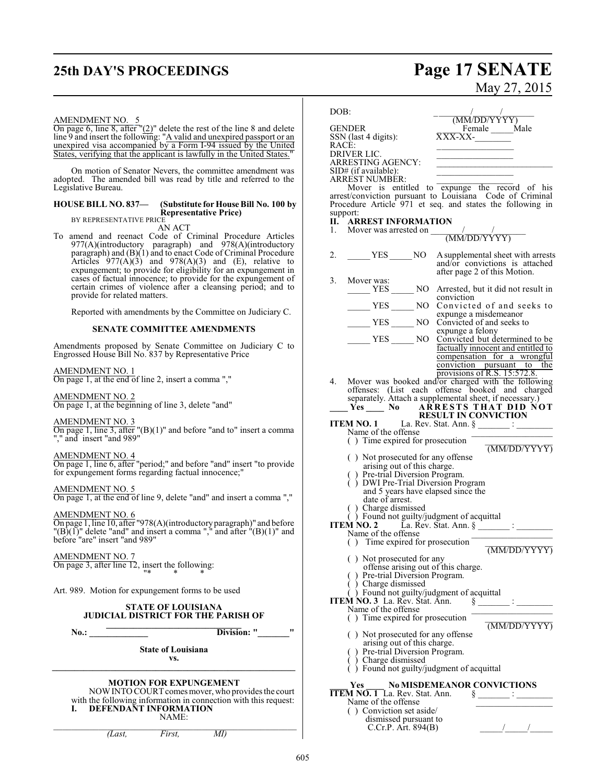# **25th DAY'S PROCEEDINGS Page 17 SENATE**

# May 27, 2015

### AMENDMENT NO. 5

On page 6, line 8, after  $"(2)"$  delete the rest of the line 8 and delete line 9 and insert the following: "A valid and unexpired passport or an unexpired visa accompanied by a Form I-94 issued by the United States, verifying that the applicant is lawfully in the United States." ٦

On motion of Senator Nevers, the committee amendment was adopted. The amended bill was read by title and referred to the Legislative Bureau.

#### **HOUSE BILL NO. 837— (Substitute for House Bill No. 100 by Representative Price)** BY REPRESENTATIVE PRICE

AN ACT

To amend and reenact Code of Criminal Procedure Articles 977(A)(introductory paragraph) and 978(A)(introductory paragraph) and (B)(1) and to enact Code of Criminal Procedure Articles  $977(A)(3)$  and  $978(A)(3)$  and (E), relative to expungement; to provide for eligibility for an expungement in cases of factual innocence; to provide for the expungement of certain crimes of violence after a cleansing period; and to provide for related matters.

Reported with amendments by the Committee on Judiciary C.

### **SENATE COMMITTEE AMENDMENTS**

Amendments proposed by Senate Committee on Judiciary C to Engrossed House Bill No. 837 by Representative Price

AMENDMENT NO. 1 On page 1, at the end of line 2, insert a comma ","

AMENDMENT NO. 2 On page 1, at the beginning of line 3, delete "and"

AMENDMENT NO. 3

On page 1, line 3, after "(B)(1)" and before "and to" insert a comma "," and insert "and 989"

AMENDMENT NO. 4

On page 1, line 6, after "period;" and before "and" insert "to provide for expungement forms regarding factual innocence;"

AMENDMENT NO. 5 On page 1, at the end of line 9, delete "and" and insert a comma ","

AMENDMENT NO. 6 On page 1, line 10, after "978(A)(introductoryparagraph)" and before  $\Gamma(B)(1)$ " delete "and" and insert a comma "," and after  $\Gamma(B)(1)$ " and before "are" insert "and 989"

AMENDMENT NO. 7 On page 3, after line 12, insert the following:

Art. 989. Motion for expungement forms to be used

### **STATE OF LOUISIANA JUDICIAL DISTRICT FOR THE PARISH OF \_\_\_\_\_\_\_\_\_\_\_\_\_\_\_\_\_\_\_\_\_\_\_\_\_\_\_\_\_\_**

"\* \* \*

**No.: Division:** "

**State of Louisiana vs.**

### **\_\_\_\_\_\_\_\_\_\_\_\_\_\_\_\_\_\_\_\_\_\_\_\_\_\_\_\_\_\_\_\_\_\_\_\_\_\_\_\_\_\_\_\_\_\_\_\_\_\_\_\_\_\_ MOTION FOR EXPUNGEMENT**

 $\_$  , and the set of the set of the set of the set of the set of the set of the set of the set of the set of the set of the set of the set of the set of the set of the set of the set of the set of the set of the set of th

NOW INTO COURT comes mover, who provides the court with the following information in connection with this request: **I. DEFENDANT INFORMATION** NAME:

DOB: \_ \_\_\_\_\_\_\_/\_\_\_\_\_\_/\_\_\_\_\_\_\_  $\overline{\text{M}}\text{M}$ /DD/YYYY) GENDER Female Male<br>SSN (last 4 digits):  $\overline{XXX-XX}$  $SSN$  (last 4 digits): RACÈ: DRIVER LIC. ARRESTING AGENCY: SID# (if available): ARREST NUMBER: \_\_\_\_\_\_\_\_\_\_\_\_\_\_\_\_\_ Mover is entitled to expunge the record of his arrest/conviction pursuant to Louisiana Code of Criminal Procedure Article 971 et seq. and states the following in support: **II. ARREST INFORMATION**<br>1. Mover was arrested on Mover was arrested on (MM/DD/YYYY) 2. \_\_\_\_\_\_ YES \_\_\_\_\_ NO Asupplemental sheet with arrests and/or convictions is attached after page 2 of this Motion. 3. Mover was: NO Arrested, but it did not result in conviction YES NO Convicted of and seeks to expunge a misdemeanor \_\_\_\_\_ YES \_\_\_\_\_ NO Convicted of and seeks to expunge a felony YES NO Convicted but determined to be factually innocent and entitled to compensation for a wrongful conviction pursuant to the provisions of R.S. 15:572.8. 4. Mover was booked and/or charged with the following offenses: (List each offense booked and charged separately. Attach a supplemental sheet, if necessary.) **\_\_\_\_ Yes \_\_\_\_ No A R R ESTS THA T D ID NOT RESULT IN CONVICTION ITEM NO. 1** La. Rev. Stat. Ann.  $\S$ Name of the offense  $( )$  Time expired for prosecution (MM/DD/YYYY) ( ) Not prosecuted for any offense arising out of this charge. ( ) Pre-trial Diversion Program. ( ) DWI Pre-Trial Diversion Program and 5 years have elapsed since the date of arrest. ( ) Charge dismissed ( ) Found not guilty/judgment of acquittal **ITEM NO. 2** La. Rev. Stat. Ann. § \_\_\_\_\_\_\_ : \_\_\_\_\_\_\_\_ Name of the offense  $( )$  Time expired for prosecution (MM/DD/YYYY) ( ) Not prosecuted for any offense arising out of this charge.<br>
) Pre-trial Diversion Program. Pre-trial Diversion Program. ( ) Charge dismissed ( ) Found not guilty/judgment of acquittal **ITEM NO. 3** La. Rev. Stat. Ann.  $\S$  \_\_\_\_\_\_\_\_ : \_\_\_\_\_\_\_\_\_  $\hat{M} \hat{N}$ O. 3 La. Rev. Stat. Ann.  $\S$ <sub>-</sub><br>Name of the offense  $( )$  Time expired for prosecution (MM/DD/YYYY) ( ) Not prosecuted for any offense arising out of this charge. Pre-trial Diversion Program.<br>Charge dismissed ( ) Charge dismissed ( ) Found not guilty/judgment of acquittal **\_\_\_\_ Yes \_\_\_\_ No MISDEMEANOR CONVICTIONS**

### **ITEM NO. 1** La. Rev. Stat. Ann.  $\frac{8}{9}$

| Name of the offense                          |  |
|----------------------------------------------|--|
| () Conviction set aside/                     |  |
| dismissed pursuant to<br>C.Cr.P. Art. 894(B) |  |
|                                              |  |

*(Last, First, MI)*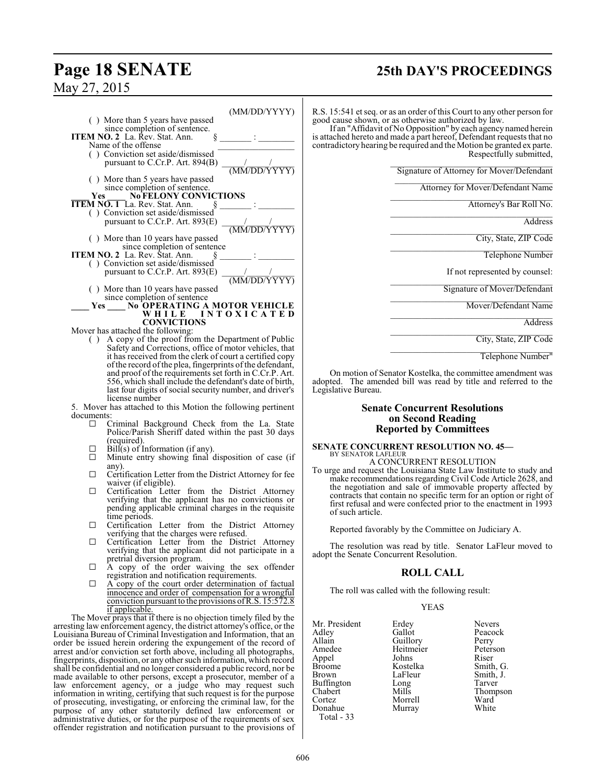### **Page 18 SENATE 25th DAY'S PROCEEDINGS**

May 27, 2015

|                                                         | (MM/DD/YYYY)              |
|---------------------------------------------------------|---------------------------|
| () More than 5 years have passed                        |                           |
| since completion of sentence.                           |                           |
| <b>ITEM NO. 2</b> La. Rev. Stat. Ann.<br>ş              |                           |
| Name of the offense                                     |                           |
|                                                         |                           |
| () Conviction set aside/dismissed                       |                           |
| pursuant to C.Cr.P. Art. $894(B)$                       |                           |
|                                                         | $\frac{1}{(MM/DD/Y}$      |
| () More than 5 years have passed                        |                           |
| since completion of sentence.                           |                           |
| <b>No FELONY CONVICTIONS</b><br><b>Yes</b>              |                           |
| <b>ITEM NO. 1</b> La. Rev. Stat. Ann.                   |                           |
|                                                         |                           |
| () Conviction set aside/dismissed                       |                           |
| pursuant to C.Cr.P. Art. $893(E)$                       | $\frac{1}{(MM/DD/Y+YYY)}$ |
|                                                         |                           |
| () More than 10 years have passed                       |                           |
| since completion of sentence                            |                           |
| <b>ITEM NO. 2</b> La. Rev. Stat. Ann.                   |                           |
| () Conviction set aside/dismissed                       |                           |
|                                                         |                           |
| pursuant to C.Cr.P. Art. $893(E)$                       | $\frac{1}{(MM/DD/Y+YYY)}$ |
|                                                         |                           |
| () More than 10 years have passed                       |                           |
| since completion of sentence                            |                           |
| No OPERATING A MOTOR VEHICLE<br>Yes                     |                           |
| WHILE INTOXICATED                                       |                           |
| <b>CONVICTIONS</b>                                      |                           |
|                                                         |                           |
| Mover has attached the following:                       |                           |
| $( )$ A copy of the proof from the Department of Public |                           |

( ) A copy of the proof from the Department of Public Safety and Corrections, office of motor vehicles, that it has received from the clerk of court a certified copy ofthe record ofthe plea, fingerprints of the defendant, and proof of the requirements set forth in C.Cr.P. Art. 556, which shall include the defendant's date of birth, last four digits of social security number, and driver's license number

5. Mover has attached to this Motion the following pertinent documents:

- G Criminal Background Check from the La. State Police/Parish Sheriff dated within the past 30 days (required).
- $\Box$  Bill(s) of Information (if any).<br> $\Box$  Minute entry showing final.
- Minute entry showing final disposition of case (if any).
- $\Box$  Certification Letter from the District Attorney for fee waiver (if eligible).
- G Certification Letter from the District Attorney verifying that the applicant has no convictions or pending applicable criminal charges in the requisite time periods.
- $\Box$  Certification Letter from the District Attorney verifying that the charges were refused.
- G Certification Letter from the District Attorney verifying that the applicant did not participate in a pretrial diversion program.
- $\Box$  A copy of the order waiving the sex offender registration and notification requirements.
- $\Box$  A copy of the court order determination of factual innocence and order of compensation for a wrongful conviction pursuant to the provisions ofR.S. 15:572.8 if applicable.

The Mover prays that if there is no objection timely filed by the arresting law enforcement agency, the district attorney's office, or the Louisiana Bureau of Criminal Investigation and Information, that an order be issued herein ordering the expungement of the record of arrest and/or conviction set forth above, including all photographs, fingerprints, disposition, or any other such information, which record shall be confidential and no longer considered a public record, nor be made available to other persons, except a prosecutor, member of a law enforcement agency, or a judge who may request such information in writing, certifying that such request is for the purpose of prosecuting, investigating, or enforcing the criminal law, for the purpose of any other statutorily defined law enforcement or administrative duties, or for the purpose of the requirements of sex offender registration and notification pursuant to the provisions of R.S. 15:541 et seq. or as an order of this Court to any other person for good cause shown, or as otherwise authorized by law.

If an "Affidavit of No Opposition" by each agency named herein is attached hereto and made a part hereof, Defendant requests that no contradictory hearing be required and the Motion be granted ex parte. Respectfully submitted,

\_\_\_\_\_\_\_\_\_\_\_\_\_\_\_\_\_\_\_\_\_\_\_\_\_\_\_\_\_\_\_\_\_\_\_\_ Signature of Attorney for Mover/Defendant

 $\overline{\mathcal{L}}$  , which is a set of the set of the set of the set of the set of the set of the set of the set of the set of the set of the set of the set of the set of the set of the set of the set of the set of the set of th Attorney for Mover/Defendant Name

\_\_\_\_\_\_\_\_\_\_\_\_\_\_\_\_\_\_\_\_\_\_\_\_\_\_\_\_\_\_\_\_\_\_\_\_ Attorney's Bar Roll No.

\_\_\_\_\_\_\_\_\_\_\_\_\_\_\_\_\_\_\_\_\_\_\_\_\_\_\_\_\_\_\_\_\_\_\_\_ Address

\_\_\_\_\_\_\_\_\_\_\_\_\_\_\_\_\_\_\_\_\_\_\_\_\_\_\_\_\_\_\_\_\_\_\_\_ City, State, ZIP Code

\_\_\_\_\_\_\_\_\_\_\_\_\_\_\_\_\_\_\_\_\_\_\_\_\_\_\_\_\_\_\_\_\_\_\_\_ Telephone Number

If not represented by counsel:

\_\_\_\_\_\_\_\_\_\_\_\_\_\_\_\_\_\_\_\_\_\_\_\_\_\_\_\_\_\_\_\_\_\_\_\_ Signature of Mover/Defendant

\_\_\_\_\_\_\_\_\_\_\_\_\_\_\_\_\_\_\_\_\_\_\_\_\_\_\_\_\_\_\_\_\_\_\_\_ Mover/Defendant Name

\_\_\_\_\_\_\_\_\_\_\_\_\_\_\_\_\_\_\_\_\_\_\_\_\_\_\_\_\_\_\_\_\_\_\_\_ Address

\_\_\_\_\_\_\_\_\_\_\_\_\_\_\_\_\_\_\_\_\_\_\_\_\_\_\_\_\_\_\_\_\_\_\_\_ City, State, ZIP Code

\_\_\_\_\_\_\_\_\_\_\_\_\_\_\_\_\_\_\_\_\_\_\_\_\_\_\_\_\_\_\_\_\_\_\_\_ Telephone Number"

On motion of Senator Kostelka, the committee amendment was adopted. The amended bill was read by title and referred to the Legislative Bureau.

### **Senate Concurrent Resolutions on Second Reading Reported by Committees**

### **SENATE CONCURRENT RESOLUTION NO. 45—** BY SENATOR LAFLEUR A CONCURRENT RESOLUTION

To urge and request the Louisiana State Law Institute to study and make recommendationsregarding Civil Code Article 2628, and the negotiation and sale of immovable property affected by contracts that contain no specific term for an option or right of first refusal and were confected prior to the enactment in 1993 of such article.

Reported favorably by the Committee on Judiciary A.

The resolution was read by title. Senator LaFleur moved to adopt the Senate Concurrent Resolution.

### **ROLL CALL**

The roll was called with the following result:

### YEAS

| Mr. President | Erdey     | <b>Nevers</b> |
|---------------|-----------|---------------|
| Adley         | Gallot    | Peacock       |
| Allain        | Guillory  | Perry         |
| Amedee        | Heitmeier | Peterson      |
| Appel         | Johns     | Riser         |
| Broome        | Kostelka  | Smith, G.     |
| Brown         | LaFleur   | Smith, J.     |
| Buffington    | Long      | Tarver        |
| Chabert       | Mills     | Thompson      |
| Cortez        | Morrell   | Ward          |
| Donahue       | Murray    | White         |
| Total - 33    |           |               |
|               |           |               |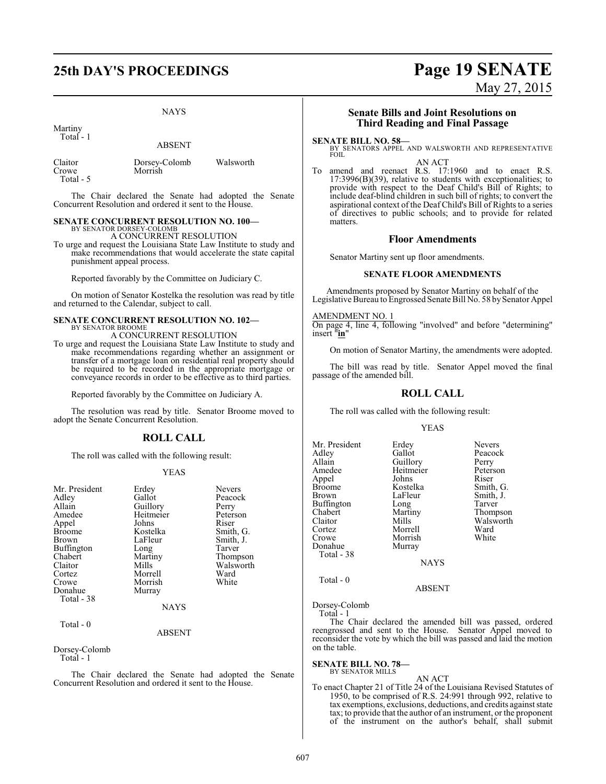# **25th DAY'S PROCEEDINGS Page 19 SENATE**

NAYS

Martiny Total - 1

ABSENT

Claitor Dorsey-Colomb Walsworth Crowe Morrish Total - 5

The Chair declared the Senate had adopted the Senate Concurrent Resolution and ordered it sent to the House.

#### **SENATE CONCURRENT RESOLUTION NO. 100—** BY SENATOR DORSEY-COLOMB

A CONCURRENT RESOLUTION

To urge and request the Louisiana State Law Institute to study and make recommendations that would accelerate the state capital punishment appeal process.

Reported favorably by the Committee on Judiciary C.

On motion of Senator Kostelka the resolution was read by title and returned to the Calendar, subject to call.

#### **SENATE CONCURRENT RESOLUTION NO. 102—** BY SENATOR BROOME

A CONCURRENT RESOLUTION

To urge and request the Louisiana State Law Institute to study and make recommendations regarding whether an assignment or transfer of a mortgage loan on residential real property should be required to be recorded in the appropriate mortgage or conveyance records in order to be effective as to third parties.

Reported favorably by the Committee on Judiciary A.

The resolution was read by title. Senator Broome moved to adopt the Senate Concurrent Resolution.

### **ROLL CALL**

The roll was called with the following result:

### YEAS

| Mr. President<br>Adley<br>Allain<br>Amedee<br>Appel<br><b>Broome</b><br><b>Brown</b><br>Buffington<br>Chabert<br>Claitor<br>Cortez<br>Crowe<br>Donahue<br>Total - 38 | Erdey<br>Gallot<br>Guillory<br>Heitmeier<br>Johns<br>Kostelka<br>LaFleur<br>Long<br>Martiny<br>Mills<br>Morrell<br>Morrish<br>Murray<br><b>NAYS</b> | <b>Nevers</b><br>Peacock<br>Perry<br>Peterson<br>Riser<br>Smith, G.<br>Smith, J.<br>Tarver<br>Thompson<br>Walsworth<br>Ward<br>White |
|----------------------------------------------------------------------------------------------------------------------------------------------------------------------|-----------------------------------------------------------------------------------------------------------------------------------------------------|--------------------------------------------------------------------------------------------------------------------------------------|
|                                                                                                                                                                      |                                                                                                                                                     |                                                                                                                                      |

### Total - 0

### ABSENT

Dorsey-Colomb Total - 1

The Chair declared the Senate had adopted the Senate Concurrent Resolution and ordered it sent to the House.

# May 27, 2015

### **Senate Bills and Joint Resolutions on Third Reading and Final Passage**

**SENATE BILL NO. 58—**<br>BY SENATORS APPEL AND WALSWORTH AND REPRESENTATIVE FOIL AN ACT

To amend and reenact R.S. 17:1960 and to enact R.S. 17:3996(B)(39), relative to students with exceptionalities; to provide with respect to the Deaf Child's Bill of Rights; to include deaf-blind children in such bill of rights; to convert the aspirational context of the Deaf Child's Bill of Rights to a series of directives to public schools; and to provide for related matters.

### **Floor Amendments**

Senator Martiny sent up floor amendments.

### **SENATE FLOOR AMENDMENTS**

Amendments proposed by Senator Martiny on behalf of the Legislative Bureau to Engrossed Senate Bill No. 58 by Senator Appel

### AMENDMENT NO. 1

On page 4, line 4, following "involved" and before "determining" insert "**in**"

On motion of Senator Martiny, the amendments were adopted.

The bill was read by title. Senator Appel moved the final passage of the amended bill.

### **ROLL CALL**

The roll was called with the following result:

### YEAS

| Mr. President<br>Adley<br>Allain<br>Amedee<br>Appel<br><b>Broome</b><br><b>Brown</b><br><b>Buffington</b><br>Chabert<br>Claitor<br>Cortez<br>Crowe<br>Donahue | Erdey<br>Gallot<br>Guillory<br>Heitmeier<br>Johns<br>Kostelka<br>LaFleur<br>Long<br>Martiny<br>Mills<br>Morrell<br>Morrish | <b>Nevers</b><br>Peacock<br>Perry<br>Peterson<br>Riser<br>Smith, G.<br>Smith, J.<br>Tarver<br>Thompson<br>Walsworth<br>Ward<br>White |
|---------------------------------------------------------------------------------------------------------------------------------------------------------------|----------------------------------------------------------------------------------------------------------------------------|--------------------------------------------------------------------------------------------------------------------------------------|
| Total - 38                                                                                                                                                    | Murray<br><b>NAYS</b>                                                                                                      |                                                                                                                                      |

Total - 0

Dorsey-Colomb Total - 1

The Chair declared the amended bill was passed, ordered reengrossed and sent to the House. Senator Appel moved to reconsider the vote by which the bill was passed and laid the motion on the table.

ABSENT

### **SENATE BILL NO. 78—** BY SENATOR MILLS

AN ACT To enact Chapter 21 of Title 24 of the Louisiana Revised Statutes of 1950, to be comprised of R.S. 24:991 through 992, relative to tax exemptions, exclusions, deductions, and credits against state tax; to provide that the author of an instrument, or the proponent of the instrument on the author's behalf, shall submit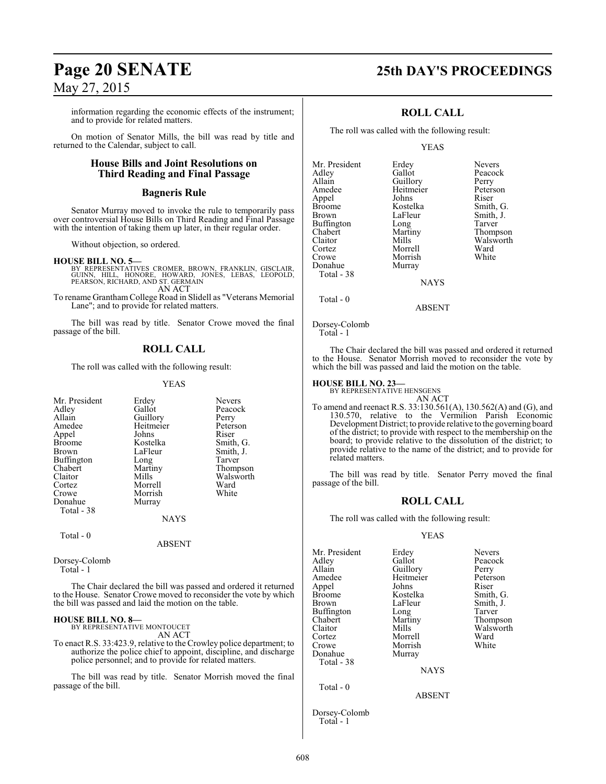information regarding the economic effects of the instrument; and to provide for related matters.

On motion of Senator Mills, the bill was read by title and returned to the Calendar, subject to call.

### **House Bills and Joint Resolutions on Third Reading and Final Passage**

### **Bagneris Rule**

Senator Murray moved to invoke the rule to temporarily pass over controversial House Bills on Third Reading and Final Passage with the intention of taking them up later, in their regular order.

Without objection, so ordered.

### **HOUSE BILL NO. 5—**

BY REPRESENTATIVES CROMER, BROWN, FRANKLIN, GISCLAIR,<br>GUINN, HILL, HONORE, HOWARD, JONES, LEBAS, LEOPOLD,<br>PEARSON,RICHARD,AND ST. GERMAIN AN ACT

To rename Grantham College Road in Slidell as "Veterans Memorial Lane"; and to provide for related matters.

The bill was read by title. Senator Crowe moved the final passage of the bill.

### **ROLL CALL**

The roll was called with the following result:

### YEAS

| Mr. President | Erdey     | <b>Nevers</b> |
|---------------|-----------|---------------|
| Adley         | Gallot    | Peacock       |
| Allain        | Guillory  | Perry         |
| Amedee        | Heitmeier | Peterson      |
| Appel         | Johns     | Riser         |
| <b>Broome</b> | Kostelka  | Smith, G.     |
| Brown         | LaFleur   | Smith, J.     |
| Buffington    | Long      | Tarver        |
| Chabert       | Martiny   | Thompson      |
| Claitor       | Mills     | Walsworth     |
| Cortez        | Morrell   | Ward          |
| Crowe         | Morrish   | White         |
| Donahue       | Murray    |               |
| Total - 38    |           |               |
|               | NAYS      |               |

Total - 0

ABSENT

Dorsey-Colomb Total - 1

The Chair declared the bill was passed and ordered it returned to the House. Senator Crowe moved to reconsider the vote by which the bill was passed and laid the motion on the table.

#### **HOUSE BILL NO. 8—** BY REPRESENTATIVE MONTOUCET

AN ACT

To enact R.S. 33:423.9, relative to the Crowley police department; to authorize the police chief to appoint, discipline, and discharge police personnel; and to provide for related matters.

The bill was read by title. Senator Morrish moved the final passage of the bill.

### **Page 20 SENATE 25th DAY'S PROCEEDINGS**

### **ROLL CALL**

The roll was called with the following result:

### YEAS

| Mr. President | Erdey     | <b>Nevers</b> |
|---------------|-----------|---------------|
| Adley         | Gallot    | Peacock       |
| Allain        | Guillory  | Perry         |
| Amedee        | Heitmeier | Peterson      |
| Appel         | Johns     | Riser         |
| <b>Broome</b> | Kostelka  | Smith, G.     |
| <b>Brown</b>  | LaFleur   | Smith, J.     |
| Buffington    | Long      | Tarver        |
| Chabert       | Martiny   | Thompson      |
| Claitor       | Mills     | Walsworth     |
| Cortez        | Morrell   | Ward          |
| Crowe         | Morrish   | White         |
| Donahue       | Murray    |               |
| Total - 38    |           |               |
|               | NAYS      |               |

**NAYS** 

ABSENT

Total - 0

Dorsey-Colomb Total - 1

The Chair declared the bill was passed and ordered it returned to the House. Senator Morrish moved to reconsider the vote by which the bill was passed and laid the motion on the table.

### **HOUSE BILL NO. 23—**

BY REPRESENTATIVE HENSGENS

AN ACT To amend and reenact R.S. 33:130.561(A), 130.562(A) and (G), and 130.570, relative to the Vermilion Parish Economic Development District; to provide relative to the governing board of the district; to provide with respect to the membership on the board; to provide relative to the dissolution of the district; to provide relative to the name of the district; and to provide for related matters.

The bill was read by title. Senator Perry moved the final passage of the bill.

### **ROLL CALL**

The roll was called with the following result:

### YEAS

| Mr. President<br>Adlev<br>Allain | Erdey<br>Gallot<br>Guillory | <b>Nevers</b><br>Peacock<br>Perry |
|----------------------------------|-----------------------------|-----------------------------------|
| Amedee                           | Heitmeier                   | Peterson                          |
| Appel                            | Johns                       | Riser                             |
| Broome                           | Kostelka                    | Smith, G.                         |
| Brown                            | LaFleur                     | Smith, J.                         |
| Buffington                       | Long                        | Tarver                            |
| Chabert                          | Martiny                     | Thompson                          |
| Claitor                          | Mills                       | Walsworth                         |
| Cortez                           | Morrell                     | Ward                              |
| Crowe                            | Morrish                     | White                             |
| Donahue                          | Murray                      |                                   |
| Total - 38                       |                             |                                   |
|                                  | <b>NAYS</b>                 |                                   |
| Total - 0                        |                             |                                   |
|                                  | <b>ABSENT</b>               |                                   |
|                                  |                             |                                   |

Dorsey-Colomb Total - 1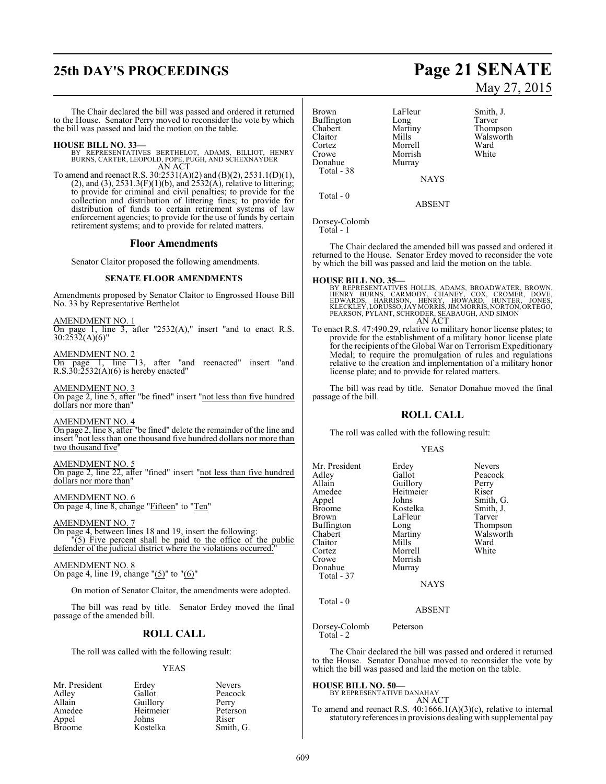# **25th DAY'S PROCEEDINGS Page 21 SENATE**

The Chair declared the bill was passed and ordered it returned to the House. Senator Perry moved to reconsider the vote by which the bill was passed and laid the motion on the table.

### **HOUSE BILL NO. 33—**

BY REPRESENTATIVES BERTHELOT, ADAMS, BILLIOT, HENRY BURNS, CARTER, LEOPOLD, POPE, PUGH, AND SCHEXNAYDER AN ACT

To amend and reenact R.S. 30:2531(A)(2) and (B)(2), 2531.1(D)(1),  $(2)$ , and  $(3)$ ,  $2531.3(F)(1)(b)$ , and  $2532(A)$ , relative to littering; to provide for criminal and civil penalties; to provide for the collection and distribution of littering fines; to provide for distribution of funds to certain retirement systems of law enforcement agencies; to provide for the use of funds by certain retirement systems; and to provide for related matters.

### **Floor Amendments**

Senator Claitor proposed the following amendments.

### **SENATE FLOOR AMENDMENTS**

Amendments proposed by Senator Claitor to Engrossed House Bill No. 33 by Representative Berthelot

AMENDMENT NO. 1

On page 1, line 3, after "2532(A)," insert "and to enact R.S.  $30:2532(A)(6)$ "

AMENDMENT NO. 2

On page 1, line 13, after "and reenacted" insert "and  $R.S.30:2532(A)(6)$  is hereby enacted"

AMENDMENT NO. 3 On page 2, line 5, after "be fined" insert "not less than five hundred dollars nor more than"

AMENDMENT NO. 4 On page 2, line 8, after "be fined" delete the remainder of the line and insert "not less than one thousand five hundred dollars nor more than two thousand five"

AMENDMENT NO. 5 On page 2, line 22, after "fined" insert "not less than five hundred dollars nor more than"

AMENDMENT NO. 6 On page 4, line 8, change "Fifteen" to "Ten"

AMENDMENT NO. 7

On page 4, between lines 18 and 19, insert the following: "(5) Five percent shall be paid to the office of the public defender of the judicial district where the violations occurred."

AMENDMENT NO. 8 On page 4, line 19, change " $(5)$ " to " $(6)$ "

On motion of Senator Claitor, the amendments were adopted.

The bill was read by title. Senator Erdey moved the final passage of the amended bill.

### **ROLL CALL**

The roll was called with the following result:

### YEAS

|          | <b>Nevers</b>      |
|----------|--------------------|
| Gallot   | Peacock            |
| Guillory | Perry              |
|          | Peterson           |
| Johns    | Riser              |
| Kostelka | Smith, G.          |
|          | Erdey<br>Heitmeier |

# May 27, 2015

Brown LaFleur Smith, J.<br>Buffington Long Tarver Buffington Long<br>Chabert Martiny Chabert Martiny Thompson<br>Claitor Mills Walsworth Claitor Mills Walsworth<br>
Cortez Morrell Ward Cortez Morrell Ward Crowe Morrish<br>
Donahue Murray Murray Total - 38

**NAYS** 

ABSENT

Dorsey-Colomb

Total - 1

Total - 0

The Chair declared the amended bill was passed and ordered it returned to the House. Senator Erdey moved to reconsider the vote by which the bill was passed and laid the motion on the table.

**HOUSE BILL NO. 35—**<br>BY REPRESENTATIVES HOLLIS, ADAMS, BROADWATER, BROWN,<br>HENRY BURNS, CARMODY, CHANEY, COX, CROMER, DOVE,<br>EDWARDS, HARRISON, HENRY, HOWARD, HUNTER, JONES,<br>KLECKLEY,LORUSSO,JAYMORRIS,JIMMORRIS,NORTON,ORTEGO AN ACT

To enact R.S. 47:490.29, relative to military honor license plates; to provide for the establishment of a military honor license plate for the recipients of the Global War on Terrorism Expeditionary Medal; to require the promulgation of rules and regulations relative to the creation and implementation of a military honor license plate; and to provide for related matters.

The bill was read by title. Senator Donahue moved the final passage of the bill.

### **ROLL CALL**

The roll was called with the following result:

### YEAS

Tarver Thompson Walsworth<br>Ward

| LaFleur<br>Long<br>Martiny<br>Mills<br>Morrell<br>Morrish | Tarver<br>Thompson<br>Walswort<br>Ward<br>White |
|-----------------------------------------------------------|-------------------------------------------------|
| Murray                                                    |                                                 |
|                                                           | <b>NAYS</b>                                     |

ABSENT

Dorsey-Colomb Peterson Total - 2

The Chair declared the bill was passed and ordered it returned to the House. Senator Donahue moved to reconsider the vote by which the bill was passed and laid the motion on the table.

### **HOUSE BILL NO. 50—**

BY REPRESENTATIVE DANAHAY AN ACT

To amend and reenact R.S. 40:1666.1(A)(3)(c), relative to internal statutory references in provisions dealingwith supplemental pay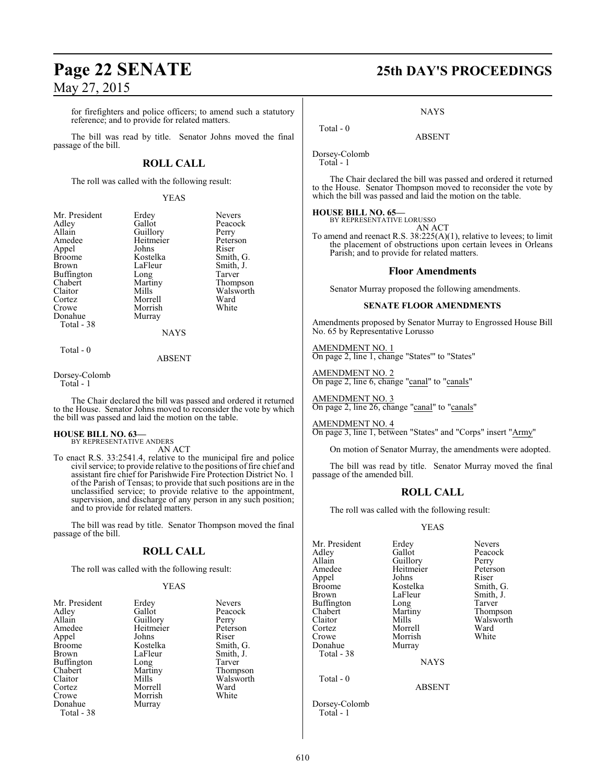for firefighters and police officers; to amend such a statutory reference; and to provide for related matters.

The bill was read by title. Senator Johns moved the final passage of the bill.

### **ROLL CALL**

The roll was called with the following result:

YEAS

Peacock<br>Perry

Peterson<br>Riser

Smith, G. Smith, J. Tarver Thompson Walsworth<br>Ward

| Mr. President | Erdey       | Nevers  |
|---------------|-------------|---------|
| Adlev         | Gallot      | Peacoc  |
| Allain        | Guillory    | Perry   |
| Amedee        | Heitmeier   | Peterso |
| Appel         | Johns       | Riser   |
| Broome        | Kostelka    | Smith,  |
| Brown         | LaFleur     | Smith,  |
| Buffington    | Long        | Tarver  |
| Chabert       | Martiny     | Thomp   |
| Claitor       | Mills       | Walsw   |
| Cortez        | Morrell     | Ward    |
| Crowe         | Morrish     | White   |
| Donahue       | Murray      |         |
| Total - 38    |             |         |
|               | <b>NAYS</b> |         |
|               |             |         |

Total - 0

### ABSENT

Dorsey-Colomb

Total - 1

The Chair declared the bill was passed and ordered it returned to the House. Senator Johns moved to reconsider the vote by which the bill was passed and laid the motion on the table.

#### **HOUSE BILL NO. 63—** BY REPRESENTATIVE ANDERS

AN ACT

To enact R.S. 33:2541.4, relative to the municipal fire and police civil service; to provide relative to the positions of fire chief and assistant fire chief for Parishwide Fire Protection District No. 1 of the Parish of Tensas; to provide that such positions are in the unclassified service; to provide relative to the appointment, supervision, and discharge of any person in any such position; and to provide for related matters.

The bill was read by title. Senator Thompson moved the final passage of the bill.

### **ROLL CALL**

The roll was called with the following result:

### YEAS

| Mr. President |           |               |
|---------------|-----------|---------------|
|               | Erdey     | <b>Nevers</b> |
| Adlev         | Gallot    | Peacocl       |
| Allain        | Guillory  | Perry         |
| Amedee        | Heitmeier | Peterso       |
| Appel         | Johns     | Riser         |
| Broome        | Kostelka  | Smith,        |
| Brown         | LaFleur   | Smith,.       |
| Buffington    | Long      | Tarver        |
| Chabert       | Martiny   | Thomp:        |
| Claitor       | Mills     | Walswo        |
| Cortez        | Morrell   | Ward          |
| Crowe         | Morrish   | White         |
| Donahue       | Murray    |               |
| Total - 38    |           |               |

Peacock<br>Perry eier Peterson ka<br>Appel Smith Smith, G. ar Smith, J.<br>Tarver iy Thompson Valsworth<br>
Il Ward

# **Page 22 SENATE 25th DAY'S PROCEEDINGS**

**NAYS** 

ABSENT

Dorsey-Colomb

Total - 1

Total - 0

The Chair declared the bill was passed and ordered it returned to the House. Senator Thompson moved to reconsider the vote by which the bill was passed and laid the motion on the table.

#### **HOUSE BILL NO. 65—** BY REPRESENTATIVE LORUSSO

AN ACT

To amend and reenact R.S. 38:225(A)(1), relative to levees; to limit the placement of obstructions upon certain levees in Orleans Parish; and to provide for related matters.

### **Floor Amendments**

Senator Murray proposed the following amendments.

### **SENATE FLOOR AMENDMENTS**

Amendments proposed by Senator Murray to Engrossed House Bill No. 65 by Representative Lorusso

AMENDMENT NO. 1 On page 2, line 1, change "States'" to "States"

AMENDMENT NO. 2 On page 2, line 6, change "canal" to "canals"

AMENDMENT NO. 3 On page 2, line 26, change "canal" to "canals"

AMENDMENT NO. 4

On page 3, line 1, between "States" and "Corps" insert "Army"

On motion of Senator Murray, the amendments were adopted.

The bill was read by title. Senator Murray moved the final passage of the amended bill.

### **ROLL CALL**

The roll was called with the following result:

### YEAS

Mr. President Erdey Nevers<br>Adley Gallot Peacoc Adley Gallot Peacock Allain Guillory Perry<br>
Amedee Heitmeier Peterson Appel Johns Riser Broome Kostelka<br>Brown LaFleur Buffington Long<br>Chabert Martiny Chabert Martiny Thompson<br>Claitor Mills Walsworth Cortez Morrell Ward Morrish<br>Murray Donahue Total - 38

Heitmeier Peters<br>Johns Riser LaFleur Smith, J.<br>
Long Tarver Walsworth<br>Ward

**NAYS** 

ABSENT

Dorsey-Colomb Total - 1

Total - 0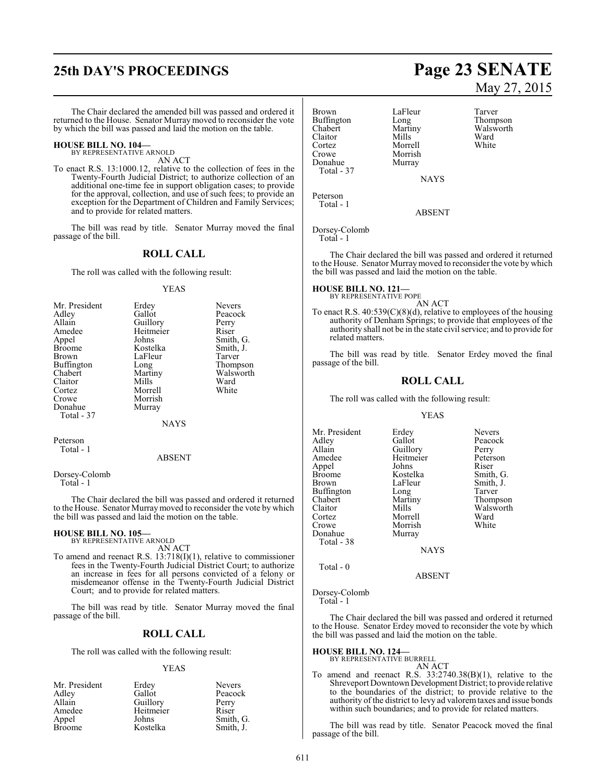# **25th DAY'S PROCEEDINGS Page 23 SENATE**

The Chair declared the amended bill was passed and ordered it returned to the House. Senator Murray moved to reconsider the vote by which the bill was passed and laid the motion on the table.

#### **HOUSE BILL NO. 104—** BY REPRESENTATIVE ARNOLD

AN ACT

To enact R.S. 13:1000.12, relative to the collection of fees in the Twenty-Fourth Judicial District; to authorize collection of an additional one-time fee in support obligation cases; to provide for the approval, collection, and use of such fees; to provide an exception for the Department of Children and Family Services; and to provide for related matters.

The bill was read by title. Senator Murray moved the final passage of the bill.

### **ROLL CALL**

The roll was called with the following result:

### YEAS

|           | <b>Nevers</b>                |
|-----------|------------------------------|
| Gallot    | Peacock                      |
|           | Perry                        |
| Heitmeier | Riser                        |
| Johns     | Smith, G.                    |
| Kostelka  | Smith, J.                    |
|           | Tarver                       |
| Long      | Thompson                     |
| Martiny   | Walsworth                    |
| Mills     | Ward                         |
| Morrell   | White                        |
| Morrish   |                              |
| Murray    |                              |
|           |                              |
| NAYS      |                              |
|           | Erdey<br>Guillory<br>LaFleur |

Peterson Total - 1

#### ABSENT

Dorsey-Colomb Total - 1

The Chair declared the bill was passed and ordered it returned to the House. Senator Murraymoved to reconsider the vote by which the bill was passed and laid the motion on the table.

### **HOUSE BILL NO. 105—** BY REPRESENTATIVE ARNOLD

AN ACT

To amend and reenact R.S. 13:718(I)(1), relative to commissioner fees in the Twenty-Fourth Judicial District Court; to authorize an increase in fees for all persons convicted of a felony or misdemeanor offense in the Twenty-Fourth Judicial District Court; and to provide for related matters.

The bill was read by title. Senator Murray moved the final passage of the bill.

### **ROLL CALL**

The roll was called with the following result:

### YEAS

| Mr. President | Erdey     | <b>Nevers</b> |
|---------------|-----------|---------------|
| Adley         | Gallot    | Peacock       |
| Allain        | Guillory  | Perry         |
| Amedee        | Heitmeier | Riser         |
| Appel         | Johns     | Smith, G.     |
| <b>Broome</b> | Kostelka  | Smith, J.     |

# May 27, 2015

Brown LaFleur Tarver<br>
Buffington Long Thompson Buffington Long<br>Chabert Martiny Chabert Martiny Walsworth<br>Claitor Mills Ward Claitor Mills Ward Cortez Morrell White Morrish<br>Murray Donahue Total - 37 Peterson

NAYS

ABSENT

Dorsey-Colomb Total - 1

Total - 1

The Chair declared the bill was passed and ordered it returned to the House. Senator Murraymoved to reconsider the vote by which the bill was passed and laid the motion on the table.

### **HOUSE BILL NO. 121—** BY REPRESENTATIVE POPE

AN ACT

To enact R.S. 40:539(C)(8)(d), relative to employees of the housing authority of Denham Springs; to provide that employees of the authority shall not be in the state civil service; and to provide for related matters.

The bill was read by title. Senator Erdey moved the final passage of the bill.

### **ROLL CALL**

The roll was called with the following result:

### YEAS

Mr. President Erdey Nevers<br>Adley Gallot Peacoc Adley Gallot Peacock<br>Allain Guillory Perry Allain Guillory Perry<br>
Amedee Heitmeier Peterson Heitmeier Peters<br>Johns Riser Appel Johns<br>Broome Kostelka Broome Kostelka Smith, G.<br>Brown LaFleur Smith, J. LaFleur Smith, J.<br>
Long Tarver<br>
Martiny Thompso Buffington<br>Chabert Chabert Martiny Thompson Claitor Mills Walsworth<br>Cortez Morrell Ward Cortez Morrell Ward Crowe Morrish<br>
Donahue Murray Murray Total - 38 **NAYS** 

Total - 0

ABSENT

Dorsey-Colomb Total - 1

The Chair declared the bill was passed and ordered it returned to the House. Senator Erdey moved to reconsider the vote by which the bill was passed and laid the motion on the table.

### **HOUSE BILL NO. 124—** BY REPRESENTATIVE BURRELL

AN ACT

To amend and reenact R.S. 33:2740.38(B)(1), relative to the Shreveport Downtown Development District; to provide relative to the boundaries of the district; to provide relative to the authority of the district to levy ad valoremtaxes and issue bonds within such boundaries; and to provide for related matters.

The bill was read by title. Senator Peacock moved the final passage of the bill.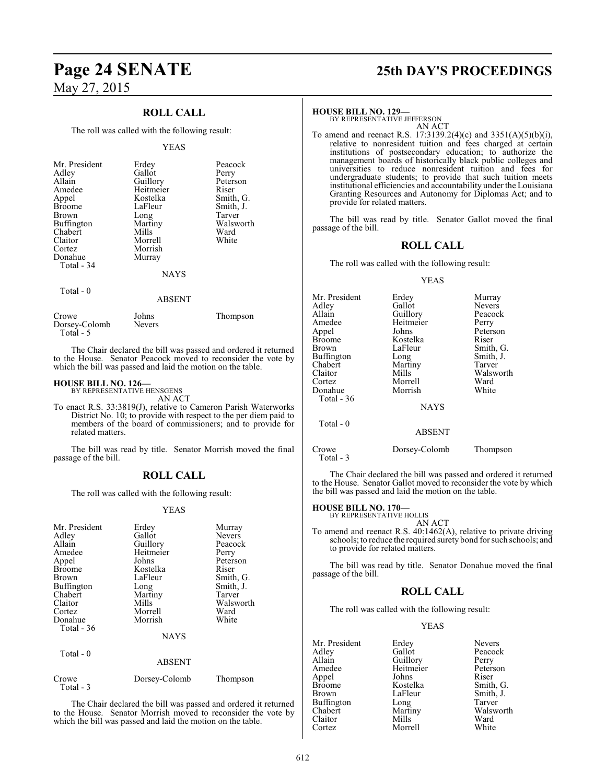### **ROLL CALL**

The roll was called with the following result:

### YEAS

| Mr. President<br>Adley<br>Allain<br>Amedee<br>Appel<br><b>Broome</b><br><b>Brown</b><br>Buffington<br>Chabert<br>Claitor<br>Cortez<br>Donahue | Erdey<br>Gallot<br>Guillory<br>Heitmeier<br>Kostelka<br>LaFleur<br>Long<br>Martiny<br>Mills<br>Morrell<br>Morrish<br>Murray | Peacock<br>Perry<br>Peterson<br>Riser<br>Smith, G.<br>Smith, J.<br>Tarver<br>Walsworth<br>Ward<br>White |
|-----------------------------------------------------------------------------------------------------------------------------------------------|-----------------------------------------------------------------------------------------------------------------------------|---------------------------------------------------------------------------------------------------------|
| Total - 34                                                                                                                                    | <b>NAYS</b>                                                                                                                 |                                                                                                         |
| Total - 0                                                                                                                                     | ABSENT                                                                                                                      |                                                                                                         |

### Crowe Johns Thompson Dorsey-Colomb Total - 5

The Chair declared the bill was passed and ordered it returned to the House. Senator Peacock moved to reconsider the vote by which the bill was passed and laid the motion on the table.

### **HOUSE BILL NO. 126—**

BY REPRESENTATIVE HENSGENS AN ACT

To enact R.S. 33:3819(J), relative to Cameron Parish Waterworks District No. 10; to provide with respect to the per diem paid to members of the board of commissioners; and to provide for related matters.

The bill was read by title. Senator Morrish moved the final passage of the bill.

### **ROLL CALL**

The roll was called with the following result:

### YEAS

| Mr. President<br>Adley<br>Allain<br>Amedee<br>Appel<br><b>Broome</b><br>Brown<br><b>Buffington</b><br>Chabert<br>Claitor<br>Cortez<br>Donahue<br>Total - 36<br>Total - 0 | Erdey<br>Gallot<br>Guillory<br>Heitmeier<br>Johns<br>Kostelka<br>LaFleur<br>Long<br>Martiny<br>Mills<br>Morrell<br>Morrish<br><b>NAYS</b><br><b>ABSENT</b> | Murray<br><b>Nevers</b><br>Peacock<br>Perry<br>Peterson<br>Riser<br>Smith, G.<br>Smith, J.<br>Tarver<br>Walsworth<br>Ward<br>White |
|--------------------------------------------------------------------------------------------------------------------------------------------------------------------------|------------------------------------------------------------------------------------------------------------------------------------------------------------|------------------------------------------------------------------------------------------------------------------------------------|
| Crowe                                                                                                                                                                    | Dorsey-Colomb                                                                                                                                              | Thompson                                                                                                                           |
| Total - 3                                                                                                                                                                |                                                                                                                                                            |                                                                                                                                    |

The Chair declared the bill was passed and ordered it returned to the House. Senator Morrish moved to reconsider the vote by which the bill was passed and laid the motion on the table.

# **Page 24 SENATE 25th DAY'S PROCEEDINGS**

### **HOUSE BILL NO. 129—**

BY REPRESENTATIVE JEFFERSON AN ACT

To amend and reenact R.S. 17:3139.2(4)(c) and 3351(A)(5)(b)(i), relative to nonresident tuition and fees charged at certain institutions of postsecondary education; to authorize the management boards of historically black public colleges and universities to reduce nonresident tuition and fees for undergraduate students; to provide that such tuition meets institutional efficiencies and accountability under the Louisiana Granting Resources and Autonomy for Diplomas Act; and to provide for related matters.

The bill was read by title. Senator Gallot moved the final passage of the bill.

### **ROLL CALL**

The roll was called with the following result:

### YEAS

| Mr. President     | Erdey         | Murray        |
|-------------------|---------------|---------------|
| Adley             | Gallot        | <b>Nevers</b> |
| Allain            | Guillory      | Peacock       |
| Amedee            | Heitmeier     | Perry         |
| Appel             | Johns         | Peterson      |
| <b>Broome</b>     | Kostelka      | Riser         |
| Brown             | LaFleur       | Smith, G.     |
| <b>Buffington</b> | Long          | Smith, J.     |
| Chabert           | Martiny       | Tarver        |
| Claitor           | Mills         | Walsworth     |
| Cortez            | Morrell       | Ward          |
| Donahue           | Morrish       | White         |
| Total - 36        |               |               |
|                   | <b>NAYS</b>   |               |
| Total - 0         | <b>ABSENT</b> |               |

Crowe Dorsey-Colomb Thompson

The Chair declared the bill was passed and ordered it returned to the House. Senator Gallot moved to reconsider the vote by which the bill was passed and laid the motion on the table.

Total - 3

**HOUSE BILL NO. 170—** BY REPRESENTATIVE HOLLIS AN ACT

To amend and reenact R.S. 40:1462(A), relative to private driving schools; to reduce the required surety bond for such schools; and to provide for related matters.

The bill was read by title. Senator Donahue moved the final passage of the bill.

### **ROLL CALL**

The roll was called with the following result:

### YEAS

| Mr. President | Erdey     | <b>Nevers</b> |
|---------------|-----------|---------------|
| Adley         | Gallot    | Peacock       |
| Allain        | Guillory  | Perry         |
| Amedee        | Heitmeier | Peterson      |
| Appel         | Johns     | Riser         |
| <b>Broome</b> | Kostelka  | Smith, G.     |
| <b>Brown</b>  | LaFleur   | Smith, J.     |
| Buffington    | Long      | Tarver        |
| Chabert       | Martiny   | Walsworth     |
| Claitor       | Mills     | Ward          |
| Cortez        | Morrell   | White         |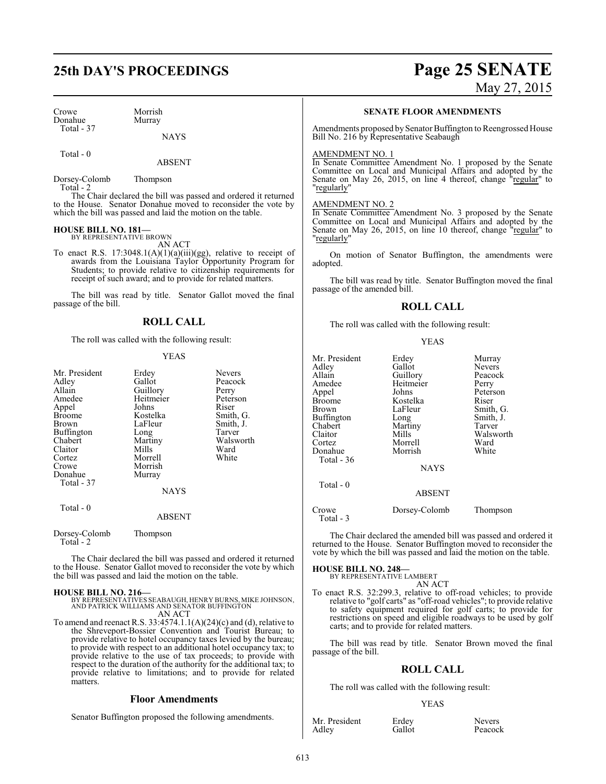## **25th DAY'S PROCEEDINGS Page 25 SENATE**

### Crowe Morrish<br>
Donahue Murray Donahue Total - 37

### **NAYS**

Total - 0

ABSENT

Dorsey-Colomb Thompson Total - 2

The Chair declared the bill was passed and ordered it returned to the House. Senator Donahue moved to reconsider the vote by which the bill was passed and laid the motion on the table.

### **HOUSE BILL NO. 181—**

BY REPRESENTATIVE BROWN AN ACT

To enact R.S. 17:3048.1(A)(1)(a)(iii)(gg), relative to receipt of awards from the Louisiana Taylor Opportunity Program for Students; to provide relative to citizenship requirements for receipt of such award; and to provide for related matters.

The bill was read by title. Senator Gallot moved the final passage of the bill.

### **ROLL CALL**

The roll was called with the following result:

### YEAS

| Mr. President<br>Adley<br>Allain<br>Amedee<br>Appel<br><b>Broome</b><br>Brown<br>Buffington<br>Chabert<br>Claitor<br>Cortez | Erdey<br>Gallot<br>Guillory<br>Heitmeier<br>Johns<br>Kostelka<br>LaFleur<br>Long<br>Martiny<br>Mills<br>Morrell | Nevers<br>Peacock<br>Perry<br>Peterson<br>Riser<br>Smith, G.<br>Smith, J.<br>Tarver<br>Walsworth<br>Ward<br>White |
|-----------------------------------------------------------------------------------------------------------------------------|-----------------------------------------------------------------------------------------------------------------|-------------------------------------------------------------------------------------------------------------------|
| Crowe<br>Donahue<br>Total - 37                                                                                              | Morrish<br>Murray<br>NAYS                                                                                       |                                                                                                                   |
| Total - 0                                                                                                                   | <b>ABSENT</b>                                                                                                   |                                                                                                                   |
| Dorsey-Colomb<br>Total - $2$                                                                                                | Thompson                                                                                                        |                                                                                                                   |

The Chair declared the bill was passed and ordered it returned to the House. Senator Gallot moved to reconsider the vote by which the bill was passed and laid the motion on the table.

### **HOUSE BILL NO. 216—**

BY REPRESENTATIVES SEABAUGH, HENRY BURNS, MIKE JOHNSON, AND PATRICK WILLIAMS AND SENATOR BUFFINGTON AN ACT

To amend and reenact R.S.  $33:4574.1.1(A)(24)(c)$  and (d), relative to the Shreveport-Bossier Convention and Tourist Bureau; to provide relative to hotel occupancy taxes levied by the bureau; to provide with respect to an additional hotel occupancy tax; to provide relative to the use of tax proceeds; to provide with respect to the duration of the authority for the additional tax; to provide relative to limitations; and to provide for related matters.

### **Floor Amendments**

Senator Buffington proposed the following amendments.

May 27, 2015

### **SENATE FLOOR AMENDMENTS**

Amendments proposed by Senator Buffington to Reengrossed House Bill No. 216 by Representative Seabaugh

### AMENDMENT NO. 1

In Senate Committee Amendment No. 1 proposed by the Senate Committee on Local and Municipal Affairs and adopted by the Senate on May 26, 2015, on line 4 thereof, change "regular" to "regularly"

### AMENDMENT NO. 2

In Senate Committee Amendment No. 3 proposed by the Senate Committee on Local and Municipal Affairs and adopted by the Senate on May 26, 2015, on line 10 thereof, change "regular" to "regularly"

On motion of Senator Buffington, the amendments were adopted.

The bill was read by title. Senator Buffington moved the final passage of the amended bill.

### **ROLL CALL**

The roll was called with the following result:

YEAS

| Mr. President | Erdey         | Murray        |
|---------------|---------------|---------------|
| Adlev         | Gallot        | <b>Nevers</b> |
| Allain        | Guillory      | Peacock       |
| Amedee        | Heitmeier     | Perry         |
| Appel         | Johns         | Peterson      |
| Broome        | Kostelka      | Riser         |
| Brown         | LaFleur       | Smith, G.     |
| Buffington    | Long          | Smith, J.     |
| Chabert       | Martiny       | Tarver        |
| Claitor       | Mills         | Walsworth     |
| Cortez        | Morrell       | Ward          |
| Donahue       | Morrish       | White         |
| Total - 36    |               |               |
|               | <b>NAYS</b>   |               |
| Total - 0     |               |               |
|               | <b>ABSENT</b> |               |
| Crowe         | Dorsey-Colomb | Thompson      |

Total - 3

The Chair declared the amended bill was passed and ordered it returned to the House. Senator Buffington moved to reconsider the vote by which the bill was passed and laid the motion on the table.

### **HOUSE BILL NO. 248—**

BY REPRESENTATIVE LAMBERT AN ACT

To enact R.S. 32:299.3, relative to off-road vehicles; to provide relative to "golf carts" as "off-road vehicles"; to provide relative to safety equipment required for golf carts; to provide for restrictions on speed and eligible roadways to be used by golf carts; and to provide for related matters.

The bill was read by title. Senator Brown moved the final passage of the bill.

### **ROLL CALL**

The roll was called with the following result:

### YEAS

Mr. President Erdey Nevers<br>Adley Gallot Peacoc

Peacock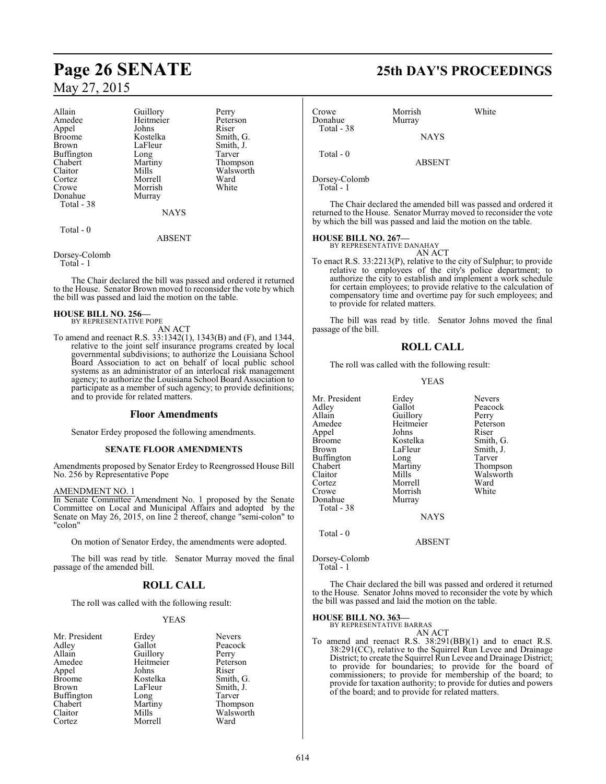# **Page 26 SENATE 25th DAY'S PROCEEDINGS** May 27, 2015

| Allain        | Guillory    | Perry     |
|---------------|-------------|-----------|
| Amedee        | Heitmeier   | Peterson  |
| Appel         | Johns       | Riser     |
| <b>Broome</b> | Kostelka    | Smith, G. |
| Brown         | LaFleur     | Smith, J. |
| Buffington    | Long        | Tarver    |
| Chabert       | Martiny     | Thompson  |
| Claitor       | Mills       | Walsworth |
| Cortez        | Morrell     | Ward      |
| Crowe         | Morrish     | White     |
| Donahue       | Murray      |           |
| Total - 38    |             |           |
|               | <b>NAYS</b> |           |
|               |             |           |

### Total - 0

### ABSENT

Dorsey-Colomb

Total - 1

The Chair declared the bill was passed and ordered it returned to the House. Senator Brown moved to reconsider the vote by which the bill was passed and laid the motion on the table.

#### **HOUSE BILL NO. 256—** BY REPRESENTATIVE POPE

AN ACT

To amend and reenact R.S. 33:1342(1), 1343(B) and (F), and 1344, relative to the joint self insurance programs created by local governmental subdivisions; to authorize the Louisiana School Board Association to act on behalf of local public school systems as an administrator of an interlocal risk management agency; to authorize the Louisiana School Board Association to participate as a member of such agency; to provide definitions; and to provide for related matters.

### **Floor Amendments**

Senator Erdey proposed the following amendments.

### **SENATE FLOOR AMENDMENTS**

Amendments proposed by Senator Erdey to Reengrossed House Bill No. 256 by Representative Pope

### AMENDMENT NO. 1

In Senate Committee Amendment No. 1 proposed by the Senate Committee on Local and Municipal Affairs and adopted by the Senate on May 26, 2015, on line 2 thereof, change "semi-colon" to "colon"

On motion of Senator Erdey, the amendments were adopted.

The bill was read by title. Senator Murray moved the final passage of the amended bill.

### **ROLL CALL**

The roll was called with the following result:

### YEAS

|           | <b>Nevers</b>     |
|-----------|-------------------|
| Gallot    | Peacoo            |
|           | Perry             |
| Heitmeier | Peters            |
| Johns     | Riser             |
| Kostelka  | Smith,            |
| LaFleur   | Smith,            |
| Long      | Tarver            |
| Martiny   | Thomp             |
| Mills     | Walsw             |
| Morrell   | Ward              |
|           | Erdey<br>Guillory |

Nevers Peacock<br>Perry Peterson<br>Riser Smith, G. Smith, J.<br>Tarver Thompson Walsworth<br>Ward

| Crowe<br>Donahue<br>Total - 38 | Morrish<br>Murray | White |
|--------------------------------|-------------------|-------|
|                                | <b>NAYS</b>       |       |
| Total $-0$                     | <b>ABSENT</b>     |       |
| $D_{\text{max}} \sim 0.1$      |                   |       |

Dorsey-Colomb Total - 1

The Chair declared the amended bill was passed and ordered it returned to the House. Senator Murray moved to reconsider the vote by which the bill was passed and laid the motion on the table.

### **HOUSE BILL NO. 267—**

BY REPRESENTATIVE DANAHAY AN ACT

To enact R.S. 33:2213(P), relative to the city of Sulphur; to provide relative to employees of the city's police department; to authorize the city to establish and implement a work schedule for certain employees; to provide relative to the calculation of compensatory time and overtime pay for such employees; and to provide for related matters.

The bill was read by title. Senator Johns moved the final passage of the bill.

### **ROLL CALL**

The roll was called with the following result:

### YEAS

| Mr. President | Erdey     | Nevers    |
|---------------|-----------|-----------|
| Adlev         | Gallot    | Peacock   |
| Allain        | Guillory  | Perry     |
| Amedee        | Heitmeier | Peterson  |
| Appel         | Johns     | Riser     |
| Broome        | Kostelka  | Smith, G. |
| Brown         | LaFleur   | Smith, J. |
| Buffington    | Long      | Tarver    |
| Chabert       | Martiny   | Thompson  |
| Claitor       | Mills     | Walsworth |
| Cortez        | Morrell   | Ward      |
| Crowe         | Morrish   | White     |
| Donahue       | Murray    |           |
| Total - 38    |           |           |
|               |           |           |

**NAYS** 

Total - 0

ABSENT

Dorsey-Colomb Total - 1

The Chair declared the bill was passed and ordered it returned to the House. Senator Johns moved to reconsider the vote by which the bill was passed and laid the motion on the table.

### **HOUSE BILL NO. 363—** BY REPRESENTATIVE BARRAS

AN ACT

To amend and reenact R.S. 38:291(BB)(1) and to enact R.S. 38:291(CC), relative to the Squirrel Run Levee and Drainage District; to create the Squirrel Run Levee and Drainage District; to provide for boundaries; to provide for the board of commissioners; to provide for membership of the board; to provide for taxation authority; to provide for duties and powers of the board; and to provide for related matters.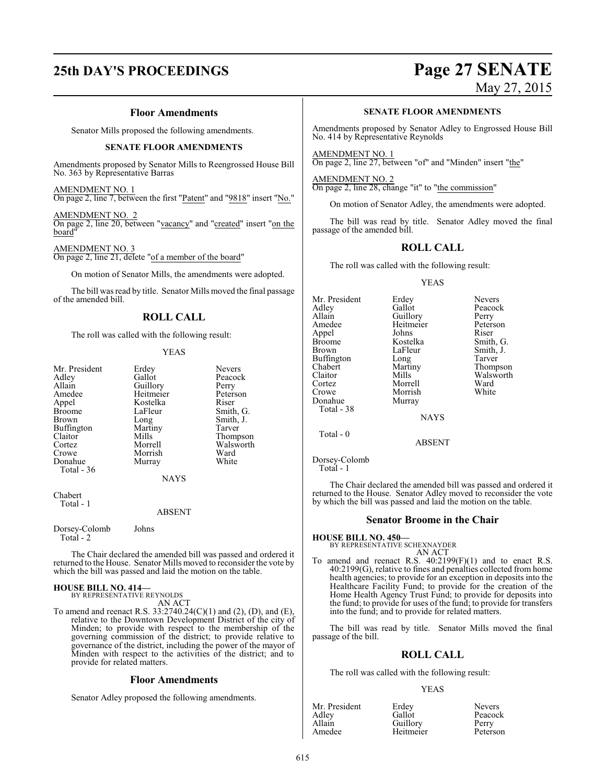### **Floor Amendments**

Senator Mills proposed the following amendments.

### **SENATE FLOOR AMENDMENTS**

Amendments proposed by Senator Mills to Reengrossed House Bill No. 363 by Representative Barras

### AMENDMENT NO. 1

On page 2, line 7, between the first "Patent" and "9818" insert "No."

AMENDMENT NO. 2 On page 2, line 20, between "vacancy" and "created" insert "on the board"

### AMENDMENT NO. 3

On page 2, line 21, delete "of a member of the board"

On motion of Senator Mills, the amendments were adopted.

The bill was read by title. Senator Mills moved the final passage of the amended bill.

### **ROLL CALL**

The roll was called with the following result:

#### YEAS

| Mr. President<br>Adley<br>Allain<br>Amedee<br>Appel<br><b>Broome</b><br>Brown<br><b>Buffington</b><br>Claitor<br>Cortez | Erdey<br>Gallot<br>Guillory<br>Heitmeier<br>Kostelka<br>LaFleur<br>Long<br>Martiny<br>Mills<br>Morrell | <b>Nevers</b><br>Peacock<br>Perry<br>Peterson<br>Riser<br>Smith, G.<br>Smith, J.<br>Tarver<br>Thompson<br>Walsworth |
|-------------------------------------------------------------------------------------------------------------------------|--------------------------------------------------------------------------------------------------------|---------------------------------------------------------------------------------------------------------------------|
| Crowe                                                                                                                   | Morrish                                                                                                | Ward                                                                                                                |
| Donahue<br>Total - 36                                                                                                   | Murray                                                                                                 | White                                                                                                               |
|                                                                                                                         | <b>NAYS</b>                                                                                            |                                                                                                                     |
| Chahart                                                                                                                 |                                                                                                        |                                                                                                                     |

Chabert Total - 1

### ABSENT

Dorsey-Colomb Johns Total - 2

The Chair declared the amended bill was passed and ordered it returned to the House. Senator Mills moved to reconsider the vote by which the bill was passed and laid the motion on the table.

### **HOUSE BILL NO. 414—** BY REPRESENTATIVE REYNOLDS

AN ACT

To amend and reenact R.S. 33:2740.24(C)(1) and (2), (D), and (E), relative to the Downtown Development District of the city of Minden; to provide with respect to the membership of the governing commission of the district; to provide relative to governance of the district, including the power of the mayor of Minden with respect to the activities of the district; and to provide for related matters.

### **Floor Amendments**

Senator Adley proposed the following amendments.

# **25th DAY'S PROCEEDINGS Page 27 SENATE**

May 27, 2015

### **SENATE FLOOR AMENDMENTS**

Amendments proposed by Senator Adley to Engrossed House Bill No. 414 by Representative Reynolds

AMENDMENT NO. 1 On page 2, line 27, between "of" and "Minden" insert "the"

AMENDMENT NO. 2 On page 2, line 28, change "it" to "the commission"

On motion of Senator Adley, the amendments were adopted.

The bill was read by title. Senator Adley moved the final passage of the amended bill.

### **ROLL CALL**

The roll was called with the following result:

### YEAS

Mr. President Erdey Nevers<br>
Adley Gallot Peacoc Adley Gallot Peacock<br>Allain Guillory Perry Allain Cuillory Perry<br>Amedee Heitmeier Peterson Appel Johns Riser Broome Kostelka<br>Brown LaFleur Buffington Long<br>Chabert Martiny Chabert Martiny Thompson<br>Claitor Mills Walsworth Claitor Mills Walsworth<br>
Cortez Morrell Ward Cortez Morrell Ward Crowe Morrish<br>
Donahue Murray Total - 38

Heitmeier Peters<br>Johns Riser Murray

LaFleur Smith, J.<br>
Long Tarver

**NAYS** 

ABSENT

Dorsey-Colomb Total - 1

Total - 0

The Chair declared the amended bill was passed and ordered it returned to the House. Senator Adley moved to reconsider the vote by which the bill was passed and laid the motion on the table.

### **Senator Broome in the Chair**

### **HOUSE BILL NO. 450—** BY REPRESENTATIVE SCHEXNAYDER

AN ACT To amend and reenact R.S.  $40:2199(F)(1)$  and to enact R.S. 40:2199(G), relative to fines and penalties collected from home health agencies; to provide for an exception in deposits into the Healthcare Facility Fund; to provide for the creation of the Home Health Agency Trust Fund; to provide for deposits into the fund; to provide for uses of the fund; to provide for transfers into the fund; and to provide for related matters.

The bill was read by title. Senator Mills moved the final passage of the bill.

### **ROLL CALL**

The roll was called with the following result:

### YEAS

| Erdey     | <b>Nevers</b> |
|-----------|---------------|
| Gallot    | Peacock       |
| Guillory  | Perry         |
| Heitmeier | Peterson      |
|           |               |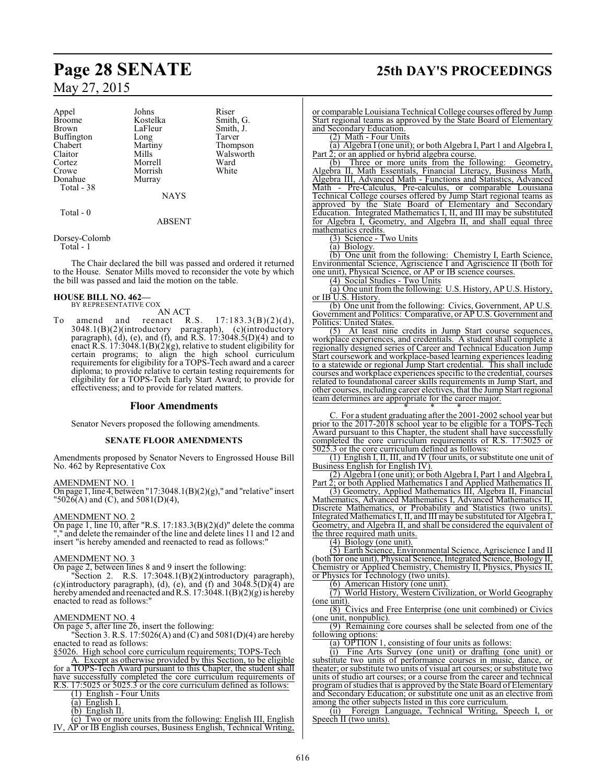Appel Johns Riser Broome Kostelka Smith, G. Buffington Long<br>Chabert Martiny Chabert Martiny Thompson Claitor Mills Walsworth<br>
Cortez Morrell Ward Crowe Morrish<br>Donahue Murray Donahue Total - 38

LaFleur Smith, J.<br>Long Tarver

Morrell Ward<br>
Morrish White

NAYS

### ABSENT

Dorsey-Colomb

Total - 1

Total - 0

The Chair declared the bill was passed and ordered it returned to the House. Senator Mills moved to reconsider the vote by which the bill was passed and laid the motion on the table.

### **HOUSE BILL NO. 462—** BY REPRESENTATIVE COX

AN ACT<br>reenact R.S. To amend and reenact R.S.  $17:183.3(B)(2)(d)$ , 3048.1(B)(2)(introductory paragraph), (c)(introductory paragraph), (d), (e), and (f), and R.S. 17:3048.5(D)(4) and to enact R.S. 17:3048.1(B)(2)(g), relative to student eligibility for certain programs; to align the high school curriculum requirements for eligibility for a TOPS-Tech award and a career diploma; to provide relative to certain testing requirements for eligibility for a TOPS-Tech Early Start Award; to provide for effectiveness; and to provide for related matters.

### **Floor Amendments**

Senator Nevers proposed the following amendments.

### **SENATE FLOOR AMENDMENTS**

Amendments proposed by Senator Nevers to Engrossed House Bill No. 462 by Representative Cox

### AMENDMENT NO. 1

On page 1, line 4, between "17:3048.1(B)(2)(g)," and "relative" insert  $"5026(A)$  and (C), and  $5081(D)(4)$ ,

### AMENDMENT NO. 2

On page 1, line 10, after "R.S.  $17:183.3(B)(2)(d)$ " delete the comma "," and delete the remainder of the line and delete lines 11 and 12 and insert "is hereby amended and reenacted to read as follows:"

### AMENDMENT NO. 3

On page 2, between lines 8 and 9 insert the following:

"Section 2. R.S. 17:3048.1(B)(2)(introductory paragraph), (c)(introductory paragraph), (d), (e), and (f) and  $3048.5(D)(4)$  are hereby amended and reenacted and R.S.  $17:3048.1(B)(2)(g)$  is hereby enacted to read as follows:"

### AMENDMENT NO. 4

On page 5, after line 26, insert the following: "Section 3. R.S. 17:5026(A) and (C) and 5081(D)(4) are hereby enacted to read as follows:

§5026. High school core curriculum requirements; TOPS-Tech

A. Except as otherwise provided by this Section, to be eligible for a TOPS-Tech Award pursuant to this Chapter, the student shall have successfully completed the core curriculum requirements of R.S. 17:5025 or 5025.3 or the core curriculum defined as follows:

(1) English - Four Units

(a) English I.

(b) English II.

(c) Two or more units from the following: English III, English IV, AP or IB English courses, Business English, Technical Writing,

# **Page 28 SENATE 25th DAY'S PROCEEDINGS**

or comparable Louisiana Technical College courses offered by Jump Start regional teams as approved by the State Board of Elementary and Secondary Education.

(2) Math - Four Units

(a) Algebra I (one unit); or both Algebra I, Part 1 and Algebra I, Part 2; or an applied or hybrid algebra course.<br>(b) Three or more units from the fo

Three or more units from the following: Geometry, Algebra II, Math Essentials, Financial Literacy, Business Math, Algebra III, Advanced Math - Functions and Statistics, Advanced Math - Pre-Calculus, Pre-calculus, or comparable Louisiana Technical College courses offered by Jump Start regional teams as approved by the State Board of Elementary and Secondary Education. Integrated Mathematics I, II, and III may be substituted for Algebra I, Geometry, and Algebra II, and shall equal three mathematics credits.

(3) Science - Two Units

(a) Biology.

(b) One unit from the following: Chemistry I, Earth Science, Environmental Science, Agriscience I and Agriscience II (both for one unit), Physical Science, or AP or IB science courses.

(4) Social Studies - Two Units

(a) One unit fromthe following: U.S. History, AP U.S. History, or IB U.S. History.

(b) One unit from the following: Civics, Government, AP U.S. Government and Politics: Comparative, or AP U.S. Government and Politics: United States.

(5) At least nine credits in Jump Start course sequences, workplace experiences, and credentials. A student shall complete a regionally designed series of Career and Technical Education Jump Start coursework and workplace-based learning experiences leading to a statewide or regional Jump Start credential. This shall include courses and workplace experiences specific to the credential, courses related to foundational career skills requirements in Jump Start, and other courses, including career electives, that the Jump Start regional team determines are appropriate for the career major.

\* \* \* C. For a student graduating after the 2001-2002 school year but prior to the 2017-2018 school year to be eligible for a TOPS-Tech Award pursuant to this Chapter, the student shall have successfully completed the core curriculum requirements of R.S. 17:5025 or 5025.3 or the core curriculum defined as follows:

(1) English I, II, III, and IV (four units, or substitute one unit of Business English for English IV).

(2) Algebra I (one unit); or both Algebra I, Part 1 and Algebra I, Part 2; or both Applied Mathematics I and Applied Mathematics II.

(3) Geometry, Applied Mathematics III, Algebra II, Financial Mathematics, Advanced Mathematics I, Advanced Mathematics II, Discrete Mathematics, or Probability and Statistics (two units). Integrated Mathematics I, II, and III may be substituted for Algebra I, Geometry, and Algebra II, and shall be considered the equivalent of the three required math units.

(4) Biology (one unit).

(5) Earth Science, Environmental Science, Agriscience I and II (both for one unit), Physical Science, Integrated Science, Biology II, Chemistry or Applied Chemistry, Chemistry II, Physics, Physics II, or Physics for Technology (two units).

(6) American History (one unit).

(7) World History, Western Civilization, or World Geography (one unit).

(8) Civics and Free Enterprise (one unit combined) or Civics (one unit, nonpublic).

(9) Remaining core courses shall be selected from one of the following options:

(a) OPTION 1, consisting of four units as follows:

(i) Fine Arts Survey (one unit) or drafting (one unit) or substitute two units of performance courses in music, dance, or theater; or substitute two units of visual art courses; or substitute two units of studio art courses; or a course from the career and technical program of studies that is approved by the State Board of Elementary and Secondary Education; or substitute one unit as an elective from among the other subjects listed in this core curriculum.<br>(ii) Foreign Language, Technical Writing, Speech I, or

(ii) Foreign Language, Technical Writing, Speech I, or Speech II (two units).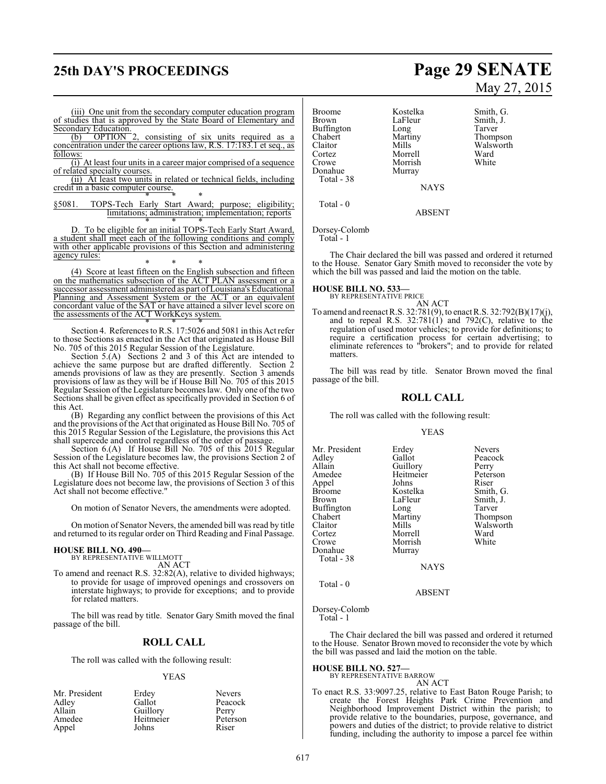## **25th DAY'S PROCEEDINGS Page 29 SENATE**

(iii) One unit from the secondary computer education program of studies that is approved by the State Board of Elementary and Secondary Education.<br>(b) OPTION 2,

consisting of six units required as a concentration under the career options law, R.S. 17:183.1 et seq., as follows:

(i) At least four units in a career major comprised of a sequence of related specialty courses.

(ii) At least two units in related or technical fields, including credit in a basic computer course. \* \* \*

§5081. TOPS-Tech Early Start Award; purpose; eligibility; limitations; administration; implementation; reports

\* \* \* D. To be eligible for an initial TOPS-Tech Early Start Award, a student shall meet each of the following conditions and comply with other applicable provisions of this Section and administering agency rules:

\* \* \* (4) Score at least fifteen on the English subsection and fifteen on the mathematics subsection of the ACT PLAN assessment or a successor assessment administered as part of Louisiana's Educational Planning and Assessment System or the ACT or an equivalent concordant value of the SAT or have attained a silver level score on the assessments of the ACT WorkKeys system.

\* \* \* Section 4. References to R.S. 17:5026 and 5081 in this Act refer to those Sections as enacted in the Act that originated as House Bill No. 705 of this 2015 Regular Session of the Legislature.

Section 5.(A) Sections 2 and 3 of this Act are intended to achieve the same purpose but are drafted differently. Section 2 amends provisions of law as they are presently. Section 3 amends provisions of law as they will be if House Bill No. 705 of this 2015 Regular Session ofthe Legislature becomes law. Only one of the two Sections shall be given effect as specifically provided in Section 6 of this Act.

(B) Regarding any conflict between the provisions of this Act and the provisions of the Act that originated as House Bill No. 705 of this 2015 Regular Session of the Legislature, the provisions this Act shall supercede and control regardless of the order of passage.

Section 6.(A) If House Bill No. 705 of this 2015 Regular Session of the Legislature becomes law, the provisions Section 2 of this Act shall not become effective.

(B) If House Bill No. 705 of this 2015 Regular Session of the Legislature does not become law, the provisions of Section 3 of this Act shall not become effective."

On motion of Senator Nevers, the amendments were adopted.

On motion of Senator Nevers, the amended bill was read by title and returned to its regular order on Third Reading and Final Passage.

### **HOUSE BILL NO. 490—** BY REPRESENTATIVE WILLMOTT

AN ACT

To amend and reenact R.S. 32:82(A), relative to divided highways; to provide for usage of improved openings and crossovers on interstate highways; to provide for exceptions; and to provide for related matters.

The bill was read by title. Senator Gary Smith moved the final passage of the bill.

### **ROLL CALL**

The roll was called with the following result:

### YEAS

| Mr. President | Erdey     | <b>Nevers</b> |
|---------------|-----------|---------------|
| Adley         | Gallot    | Peacock       |
| Allain        | Guillory  | Perry         |
| Amedee        | Heitmeier | Peterson      |
| Appel         | Johns     | Riser         |

Broome Kostelka Smith, G. Buffington Long<br>Chabert Martiny Chabert Martiny Thompson Claitor Mills Walsworth<br>
Cortez Morrell Ward Cortez Morrell Ward Donahue Murray Total - 38

LaFleur Smith, J.<br>Long Tarver Morrish

NAYS

ABSENT

Dorsey-Colomb Total - 1

Total - 0

The Chair declared the bill was passed and ordered it returned to the House. Senator Gary Smith moved to reconsider the vote by which the bill was passed and laid the motion on the table.

### **HOUSE BILL NO. 533—** BY REPRESENTATIVE PRICE

AN ACT To amend and reenact R.S. 32:781(9), to enact R.S. 32:792(B)(17)(j), and to repeal R.S.  $32:781(1)$  and  $792(C)$ , relative to the regulation of used motor vehicles; to provide for definitions; to require a certification process for certain advertising; to eliminate references to "brokers"; and to provide for related matters.

The bill was read by title. Senator Brown moved the final passage of the bill.

### **ROLL CALL**

The roll was called with the following result:

### YEAS

| Mr. President<br>Erdey    | <b>Nevers</b> |
|---------------------------|---------------|
| Gallot<br>Adley           | Peacock       |
| Allain<br>Guillory        | Perry         |
| Heitmeier<br>Amedee       | Peterson      |
| Johns<br>Appel            | Riser         |
| Kostelka<br><b>Broome</b> | Smith, G.     |
| LaFleur<br><b>Brown</b>   | Smith, J.     |
| <b>Buffington</b><br>Long | Tarver        |
| Chabert<br>Martiny        | Thompson      |
| Mills<br>Claitor          | Walsworth     |
| Morrell<br>Cortez         | Ward          |
| Crowe<br>Morrish          | White         |
| Donahue<br>Murray         |               |
| Total - 38                |               |
| <b>NAYS</b>               |               |

Total - 0

ABSENT

Dorsey-Colomb Total - 1

The Chair declared the bill was passed and ordered it returned to the House. Senator Brown moved to reconsider the vote by which the bill was passed and laid the motion on the table.

**HOUSE BILL NO. 527—** BY REPRESENTATIVE BARROW

AN ACT

To enact R.S. 33:9097.25, relative to East Baton Rouge Parish; to create the Forest Heights Park Crime Prevention and Neighborhood Improvement District within the parish; to provide relative to the boundaries, purpose, governance, and powers and duties of the district; to provide relative to district funding, including the authority to impose a parcel fee within

# May 27, 2015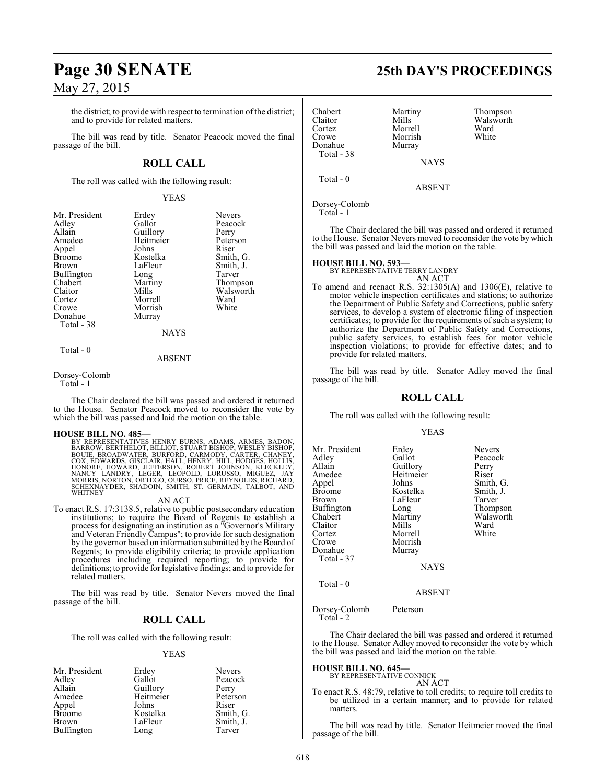the district; to provide with respect to termination of the district; and to provide for related matters.

The bill was read by title. Senator Peacock moved the final passage of the bill.

### **ROLL CALL**

The roll was called with the following result:

### YEAS

| Mr. President | Erdey       | <b>Nevers</b> |
|---------------|-------------|---------------|
| Adley         | Gallot      | Peacock       |
| Allain        | Guillory    | Perry         |
| Amedee        | Heitmeier   | Peterson      |
| Appel         | Johns       | Riser         |
| <b>Broome</b> | Kostelka    | Smith, G.     |
| Brown         | LaFleur     | Smith, J.     |
| Buffington    | Long        | Tarver        |
| Chabert       | Martiny     | Thompson      |
| Claitor       | Mills       | Walsworth     |
| Cortez        | Morrell     | Ward          |
| Crowe         | Morrish     | White         |
| Donahue       | Murray      |               |
| Total - 38    |             |               |
|               | <b>NAYS</b> |               |
| Total - 0     |             |               |

### ABSENT

Dorsey-Colomb

Total - 1

The Chair declared the bill was passed and ordered it returned to the House. Senator Peacock moved to reconsider the vote by which the bill was passed and laid the motion on the table.

### **HOUSE BILL NO. 485—**

BY REPRESENTATIVES HENRY BURNS, ADAMS, ARMES, BADON, BERTHELOT, BILLIOT, STUART BISHOP, WESLEY BISHOP, BOUIE, BROAD BOUIE, BROAD BOUIE, BROAD BOUIE, BROAD BOUIE, BROAD BOUIE, BROAD BOUIE, HALL, HENRY, HILL, HODGES, HOLLIS,

### AN ACT

To enact R.S. 17:3138.5, relative to public postsecondary education institutions; to require the Board of Regents to establish a process for designating an institution as a "Governor's Military and Veteran Friendly Campus"; to provide for such designation by the governor based on information submitted by the Board of Regents; to provide eligibility criteria; to provide application procedures including required reporting; to provide for definitions; to provide for legislative findings; and to provide for related matters.

The bill was read by title. Senator Nevers moved the final passage of the bill.

### **ROLL CALL**

The roll was called with the following result:

### YEAS

| Mr. President | Erdey     | <b>Nevers</b> |
|---------------|-----------|---------------|
| Adley         | Gallot    | Peacock       |
| Allain        | Guillory  | Perry         |
| Amedee        | Heitmeier | Peterson      |
| Appel         | Johns     | Riser         |
| <b>Broome</b> | Kostelka  | Smith, G.     |
| Brown         | LaFleur   | Smith, J.     |
| Buffington    | Long      | Tarver        |

## **Page 30 SENATE 25th DAY'S PROCEEDINGS**

Chabert Martiny Thompson<br>Claitor Mills Walsworth Claitor Mills Walsworth<br>
Cortez Morrell Ward Cortez Morrell Ward Morrish<br>Murray Donahue Total - 38 NAYS Total - 0 ABSENT

Dorsey-Colomb

Total - 1

The Chair declared the bill was passed and ordered it returned to the House. Senator Nevers moved to reconsider the vote by which the bill was passed and laid the motion on the table.

### **HOUSE BILL NO. 593—**

BY REPRESENTATIVE TERRY LANDRY AN ACT

To amend and reenact R.S. 32:1305(A) and 1306(E), relative to motor vehicle inspection certificates and stations; to authorize the Department of Public Safety and Corrections, public safety services, to develop a system of electronic filing of inspection certificates; to provide for the requirements of such a system; to authorize the Department of Public Safety and Corrections, public safety services, to establish fees for motor vehicle inspection violations; to provide for effective dates; and to provide for related matters.

The bill was read by title. Senator Adley moved the final passage of the bill.

### **ROLL CALL**

The roll was called with the following result:

### YEAS

| Mr. President<br>Adley<br>Allain<br>Amedee<br>Appel<br><b>Broome</b><br><b>Brown</b><br>Buffington<br>Chabert<br>Claitor<br>Cortez<br>Crowe<br>Donahue<br>Total - 37 | Erdey<br>Gallot<br>Guillory<br>Heitmeier<br>Johns<br>Kostelka<br>LaFleur<br>Long<br>Martiny<br>Mills<br>Morrell<br>Morrish<br>Murray<br><b>NAYS</b> | <b>Nevers</b><br>Peacock<br>Perry<br>Riser<br>Smith, G.<br>Smith, J.<br>Tarver<br>Thompson<br>Walsworth<br>Ward<br>White |
|----------------------------------------------------------------------------------------------------------------------------------------------------------------------|-----------------------------------------------------------------------------------------------------------------------------------------------------|--------------------------------------------------------------------------------------------------------------------------|
|                                                                                                                                                                      |                                                                                                                                                     |                                                                                                                          |

Total - 0

ABSENT

Dorsey-Colomb Peterson Total - 2

The Chair declared the bill was passed and ordered it returned to the House. Senator Adley moved to reconsider the vote by which the bill was passed and laid the motion on the table.

### **HOUSE BILL NO. 645—**

BY REPRESENTATIVE CONNICK AN ACT

To enact R.S. 48:79, relative to toll credits; to require toll credits to be utilized in a certain manner; and to provide for related matters.

The bill was read by title. Senator Heitmeier moved the final passage of the bill.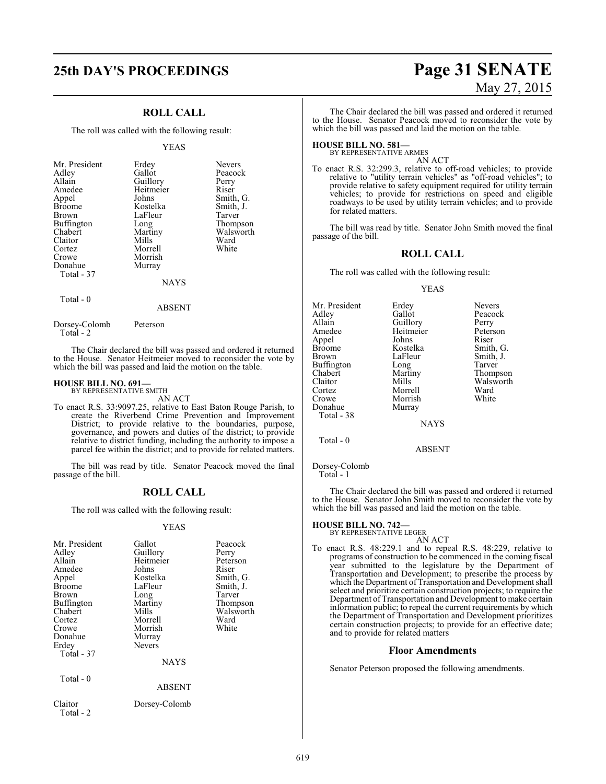### **ROLL CALL**

The roll was called with the following result:

#### YEAS

| Mr. President<br>Adley<br>Allain<br>Amedee<br>Appel<br><b>Broome</b><br><b>Brown</b><br>Buffington<br>Chabert<br>Claitor<br>Cortez<br>Crowe<br>Donahue<br>Total - 37 | Erdey<br>Gallot<br>Guillory<br>Heitmeier<br>Johns<br>Kostelka<br>LaFleur<br>Long<br>Martiny<br>Mills<br>Morrell<br>Morrish<br>Murray | <b>Nevers</b><br>Peacock<br>Perry<br>Riser<br>Smith, G.<br>Smith, J.<br>Tarver<br>Thompson<br>Walsworth<br>Ward<br>White |
|----------------------------------------------------------------------------------------------------------------------------------------------------------------------|--------------------------------------------------------------------------------------------------------------------------------------|--------------------------------------------------------------------------------------------------------------------------|
|                                                                                                                                                                      | <b>NAYS</b>                                                                                                                          |                                                                                                                          |

Total - 0

ABSENT

Dorsey-Colomb Peterson Total - 2

The Chair declared the bill was passed and ordered it returned to the House. Senator Heitmeier moved to reconsider the vote by which the bill was passed and laid the motion on the table.

#### **HOUSE BILL NO. 691—** BY REPRESENTATIVE SMITH

AN ACT

To enact R.S. 33:9097.25, relative to East Baton Rouge Parish, to create the Riverbend Crime Prevention and Improvement District; to provide relative to the boundaries, purpose, governance, and powers and duties of the district; to provide relative to district funding, including the authority to impose a parcel fee within the district; and to provide for related matters.

The bill was read by title. Senator Peacock moved the final passage of the bill.

### **ROLL CALL**

The roll was called with the following result:

### YEAS

| Mr. President<br>Adley<br>Allain<br>Amedee<br>Appel<br><b>Broome</b><br>Brown<br>Buffington<br>Chabert<br>Cortez<br>Crowe<br>Donahue<br>Erdey<br>Total - 37<br>$Total - 0$ | Gallot<br>Guillory<br>Heitmeier<br>Johns<br>Kostelka<br>LaFleur<br>Long<br>Martiny<br>Mills<br>Morrell<br>Morrish<br>Murray<br><b>Nevers</b><br><b>NAYS</b> | Peacock<br>Perry<br>Peterson<br>Riser<br>Smith, G.<br>Smith, J.<br>Tarver<br>Thompson<br>Walsworth<br>Ward<br>White |
|----------------------------------------------------------------------------------------------------------------------------------------------------------------------------|-------------------------------------------------------------------------------------------------------------------------------------------------------------|---------------------------------------------------------------------------------------------------------------------|
|                                                                                                                                                                            | ABSENT                                                                                                                                                      |                                                                                                                     |
| Claitor<br>Total - 2                                                                                                                                                       | Dorsey-Colomb                                                                                                                                               |                                                                                                                     |

# **25th DAY'S PROCEEDINGS Page 31 SENATE** May 27, 2015

The Chair declared the bill was passed and ordered it returned to the House. Senator Peacock moved to reconsider the vote by which the bill was passed and laid the motion on the table.

### **HOUSE BILL NO. 581—**

BY REPRESENTATIVE ARMES

AN ACT To enact R.S. 32:299.3, relative to off-road vehicles; to provide relative to "utility terrain vehicles" as "off-road vehicles"; to provide relative to safety equipment required for utility terrain vehicles; to provide for restrictions on speed and eligible roadways to be used by utility terrain vehicles; and to provide for related matters.

The bill was read by title. Senator John Smith moved the final passage of the bill.

### **ROLL CALL**

The roll was called with the following result:

### YEAS

| Mr. President | Erdey     | <b>Nevers</b> |
|---------------|-----------|---------------|
| Adley         | Gallot    | Peacock       |
| Allain        | Guillory  | Perry         |
| Amedee        | Heitmeier | Peterson      |
| Appel         | Johns     | Riser         |
| <b>Broome</b> | Kostelka  | Smith, G.     |
| Brown         | LaFleur   | Smith, J.     |
| Buffington    | Long      | Tarver        |
| Chabert       | Martiny   | Thompson      |
| Claitor       | Mills     | Walsworth     |
| Cortez        | Morrell   | Ward          |
| Crowe         | Morrish   | White         |
| Donahue       | Murray    |               |
| Total - 38    |           |               |
|               | NAYS      |               |

ABSENT

Dorsey-Colomb

Total - 0

Total - 1

The Chair declared the bill was passed and ordered it returned to the House. Senator John Smith moved to reconsider the vote by which the bill was passed and laid the motion on the table.

### **HOUSE BILL NO. 742—**

BY REPRESENTATIVE LEGER

To enact R.S. 48:229.1 and to repeal R.S. 48:229, relative to programs of construction to be commenced in the coming fiscal year submitted to the legislature by the Department of Transportation and Development; to prescribe the process by which the Department of Transportation and Development shall select and prioritize certain construction projects; to require the Department ofTransportation and Development to make certain information public; to repeal the current requirements by which the Department of Transportation and Development prioritizes certain construction projects; to provide for an effective date; and to provide for related matters

### **Floor Amendments**

Senator Peterson proposed the following amendments.

AN ACT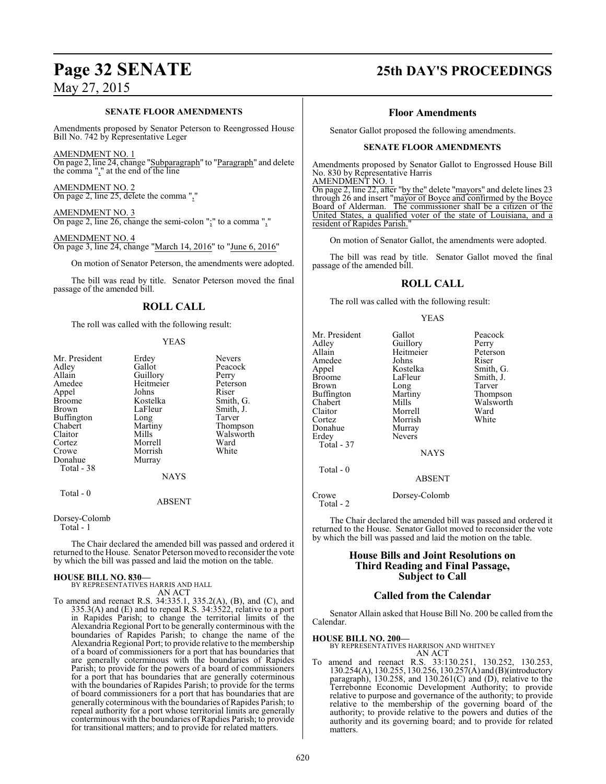### **SENATE FLOOR AMENDMENTS**

Amendments proposed by Senator Peterson to Reengrossed House Bill No. 742 by Representative Leger

### AMENDMENT NO. 1

On page 2, line 24, change "Subparagraph" to "Paragraph" and delete the comma "," at the end of the line

AMENDMENT NO. 2 On page 2, line 25, delete the comma ","

AMENDMENT NO. 3 On page 2, line 26, change the semi-colon ";" to a comma ","

AMENDMENT NO. 4 On page 3, line 24, change "March 14, 2016" to "June 6, 2016"

On motion of Senator Peterson, the amendments were adopted.

The bill was read by title. Senator Peterson moved the final passage of the amended bill.

### **ROLL CALL**

The roll was called with the following result:

### YEAS

| Mr. President<br>Adley<br>Allain<br>Amedee<br>Appel<br>Broome<br>Brown<br>Buffington<br>Chabert<br>Claitor<br>Cortez<br>Crowe<br>Donahue<br>Total - 38 | Erdey<br>Gallot<br>Guillory<br>Heitmeier<br>Johns<br>Kostelka<br>LaFleur<br>Long<br>Martiny<br>Mills<br>Morrell<br>Morrish<br>Murray | <b>Nevers</b><br>Peacock<br>Perry<br>Peterson<br>Riser<br>Smith, G.<br>Smith, J.<br>Tarver<br>Thompson<br>Walsworth<br>Ward<br>White |
|--------------------------------------------------------------------------------------------------------------------------------------------------------|--------------------------------------------------------------------------------------------------------------------------------------|--------------------------------------------------------------------------------------------------------------------------------------|
|                                                                                                                                                        | <b>NAYS</b>                                                                                                                          |                                                                                                                                      |
| $Total - 0$                                                                                                                                            |                                                                                                                                      |                                                                                                                                      |

### ABSENT

Dorsey-Colomb Total - 1

The Chair declared the amended bill was passed and ordered it returned to the House. Senator Peterson moved to reconsider the vote by which the bill was passed and laid the motion on the table.

### **HOUSE BILL NO. 830—**

BY REPRESENTATIVES HARRIS AND HALL AN ACT

To amend and reenact R.S. 34:335.1, 335.2(A), (B), and (C), and 335.3(A) and (E) and to repeal R.S. 34:3522, relative to a port in Rapides Parish; to change the territorial limits of the Alexandria Regional Port to be generally conterminous with the boundaries of Rapides Parish; to change the name of the Alexandria Regional Port; to provide relative to the membership of a board of commissioners for a port that has boundaries that are generally coterminous with the boundaries of Rapides Parish; to provide for the powers of a board of commissioners for a port that has boundaries that are generally coterminous with the boundaries of Rapides Parish; to provide for the terms of board commissioners for a port that has boundaries that are generally coterminous with the boundaries of Rapides Parish; to repeal authority for a port whose territorial limits are generally conterminous with the boundaries of Rapdies Parish; to provide for transitional matters; and to provide for related matters.

### **Page 32 SENATE 25th DAY'S PROCEEDINGS**

### **Floor Amendments**

Senator Gallot proposed the following amendments.

### **SENATE FLOOR AMENDMENTS**

Amendments proposed by Senator Gallot to Engrossed House Bill No. 830 by Representative Harris

AMENDMENT NO. 1

On page 2, line 22, after "by the" delete "mayors" and delete lines 23 through 26 and insert "mayor of Boyce and confirmed by the Boyce Board of Alderman. The commissioner shall be a citizen of the United States, a qualified voter of the state of Louisiana, and a resident of Rapides Parish.

On motion of Senator Gallot, the amendments were adopted.

The bill was read by title. Senator Gallot moved the final passage of the amended bill.

### **ROLL CALL**

The roll was called with the following result:

### YEAS

Smith, J. Tarver Thompson Walsworth<br>Ward

| Mr. President<br>Adley<br>Allain<br>Amedee<br>Appel<br><b>Broome</b><br>Brown<br>Buffington<br>Chabert<br>Claitor<br>Cortez<br>Donahue<br>Erdey<br>Total - 37 | Gallot<br>Guillory<br>Heitmeier<br>Johns<br>Kostelka<br>LaFleur<br>Long<br>Martiny<br>Mills<br>Morrell<br>Morrish<br>Murray<br>Nevers<br><b>NAYS</b> | Peacock<br>Perry<br>Peterson<br>Riser<br>Smith, G.<br>Smith, J.<br>Tarver<br>Thompson<br>Walswort<br>Ward<br>White |
|---------------------------------------------------------------------------------------------------------------------------------------------------------------|------------------------------------------------------------------------------------------------------------------------------------------------------|--------------------------------------------------------------------------------------------------------------------|
| Total - 0                                                                                                                                                     | <b>ABSENT</b>                                                                                                                                        |                                                                                                                    |
| Crowe<br>Total - 2                                                                                                                                            | Dorsey-Colomb                                                                                                                                        |                                                                                                                    |

The Chair declared the amended bill was passed and ordered it returned to the House. Senator Gallot moved to reconsider the vote

by which the bill was passed and laid the motion on the table.

### **House Bills and Joint Resolutions on Third Reading and Final Passage, Subject to Call**

### **Called from the Calendar**

Senator Allain asked that House Bill No. 200 be called from the Calendar.

**HOUSE BILL NO. 200—** BY REPRESENTATIVES HARRISON AND WHITNEY AN ACT

To amend and reenact R.S. 33:130.251, 130.252, 130.253, 130.254(A), 130.255, 130.256, 130.257(A) and (B)(introductory paragraph), 130.258, and 130.261(C) and (D), relative to the Terrebonne Economic Development Authority; to provide relative to purpose and governance of the authority; to provide relative to the membership of the governing board of the authority; to provide relative to the powers and duties of the authority and its governing board; and to provide for related matters.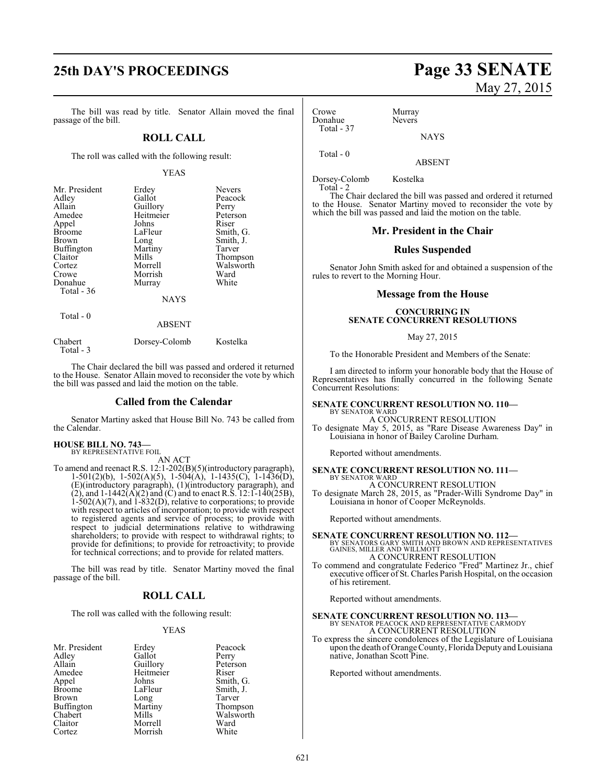## **25th DAY'S PROCEEDINGS Page 33 SENATE**

The bill was read by title. Senator Allain moved the final passage of the bill.

### **ROLL CALL**

The roll was called with the following result:

### YEAS

| Mr. President     | Erdey         | <b>Nevers</b> |
|-------------------|---------------|---------------|
| Adley             | Gallot        | Peacock       |
| Allain            | Guillory      | Perry         |
| Amedee            | Heitmeier     | Peterson      |
| Appel             | Johns         | Riser         |
| <b>Broome</b>     | LaFleur       | Smith, G.     |
| Brown             | Long          | Smith, J.     |
| <b>Buffington</b> | Martiny       | Tarver        |
| Claitor           | Mills         | Thompson      |
| Cortez            | Morrell       | Walsworth     |
| Crowe             | Morrish       | Ward          |
| Donahue           | Murray        | White         |
| Total - 36        |               |               |
|                   | <b>NAYS</b>   |               |
| Total - 0         |               |               |
|                   | <b>ABSENT</b> |               |
| Chabert           | Dorsey-Colomb | Kostelka      |

The Chair declared the bill was passed and ordered it returned to the House. Senator Allain moved to reconsider the vote by which the bill was passed and laid the motion on the table.

### **Called from the Calendar**

Senator Martiny asked that House Bill No. 743 be called from the Calendar.

**HOUSE BILL NO. 743—** BY REPRESENTATIVE FOIL

Total - 3

AN ACT

To amend and reenact R.S. 12:1-202(B)(5)(introductory paragraph), 1-501(2)(b), 1-502(A)(5), 1-504(A), 1-1435(C), 1-1436(D), (E)(introductory paragraph), (1)(introductory paragraph), and (2), and  $1-1442(A)(2)$  and (C) and to enact R.S.  $12:1-140(25B)$ , 1-502(A)(7), and 1-832(D), relative to corporations; to provide with respect to articles of incorporation; to provide with respect to registered agents and service of process; to provide with respect to judicial determinations relative to withdrawing shareholders; to provide with respect to withdrawal rights; to provide for definitions; to provide for retroactivity; to provide for technical corrections; and to provide for related matters.

The bill was read by title. Senator Martiny moved the final passage of the bill.

### **ROLL CALL**

The roll was called with the following result:

### YEAS

| Mr. President     | Erdey     | Peacock   |
|-------------------|-----------|-----------|
| Adley             | Gallot    | Perry     |
| Allain            | Guillory  | Peterson  |
| Amedee            | Heitmeier | Riser     |
| Appel             | Johns     | Smith, G. |
| <b>Broome</b>     | LaFleur   | Smith, J. |
| <b>Brown</b>      | Long      | Tarver    |
| <b>Buffington</b> | Martiny   | Thompson  |
| Chabert           | Mills     | Walsworth |
| Claitor           | Morrell   | Ward      |
| Cortez            | Morrish   | White     |

### Crowe Murray<br>Donahue Nevers Donahue Total - 37

**NAYS** 

Total - 0

Dorsey-Colomb Kostelka Total - 2

The Chair declared the bill was passed and ordered it returned to the House. Senator Martiny moved to reconsider the vote by which the bill was passed and laid the motion on the table.

ABSENT

### **Mr. President in the Chair**

### **Rules Suspended**

Senator John Smith asked for and obtained a suspension of the rules to revert to the Morning Hour.

### **Message from the House**

### **CONCURRING IN SENATE CONCURRENT RESOLUTIONS**

### May 27, 2015

To the Honorable President and Members of the Senate:

I am directed to inform your honorable body that the House of Representatives has finally concurred in the following Senate Concurrent Resolutions:

### **SENATE CONCURRENT RESOLUTION NO. 110—** BY SENATOR WARD

A CONCURRENT RESOLUTION To designate May 5, 2015, as "Rare Disease Awareness Day" in Louisiana in honor of Bailey Caroline Durham.

Reported without amendments.

#### **SENATE CONCURRENT RESOLUTION NO. 111—** BY SENATOR WARD A CONCURRENT RESOLUTION

To designate March 28, 2015, as "Prader-Willi Syndrome Day" in Louisiana in honor of Cooper McReynolds.

Reported without amendments.

**SENATE CONCURRENT RESOLUTION NO. 112—** BY SENATORS GARY SMITH AND BROWN AND REPRESENTATIVES GAINES, MILLER AND WILLMOTT A CONCURRENT RESOLUTION

To commend and congratulate Federico "Fred" Martinez Jr., chief executive officer of St. Charles Parish Hospital, on the occasion of his retirement.

Reported without amendments.

### **SENATE CONCURRENT RESOLUTION NO. 113—** BY SENATOR PEACOCK AND REPRESENTATIVE CARMODY A CONCURRENT RESOLUTION

To express the sincere condolences of the Legislature of Louisiana upon the death of Orange County, Florida Deputy and Louisiana native, Jonathan Scott Pine.

Reported without amendments.

# May 27, 2015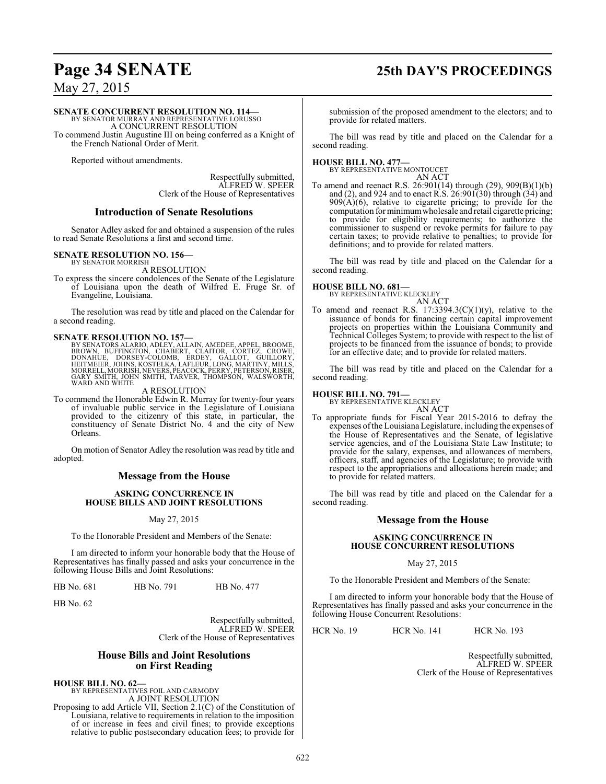# **Page 34 SENATE 25th DAY'S PROCEEDINGS**

May 27, 2015

### **SENATE CONCURRENT RESOLUTION NO. 114—**

BY SENATOR MURRAY AND REPRESENTATIVE LORUSSO A CONCURRENT RESOLUTION

To commend Justin Augustine III on being conferred as a Knight of the French National Order of Merit.

Reported without amendments.

Respectfully submitted, ALFRED W. SPEER Clerk of the House of Representatives

### **Introduction of Senate Resolutions**

Senator Adley asked for and obtained a suspension of the rules to read Senate Resolutions a first and second time.

### **SENATE RESOLUTION NO. 156—**

BY SENATOR MORRISH A RESOLUTION

To express the sincere condolences of the Senate of the Legislature of Louisiana upon the death of Wilfred E. Fruge Sr. of Evangeline, Louisiana.

The resolution was read by title and placed on the Calendar for a second reading.

SENATE RESOLUTION NO. 157—<br>
BY SENATORS ALARIO, ADLEY, ALLAIN, AMEDEE, APPEL, BROOME, BROWN, BUFFINGTON, CHABERT, CLAITOR, CORTEZ, CROWE,<br>
BOOWN, BUFFINGTON, CHABERT, CLAITOR, GALLOT, GUILLORY,<br>
HEITMEIER, JOHNS, KOSTELKA, WARD AND WHITE

### A RESOLUTION

To commend the Honorable Edwin R. Murray for twenty-four years of invaluable public service in the Legislature of Louisiana provided to the citizenry of this state, in particular, the constituency of Senate District No. 4 and the city of New Orleans.

On motion of Senator Adley the resolution was read by title and adopted.

### **Message from the House**

### **ASKING CONCURRENCE IN HOUSE BILLS AND JOINT RESOLUTIONS**

### May 27, 2015

To the Honorable President and Members of the Senate:

I am directed to inform your honorable body that the House of Representatives has finally passed and asks your concurrence in the following House Bills and Joint Resolutions:

HB No. 681 HB No. 791 HB No. 477

HB No. 62

Respectfully submitted, ALFRED W. SPEER Clerk of the House of Representatives

### **House Bills and Joint Resolutions on First Reading**

**HOUSE BILL NO. 62—** BY REPRESENTATIVES FOIL AND CARMODY A JOINT RESOLUTION

Proposing to add Article VII, Section 2.1(C) of the Constitution of Louisiana, relative to requirements in relation to the imposition of or increase in fees and civil fines; to provide exceptions relative to public postsecondary education fees; to provide for

submission of the proposed amendment to the electors; and to provide for related matters.

The bill was read by title and placed on the Calendar for a second reading.

**HOUSE BILL NO. 477—** BY REPRESENTATIVE MONTOUCET

AN ACT

To amend and reenact R.S. 26:901(14) through (29), 909(B)(1)(b) and (2), and 924 and to enact R.S. 26:901(30) through (34) and  $909(A)(6)$ , relative to cigarette pricing; to provide for the computation for minimum wholesale and retail cigarette pricing; to provide for eligibility requirements; to authorize the commissioner to suspend or revoke permits for failure to pay certain taxes; to provide relative to penalties; to provide for definitions; and to provide for related matters.

The bill was read by title and placed on the Calendar for a second reading.

# **HOUSE BILL NO. 681—** BY REPRESENTATIVE KLECKLEY

AN ACT

To amend and reenact R.S.  $17:3394.3(C)(1)(y)$ , relative to the issuance of bonds for financing certain capital improvement projects on properties within the Louisiana Community and Technical Colleges System; to provide with respect to the list of projects to be financed from the issuance of bonds; to provide for an effective date; and to provide for related matters.

The bill was read by title and placed on the Calendar for a second reading.

### **HOUSE BILL NO. 791—**

BY REPRESENTATIVE KLECKLEY

AN ACT To appropriate funds for Fiscal Year 2015-2016 to defray the expenses ofthe Louisiana Legislature, including the expenses of the House of Representatives and the Senate, of legislative service agencies, and of the Louisiana State Law Institute; to provide for the salary, expenses, and allowances of members, officers, staff, and agencies of the Legislature; to provide with respect to the appropriations and allocations herein made; and to provide for related matters.

The bill was read by title and placed on the Calendar for a second reading.

### **Message from the House**

### **ASKING CONCURRENCE IN HOUSE CONCURRENT RESOLUTIONS**

### May 27, 2015

To the Honorable President and Members of the Senate:

I am directed to inform your honorable body that the House of Representatives has finally passed and asks your concurrence in the following House Concurrent Resolutions:

HCR No. 19 HCR No. 141 HCR No. 193

Respectfully submitted, ALFRED W. SPEER Clerk of the House of Representatives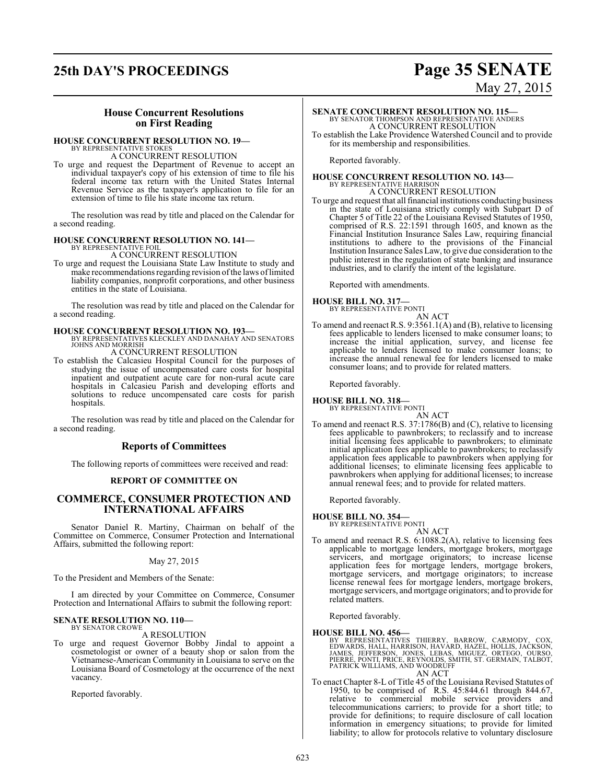## **25th DAY'S PROCEEDINGS Page 35 SENATE**

# May 27, 2015

### **House Concurrent Resolutions on First Reading**

### **HOUSE CONCURRENT RESOLUTION NO. 19—**

BY REPRESENTATIVE STOKES A CONCURRENT RESOLUTION

To urge and request the Department of Revenue to accept an individual taxpayer's copy of his extension of time to file his federal income tax return with the United States Internal Revenue Service as the taxpayer's application to file for an extension of time to file his state income tax return.

The resolution was read by title and placed on the Calendar for a second reading.

### **HOUSE CONCURRENT RESOLUTION NO. 141—** BY REPRESENTATIVE FOIL

A CONCURRENT RESOLUTION

To urge and request the Louisiana State Law Institute to study and make recommendations regarding revision of the laws of limited liability companies, nonprofit corporations, and other business entities in the state of Louisiana.

The resolution was read by title and placed on the Calendar for a second reading.

**HOUSE CONCURRENT RESOLUTION NO. 193—** BY REPRESENTATIVES KLECKLEY AND DANAHAY AND SENATORS JOHNS AND MORRISH A CONCURRENT RESOLUTION

To establish the Calcasieu Hospital Council for the purposes of studying the issue of uncompensated care costs for hospital inpatient and outpatient acute care for non-rural acute care hospitals in Calcasieu Parish and developing efforts and solutions to reduce uncompensated care costs for parish hospitals.

The resolution was read by title and placed on the Calendar for a second reading.

### **Reports of Committees**

The following reports of committees were received and read:

### **REPORT OF COMMITTEE ON**

### **COMMERCE, CONSUMER PROTECTION AND INTERNATIONAL AFFAIRS**

Senator Daniel R. Martiny, Chairman on behalf of the Committee on Commerce, Consumer Protection and International Affairs, submitted the following report:

### May 27, 2015

To the President and Members of the Senate:

I am directed by your Committee on Commerce, Consumer Protection and International Affairs to submit the following report:

### **SENATE RESOLUTION NO. 110—** BY SENATOR CROWE

A RESOLUTION

To urge and request Governor Bobby Jindal to appoint a cosmetologist or owner of a beauty shop or salon from the Vietnamese-American Community in Louisiana to serve on the Louisiana Board of Cosmetology at the occurrence of the next vacancy.

Reported favorably.

### **SENATE CONCURRENT RESOLUTION NO. 115—** BY SENATOR THOMPSON AND REPRESENTATIVE ANDERS A CONCURRENT RESOLUTION

To establish the Lake Providence Watershed Council and to provide for its membership and responsibilities.

Reported favorably.

# **HOUSE CONCURRENT RESOLUTION NO. 143—**<br>BY REPRESENTATIVE HARRISON<br>A CONCURRENT RESOLUTION

To urge and request that all financial institutions conducting business in the state of Louisiana strictly comply with Subpart D of Chapter 5 of Title 22 of the Louisiana Revised Statutes of 1950, comprised of R.S. 22:1591 through 1605, and known as the Financial Institution Insurance Sales Law, requiring financial institutions to adhere to the provisions of the Financial Institution Insurance Sales Law, to give due consideration to the public interest in the regulation of state banking and insurance industries, and to clarify the intent of the legislature.

Reported with amendments.

# **HOUSE BILL NO. 317—** BY REPRESENTATIVE PONTI

AN ACT

To amend and reenact R.S. 9:3561.1(A) and (B), relative to licensing fees applicable to lenders licensed to make consumer loans; to increase the initial application, survey, and license fee applicable to lenders licensed to make consumer loans; to increase the annual renewal fee for lenders licensed to make consumer loans; and to provide for related matters.

Reported favorably.

### **HOUSE BILL NO. 318—** BY REPRESENTATIVE PONTI

AN ACT

To amend and reenact R.S. 37:1786(B) and (C), relative to licensing fees applicable to pawnbrokers; to reclassify and to increase initial licensing fees applicable to pawnbrokers; to eliminate initial application fees applicable to pawnbrokers; to reclassify application fees applicable to pawnbrokers when applying for additional licenses; to eliminate licensing fees applicable to pawnbrokers when applying for additional licenses; to increase annual renewal fees; and to provide for related matters.

Reported favorably.

# **HOUSE BILL NO. 354—** BY REPRESENTATIVE PONTI

AN ACT

To amend and reenact R.S. 6:1088.2(A), relative to licensing fees applicable to mortgage lenders, mortgage brokers, mortgage servicers, and mortgage originators; to increase license application fees for mortgage lenders, mortgage brokers, mortgage servicers, and mortgage originators; to increase license renewal fees for mortgage lenders, mortgage brokers, mortgage servicers, and mortgage originators; and to provide for related matters.

Reported favorably.

### **HOUSE BILL NO. 456—**

BY REPRESENTATIVES THIERRY, BARROW, CARMODY, COX,<br>EDWARDS,HALL,HARRISON,HAVARD,HAZEL,HOLLIS,JACKSON,<br>JAMES, JEFFERSON, JONES, LEBAS, MIGUEZ, ORTEGO, OURSO,<br>PIERRE,PONTI,PRICE,REYNOLDS,SMITH,ST.GERMAIN,TALBOT,<br>PATRICK WILLI AN ACT

To enact Chapter 8-L of Title 45 of the Louisiana Revised Statutes of 1950, to be comprised of R.S. 45:844.61 through 844.67, relative to commercial mobile service providers and telecommunications carriers; to provide for a short title; to provide for definitions; to require disclosure of call location information in emergency situations; to provide for limited liability; to allow for protocols relative to voluntary disclosure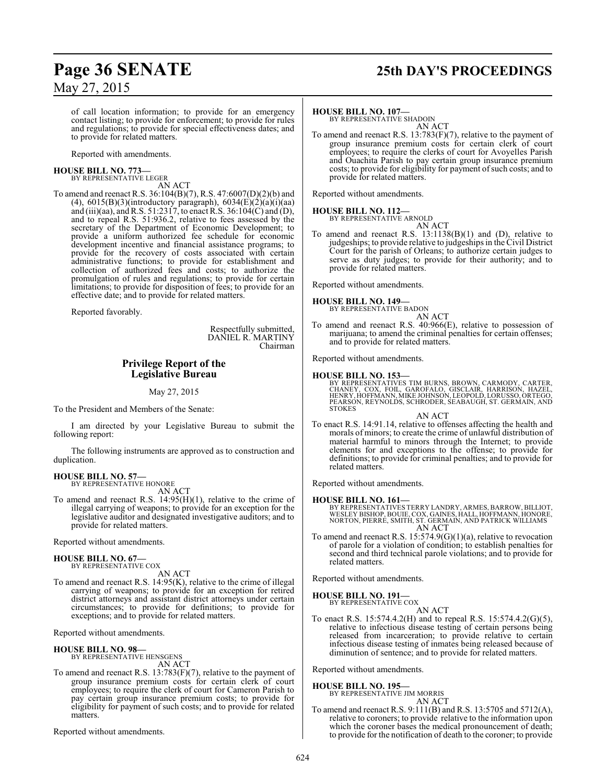## **Page 36 SENATE 25th DAY'S PROCEEDINGS**

of call location information; to provide for an emergency contact listing; to provide for enforcement; to provide for rules and regulations; to provide for special effectiveness dates; and to provide for related matters.

Reported with amendments.

### **HOUSE BILL NO. 773—** BY REPRESENTATIVE LEGER

AN ACT

To amend and reenact R.S. 36:104(B)(7), R.S. 47:6007(D)(2)(b) and (4),  $6015(B)(3)$ (introductory paragraph),  $6034(E)(2)(a)(i)(aa)$ and (iii)(aa), and R.S. 51:2317, to enact R.S. 36:104(C) and (D), and to repeal R.S. 51:936.2, relative to fees assessed by the secretary of the Department of Economic Development; to provide a uniform authorized fee schedule for economic development incentive and financial assistance programs; to provide for the recovery of costs associated with certain administrative functions; to provide for establishment and collection of authorized fees and costs; to authorize the promulgation of rules and regulations; to provide for certain limitations; to provide for disposition of fees; to provide for an effective date; and to provide for related matters.

Reported favorably.

Respectfully submitted, DANIEL R. MARTINY Chairman

### **Privilege Report of the Legislative Bureau**

May 27, 2015

To the President and Members of the Senate:

I am directed by your Legislative Bureau to submit the following report:

The following instruments are approved as to construction and duplication.

### **HOUSE BILL NO. 57—** BY REPRESENTATIVE HONORE

AN ACT

To amend and reenact R.S. 14:95(H)(1), relative to the crime of illegal carrying of weapons; to provide for an exception for the legislative auditor and designated investigative auditors; and to provide for related matters.

Reported without amendments.

### **HOUSE BILL NO. 67—** BY REPRESENTATIVE COX

AN ACT

To amend and reenact R.S. 14:95(K), relative to the crime of illegal carrying of weapons; to provide for an exception for retired district attorneys and assistant district attorneys under certain circumstances; to provide for definitions; to provide for exceptions; and to provide for related matters.

Reported without amendments.

### **HOUSE BILL NO. 98—**

BY REPRESENTATIVE HENSGENS AN ACT

To amend and reenact R.S. 13:783(F)(7), relative to the payment of group insurance premium costs for certain clerk of court employees; to require the clerk of court for Cameron Parish to pay certain group insurance premium costs; to provide for eligibility for payment of such costs; and to provide for related matters.

Reported without amendments.

### **HOUSE BILL NO. 107—**

BY REPRESENTATIVE SHADOIN AN ACT

To amend and reenact R.S. 13:783(F)(7), relative to the payment of group insurance premium costs for certain clerk of court employees; to require the clerks of court for Avoyelles Parish and Ouachita Parish to pay certain group insurance premium costs; to provide for eligibility for payment of such costs; and to provide for related matters.

Reported without amendments.

**HOUSE BILL NO. 112—** BY REPRESENTATIVE ARNOLD

AN ACT

To amend and reenact R.S. 13:1138(B)(1) and (D), relative to judgeships; to provide relative to judgeships in the Civil District Court for the parish of Orleans; to authorize certain judges to serve as duty judges; to provide for their authority; and to provide for related matters.

Reported without amendments.

### **HOUSE BILL NO. 149—** BY REPRESENTATIVE BADON

AN ACT

To amend and reenact R.S. 40:966(E), relative to possession of marijuana; to amend the criminal penalties for certain offenses; and to provide for related matters.

Reported without amendments.

### **HOUSE BILL NO. 153—**

BY REPRESENTATIVES TIM BURNS, BROWN, CARMODY, CARTER,<br>CHANEY, COX, FOIL, GAROFALO, GISCLAIR, HARRISON, HAZEL,<br>HENRY, HOFFMANN, MIKE JOHNSON, LEOPOLD, LORUSSO, ORTEGO, PEARSON, REYNOLDS, SCHRODER, SEABAUGH, ST. GERMAIN, AND STOKES

AN ACT

To enact R.S. 14:91.14, relative to offenses affecting the health and morals of minors; to create the crime of unlawful distribution of material harmful to minors through the Internet; to provide elements for and exceptions to the offense; to provide for definitions; to provide for criminal penalties; and to provide for related matters.

Reported without amendments.

### **HOUSE BILL NO. 161—**

BY REPRESENTATIVES TERRY LANDRY, ARMES, BARROW, BILLIOT, WESLEY BISHOP, BOUIE, COX, GAINES, HALL, HOFFMANN, HONORE, NORTON, PIERRE, SMITH, ST. GERMAIN, AND PATRICK WILLIAMS AN ACT

To amend and reenact R.S. 15:574.9(G)(1)(a), relative to revocation of parole for a violation of condition; to establish penalties for second and third technical parole violations; and to provide for related matters.

Reported without amendments.

### **HOUSE BILL NO. 191—**

BY REPRESENTATIVE COX AN ACT

To enact R.S. 15:574.4.2(H) and to repeal R.S. 15:574.4.2(G)(5), relative to infectious disease testing of certain persons being released from incarceration; to provide relative to certain infectious disease testing of inmates being released because of diminution of sentence; and to provide for related matters.

Reported without amendments.

### **HOUSE BILL NO. 195—**

BY REPRESENTATIVE JIM MORRIS AN ACT

To amend and reenact R.S. 9:111(B) and R.S. 13:5705 and 5712(A), relative to coroners; to provide relative to the information upon which the coroner bases the medical pronouncement of death; to provide for the notification of death to the coroner; to provide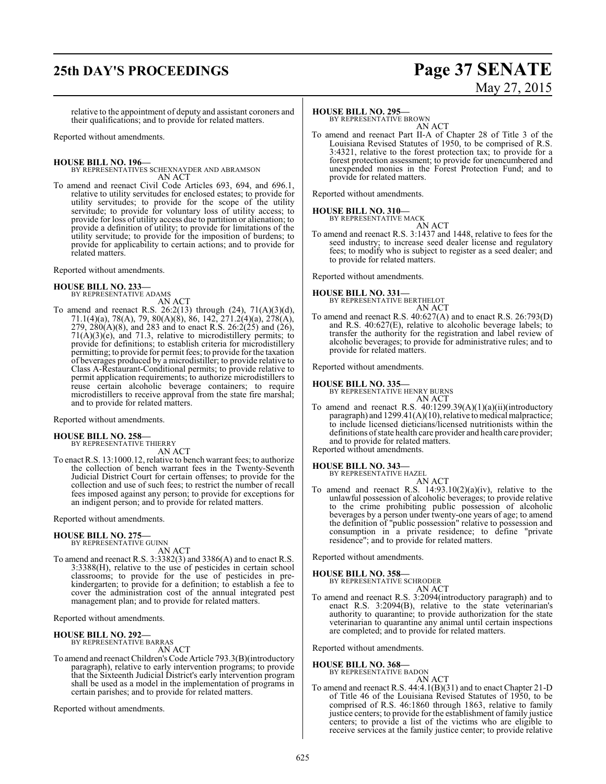## **25th DAY'S PROCEEDINGS Page 37 SENATE**

# May 27, 2015

relative to the appointment of deputy and assistant coroners and their qualifications; and to provide for related matters.

Reported without amendments.

**HOUSE BILL NO. 196—** BY REPRESENTATIVES SCHEXNAYDER AND ABRAMSON AN ACT

To amend and reenact Civil Code Articles 693, 694, and 696.1, relative to utility servitudes for enclosed estates; to provide for utility servitudes; to provide for the scope of the utility servitude; to provide for voluntary loss of utility access; to provide for loss of utility access due to partition or alienation; to provide a definition of utility; to provide for limitations of the utility servitude; to provide for the imposition of burdens; to provide for applicability to certain actions; and to provide for related matters.

Reported without amendments.

# **HOUSE BILL NO. 233—** BY REPRESENTATIVE ADAMS

AN ACT

To amend and reenact R.S. 26:2(13) through  $(24)$ , 71(A)(3)(d), 71.1(4)(a), 78(A), 79, 80(A)(8), 86, 142, 271.2(4)(a), 278(A), 279,  $280(A)(8)$ , and 283 and to enact R.S.  $26:2(25)$  and  $(26)$ , 71(A)(3)(e), and 71.3, relative to microdistillery permits; to provide for definitions; to establish criteria for microdistillery permitting; to provide for permit fees; to provide for the taxation of beverages produced by a microdistiller; to provide relative to Class A-Restaurant-Conditional permits; to provide relative to permit application requirements; to authorize microdistillers to reuse certain alcoholic beverage containers; to require microdistillers to receive approval from the state fire marshal; and to provide for related matters.

Reported without amendments.

#### **HOUSE BILL NO. 258—** BY REPRESENTATIVE THIERRY

AN ACT

To enact R.S. 13:1000.12, relative to bench warrant fees; to authorize the collection of bench warrant fees in the Twenty-Seventh Judicial District Court for certain offenses; to provide for the collection and use of such fees; to restrict the number of recall fees imposed against any person; to provide for exceptions for an indigent person; and to provide for related matters.

Reported without amendments.

### **HOUSE BILL NO. 275—**

BY REPRESENTATIVE GUINN AN ACT

To amend and reenact R.S. 3:3382(3) and 3386(A) and to enact R.S. 3:3388(H), relative to the use of pesticides in certain school classrooms; to provide for the use of pesticides in prekindergarten; to provide for a definition; to establish a fee to cover the administration cost of the annual integrated pest management plan; and to provide for related matters.

Reported without amendments.

#### **HOUSE BILL NO. 292—** BY REPRESENTATIVE BARRAS

AN ACT

To amend and reenact Children's Code Article 793.3(B)(introductory paragraph), relative to early intervention programs; to provide that the Sixteenth Judicial District's early intervention program shall be used as a model in the implementation of programs in certain parishes; and to provide for related matters.

Reported without amendments.

### **HOUSE BILL NO. 295—**

BY REPRESENTATIVE BROWN AN ACT

To amend and reenact Part II-A of Chapter 28 of Title 3 of the Louisiana Revised Statutes of 1950, to be comprised of R.S. 3:4321, relative to the forest protection tax; to provide for a forest protection assessment; to provide for unencumbered and unexpended monies in the Forest Protection Fund; and to provide for related matters.

Reported without amendments.

### **HOUSE BILL NO. 310—**

BY REPRESENTATIVE MACK AN ACT

To amend and reenact R.S. 3:1437 and 1448, relative to fees for the seed industry; to increase seed dealer license and regulatory fees; to modify who is subject to register as a seed dealer; and to provide for related matters.

Reported without amendments.

### **HOUSE BILL NO. 331—**

BY REPRESENTATIVE BERTHELOT AN ACT

To amend and reenact R.S. 40:627(A) and to enact R.S. 26:793(D) and R.S. 40:627(E), relative to alcoholic beverage labels; to transfer the authority for the registration and label review of alcoholic beverages; to provide for administrative rules; and to provide for related matters.

Reported without amendments.

### **HOUSE BILL NO. 335—**

BY REPRESENTATIVE HENRY BURNS

AN ACT To amend and reenact R.S.  $40:1299.39(A)(1)(a)(ii)(introductory)$ paragraph) and  $1299.41(A)(10)$ , relative to medical malpractice; to include licensed dieticians/licensed nutritionists within the definitions of state health care provider and health care provider; and to provide for related matters.

Reported without amendments.

### **HOUSE BILL NO. 343—** BY REPRESENTATIVE HAZEL

AN ACT

To amend and reenact R.S.  $14:93.10(2)(a)(iv)$ , relative to the unlawful possession of alcoholic beverages; to provide relative to the crime prohibiting public possession of alcoholic beverages by a person under twenty-one years of age; to amend the definition of "public possession" relative to possession and consumption in a private residence; to define "private residence"; and to provide for related matters.

Reported without amendments.

### **HOUSE BILL NO. 358—**

BY REPRESENTATIVE SCHRODER

AN ACT To amend and reenact R.S. 3:2094(introductory paragraph) and to enact R.S. 3:2094(B), relative to the state veterinarian's authority to quarantine; to provide authorization for the state veterinarian to quarantine any animal until certain inspections are completed; and to provide for related matters.

Reported without amendments.

## **HOUSE BILL NO. 368—** BY REPRESENTATIVE BADON

AN ACT

To amend and reenact R.S. 44:4.1(B)(31) and to enact Chapter 21-D of Title 46 of the Louisiana Revised Statutes of 1950, to be comprised of R.S. 46:1860 through 1863, relative to family justice centers; to provide for the establishment of family justice centers; to provide a list of the victims who are eligible to receive services at the family justice center; to provide relative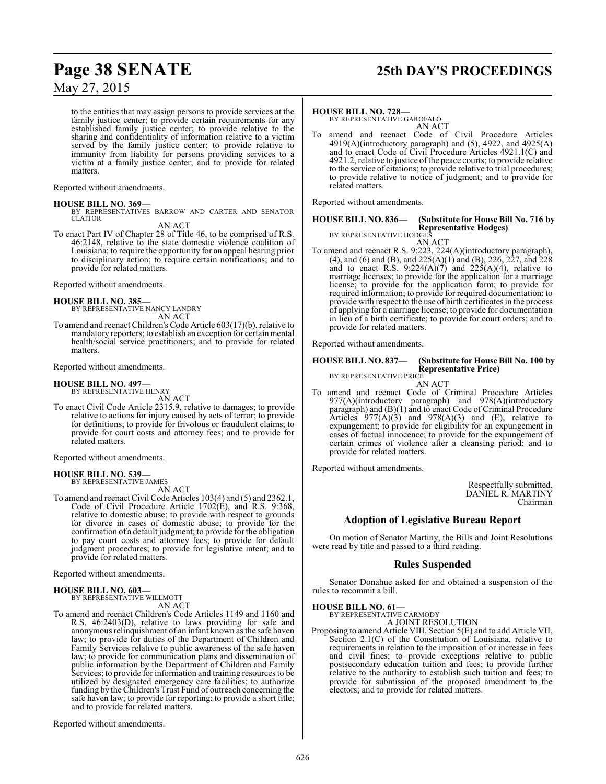to the entities that may assign persons to provide services at the family justice center; to provide certain requirements for any established family justice center; to provide relative to the sharing and confidentiality of information relative to a victim served by the family justice center; to provide relative to immunity from liability for persons providing services to a victim at a family justice center; and to provide for related matters.

Reported without amendments.

### **HOUSE BILL NO. 369—**

BY REPRESENTATIVES BARROW AND CARTER AND SENATOR CLAITOR

AN ACT

To enact Part IV of Chapter 28 of Title 46, to be comprised of R.S. 46:2148, relative to the state domestic violence coalition of Louisiana; to require the opportunity for an appeal hearing prior to disciplinary action; to require certain notifications; and to provide for related matters.

Reported without amendments.

**HOUSE BILL NO. 385—** BY REPRESENTATIVE NANCY LANDRY AN ACT

To amend and reenact Children's Code Article 603(17)(b), relative to mandatory reporters; to establish an exception for certain mental health/social service practitioners; and to provide for related matters.

Reported without amendments.

### **HOUSE BILL NO. 497—**

BY REPRESENTATIVE HENRY AN ACT

To enact Civil Code Article 2315.9, relative to damages; to provide relative to actions for injury caused by acts of terror; to provide for definitions; to provide for frivolous or fraudulent claims; to provide for court costs and attorney fees; and to provide for related matters.

Reported without amendments.

# **HOUSE BILL NO. 539—** BY REPRESENTATIVE JAMES

AN ACT

To amend and reenact Civil Code Articles 103(4) and (5) and 2362.1, Code of Civil Procedure Article 1702(E), and R.S. 9:368, relative to domestic abuse; to provide with respect to grounds for divorce in cases of domestic abuse; to provide for the confirmation of a default judgment; to provide for the obligation to pay court costs and attorney fees; to provide for default judgment procedures; to provide for legislative intent; and to provide for related matters.

Reported without amendments.

### **HOUSE BILL NO. 603—**

BY REPRESENTATIVE WILLMOTT AN ACT

To amend and reenact Children's Code Articles 1149 and 1160 and R.S. 46:2403(D), relative to laws providing for safe and anonymous relinquishment of an infant known as the safe haven law; to provide for duties of the Department of Children and Family Services relative to public awareness of the safe haven law; to provide for communication plans and dissemination of public information by the Department of Children and Family Services; to provide for information and training resources to be utilized by designated emergency care facilities; to authorize funding by the Children's Trust Fund of outreach concerning the safe haven law; to provide for reporting; to provide a short title; and to provide for related matters.

Reported without amendments.

# **Page 38 SENATE 25th DAY'S PROCEEDINGS**

### **HOUSE BILL NO. 728—**

BY REPRESENTATIVE GAROFALO AN ACT

amend and reenact Code of Civil Procedure Articles 4919(A)(introductory paragraph) and (5), 4922, and 4925(A) and to enact Code of Civil Procedure Articles 4921.1(C) and 4921.2, relative to justice ofthe peace courts; to provide relative to the service of citations; to provide relative to trial procedures; to provide relative to notice of judgment; and to provide for related matters.

Reported without amendments.

### **HOUSE BILL NO. 836— (Substitute for House Bill No. 716 by Representative Hodges)** BY REPRESENTATIVE HODGES

AN ACT

To amend and reenact R.S. 9:223, 224(A)(introductory paragraph), (4), and (6) and (B), and 225(A)(1) and (B), 226, 227, and 228 and to enact R.S.  $9:224(A)(7)$  and  $225(A)(4)$ , relative to marriage licenses; to provide for the application for a marriage license; to provide for the application form; to provide for required information; to provide for required documentation; to provide with respect to the use of birth certificates in the process of applying for a marriage license; to provide for documentation in lieu of a birth certificate; to provide for court orders; and to provide for related matters.

Reported without amendments.

#### **HOUSE BILL NO. 837— (Substitute for House Bill No. 100 by Representative Price)** BY REPRESENTATIVE PRICE

AN ACT To amend and reenact Code of Criminal Procedure Articles 977(A)(introductory paragraph) and 978(A)(introductory paragraph) and (B)(1) and to enact Code of Criminal Procedure Articles  $977(A)(3)$  and  $978(A)(3)$  and (E), relative to expungement; to provide for eligibility for an expungement in cases of factual innocence; to provide for the expungement of certain crimes of violence after a cleansing period; and to provide for related matters.

Reported without amendments.

Respectfully submitted, DANIEL R. MARTINY Chairman

### **Adoption of Legislative Bureau Report**

On motion of Senator Martiny, the Bills and Joint Resolutions were read by title and passed to a third reading.

### **Rules Suspended**

Senator Donahue asked for and obtained a suspension of the rules to recommit a bill.

**HOUSE BILL NO. 61—** BY REPRESENTATIVE CARMODY

A JOINT RESOLUTION

Proposing to amend Article VIII, Section 5(E) and to add Article VII, Section 2.1(C) of the Constitution of Louisiana, relative to requirements in relation to the imposition of or increase in fees and civil fines; to provide exceptions relative to public postsecondary education tuition and fees; to provide further relative to the authority to establish such tuition and fees; to provide for submission of the proposed amendment to the electors; and to provide for related matters.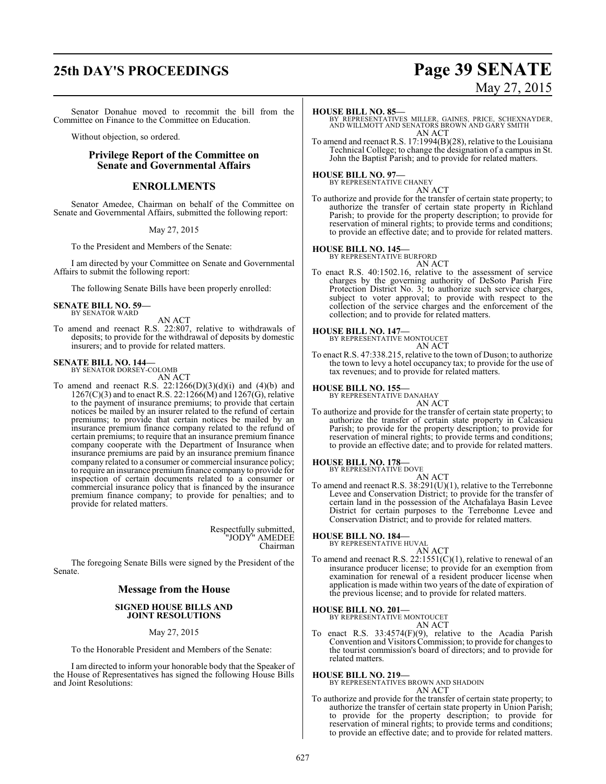Senator Donahue moved to recommit the bill from the Committee on Finance to the Committee on Education.

Without objection, so ordered.

### **Privilege Report of the Committee on Senate and Governmental Affairs**

### **ENROLLMENTS**

Senator Amedee, Chairman on behalf of the Committee on Senate and Governmental Affairs, submitted the following report:

May 27, 2015

To the President and Members of the Senate:

I am directed by your Committee on Senate and Governmental Affairs to submit the following report:

The following Senate Bills have been properly enrolled:

#### **SENATE BILL NO. 59—** BY SENATOR WARD

AN ACT

To amend and reenact R.S. 22:807, relative to withdrawals of deposits; to provide for the withdrawal of deposits by domestic insurers; and to provide for related matters.

### **SENATE BILL NO. 144—** BY SENATOR DORSEY-COLOMB

AN ACT

To amend and reenact R.S.  $22:1266(D)(3)(d)(i)$  and  $(4)(b)$  and  $1267(C)(3)$  and to enact R.S. 22:1266(M) and 1267(G), relative to the payment of insurance premiums; to provide that certain notices be mailed by an insurer related to the refund of certain premiums; to provide that certain notices be mailed by an insurance premium finance company related to the refund of certain premiums; to require that an insurance premium finance company cooperate with the Department of Insurance when insurance premiums are paid by an insurance premium finance company related to a consumer or commercial insurance policy; to require an insurance premium finance company to provide for inspection of certain documents related to a consumer or commercial insurance policy that is financed by the insurance premium finance company; to provide for penalties; and to provide for related matters.

> Respectfully submitted, "JODY" AMEDEE Chairman

The foregoing Senate Bills were signed by the President of the Senate.

### **Message from the House**

### **SIGNED HOUSE BILLS AND JOINT RESOLUTIONS**

May 27, 2015

To the Honorable President and Members of the Senate:

I am directed to inform your honorable body that the Speaker of the House of Representatives has signed the following House Bills and Joint Resolutions:

# **25th DAY'S PROCEEDINGS Page 39 SENATE** May 27, 2015

### **HOUSE BILL NO. 85—**

BY REPRESENTATIVES MILLER, GAINES, PRICE, SCHEXNAYDER, AND WILLMOTT AND SENATORS BROWN AND GARY SMITH AN ACT

To amend and reenact R.S. 17:1994(B)(28), relative to the Louisiana Technical College; to change the designation of a campus in St. John the Baptist Parish; and to provide for related matters.

### **HOUSE BILL NO. 97—**

BY REPRESENTATIVE CHANEY AN ACT

To authorize and provide for the transfer of certain state property; to authorize the transfer of certain state property in Richland Parish; to provide for the property description; to provide for reservation of mineral rights; to provide terms and conditions; to provide an effective date; and to provide for related matters.

### **HOUSE BILL NO. 145—**

BY REPRESENTATIVE BURFORD AN ACT

To enact R.S. 40:1502.16, relative to the assessment of service charges by the governing authority of DeSoto Parish Fire Protection District No. 3; to authorize such service charges, subject to voter approval; to provide with respect to the collection of the service charges and the enforcement of the collection; and to provide for related matters.

**HOUSE BILL NO. 147—**

BY REPRESENTATIVE MONTOUCET AN ACT

To enact R.S. 47:338.215, relative to the town of Duson; to authorize the town to levy a hotel occupancy tax; to provide for the use of tax revenues; and to provide for related matters.

### **HOUSE BILL NO. 155—** BY REPRESENTATIVE DANAHAY

AN ACT

To authorize and provide for the transfer of certain state property; to authorize the transfer of certain state property in Calcasieu Parish; to provide for the property description; to provide for reservation of mineral rights; to provide terms and conditions; to provide an effective date; and to provide for related matters.

### **HOUSE BILL NO. 178—**

BY REPRESENTATIVE DOVE

AN ACT To amend and reenact R.S. 38:291(U)(1), relative to the Terrebonne Levee and Conservation District; to provide for the transfer of certain land in the possession of the Atchafalaya Basin Levee District for certain purposes to the Terrebonne Levee and Conservation District; and to provide for related matters.

### **HOUSE BILL NO. 184—**

BY REPRESENTATIVE HUVAL AN ACT

To amend and reenact R.S. 22:1551(C)(1), relative to renewal of an insurance producer license; to provide for an exemption from examination for renewal of a resident producer license when application is made within two years of the date of expiration of the previous license; and to provide for related matters.

### **HOUSE BILL NO. 201—** BY REPRESENTATIVE MONTOUCET

AN ACT

To enact R.S. 33:4574(F)(9), relative to the Acadia Parish Convention and Visitors Commission; to provide for changes to the tourist commission's board of directors; and to provide for related matters.

**HOUSE BILL NO. 219—** BY REPRESENTATIVES BROWN AND SHADOIN AN ACT

To authorize and provide for the transfer of certain state property; to authorize the transfer of certain state property in Union Parish; to provide for the property description; to provide for reservation of mineral rights; to provide terms and conditions; to provide an effective date; and to provide for related matters.